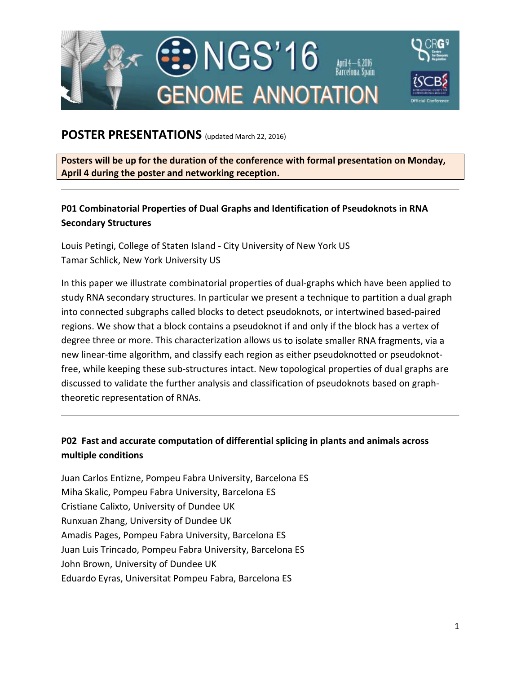

## **POSTER PRESENTATIONS** (updated March 22, 2016)

**Posters will be up for the duration of the conference with formal presentation on Monday, April 4 during the poster and networking reception.**

## **P01 Combinatorial Properties of Dual Graphs and Identification of Pseudoknots in RNA Secondary Structures**

Louis Petingi, College of Staten Island ‐ City University of New York US Tamar Schlick, New York University US

In this paper we illustrate combinatorial properties of dual‐graphs which have been applied to study RNA secondary structures. In particular we present a technique to partition a dual graph into connected subgraphs called blocks to detect pseudoknots, or intertwined based‐paired regions. We show that a block contains a pseudoknot if and only if the block has a vertex of degree three or more. This characterization allows us to isolate smaller RNA fragments, via a new linear-time algorithm, and classify each region as either pseudoknotted or pseudoknotfree, while keeping these sub‐structures intact. New topological properties of dual graphs are discussed to validate the further analysis and classification of pseudoknots based on graph‐ theoretic representation of RNAs.

### **P02 Fast and accurate computation of differential splicing in plants and animals across multiple conditions**

Juan Carlos Entizne, Pompeu Fabra University, Barcelona ES Miha Skalic, Pompeu Fabra University, Barcelona ES Cristiane Calixto, University of Dundee UK Runxuan Zhang, University of Dundee UK Amadis Pages, Pompeu Fabra University, Barcelona ES Juan Luis Trincado, Pompeu Fabra University, Barcelona ES John Brown, University of Dundee UK Eduardo Eyras, Universitat Pompeu Fabra, Barcelona ES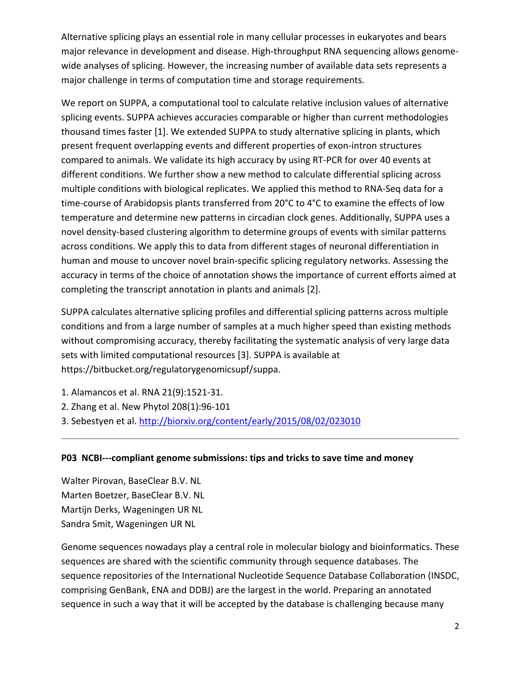Alternative splicing plays an essential role in many cellular processes in eukaryotes and bears major relevance in development and disease. High-throughput RNA sequencing allows genomewide analyses of splicing. However, the increasing number of available data sets represents a major challenge in terms of computation time and storage requirements.

We report on SUPPA, a computational tool to calculate relative inclusion values of alternative splicing events. SUPPA achieves accuracies comparable or higher than current methodologies thousand times faster [1]. We extended SUPPA to study alternative splicing in plants, which present frequent overlapping events and different properties of exon‐intron structures compared to animals. We validate its high accuracy by using RT‐PCR for over 40 events at different conditions. We further show a new method to calculate differential splicing across multiple conditions with biological replicates. We applied this method to RNA‐Seq data for a time-course of Arabidopsis plants transferred from 20°C to 4°C to examine the effects of low temperature and determine new patterns in circadian clock genes. Additionally, SUPPA uses a novel density‐based clustering algorithm to determine groups of events with similar patterns across conditions. We apply this to data from different stages of neuronal differentiation in human and mouse to uncover novel brain‐specific splicing regulatory networks. Assessing the accuracy in terms of the choice of annotation shows the importance of current efforts aimed at completing the transcript annotation in plants and animals [2].

SUPPA calculates alternative splicing profiles and differential splicing patterns across multiple conditions and from a large number of samples at a much higher speed than existing methods without compromising accuracy, thereby facilitating the systematic analysis of very large data sets with limited computational resources [3]. SUPPA is available at https://bitbucket.org/regulatorygenomicsupf/suppa.

- 1. Alamancos et al. RNA 21(9):1521‐31.
- 2. Zhang et al. New Phytol 208(1):96‐101
- 3. Sebestyen et al. http://biorxiv.org/content/early/2015/08/02/023010

#### **P03 NCBI‐‐‐compliant genome submissions: tips and tricks to save time and money**

Walter Pirovan, BaseClear B.V. NL Marten Boetzer, BaseClear B.V. NL Martijn Derks, Wageningen UR NL Sandra Smit, Wageningen UR NL

Genome sequences nowadays play a central role in molecular biology and bioinformatics. These sequences are shared with the scientific community through sequence databases. The sequence repositories of the International Nucleotide Sequence Database Collaboration (INSDC, comprising GenBank, ENA and DDBJ) are the largest in the world. Preparing an annotated sequence in such a way that it will be accepted by the database is challenging because many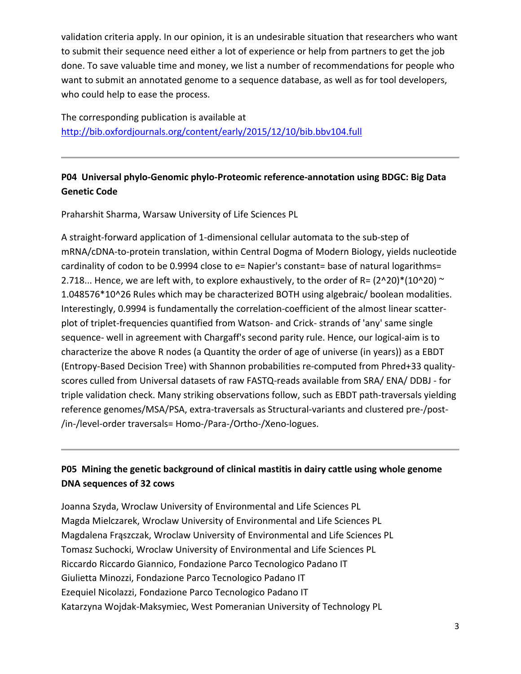validation criteria apply. In our opinion, it is an undesirable situation that researchers who want to submit their sequence need either a lot of experience or help from partners to get the job done. To save valuable time and money, we list a number of recommendations for people who want to submit an annotated genome to a sequence database, as well as for tool developers, who could help to ease the process.

The corresponding publication is available at http://bib.oxfordjournals.org/content/early/2015/12/10/bib.bbv104.full

### **P04 Universal phylo‐Genomic phylo‐Proteomic reference‐annotation using BDGC: Big Data Genetic Code**

Praharshit Sharma, Warsaw University of Life Sciences PL

A straight‐forward application of 1‐dimensional cellular automata to the sub‐step of mRNA/cDNA‐to‐protein translation, within Central Dogma of Modern Biology, yields nucleotide cardinality of codon to be 0.9994 close to e= Napier's constant= base of natural logarithms= 2.718... Hence, we are left with, to explore exhaustively, to the order of R=  $(2^2/20)^*(10^20)$  ~ 1.048576\*10^26 Rules which may be characterized BOTH using algebraic/ boolean modalities. Interestingly, 0.9994 is fundamentally the correlation‐coefficient of the almost linear scatter‐ plot of triplet‐frequencies quantified from Watson‐ and Crick‐ strands of 'any' same single sequence- well in agreement with Chargaff's second parity rule. Hence, our logical-aim is to characterize the above R nodes (a Quantity the order of age of universe (in years)) as a EBDT (Entropy‐Based Decision Tree) with Shannon probabilities re‐computed from Phred+33 quality‐ scores culled from Universal datasets of raw FASTQ‐reads available from SRA/ ENA/ DDBJ ‐ for triple validation check. Many striking observations follow, such as EBDT path‐traversals yielding reference genomes/MSA/PSA, extra‐traversals as Structural‐variants and clustered pre‐/post‐ /in‐/level‐order traversals= Homo‐/Para‐/Ortho‐/Xeno‐logues.

# **P05 Mining the genetic background of clinical mastitis in dairy cattle using whole genome DNA sequences of 32 cows**

Joanna Szyda, Wroclaw University of Environmental and Life Sciences PL Magda Mielczarek, Wroclaw University of Environmental and Life Sciences PL Magdalena Frąszczak, Wroclaw University of Environmental and Life Sciences PL Tomasz Suchocki, Wroclaw University of Environmental and Life Sciences PL Riccardo Riccardo Giannico, Fondazione Parco Tecnologico Padano IT Giulietta Minozzi, Fondazione Parco Tecnologico Padano IT Ezequiel Nicolazzi, Fondazione Parco Tecnologico Padano IT Katarzyna Wojdak‐Maksymiec, West Pomeranian University of Technology PL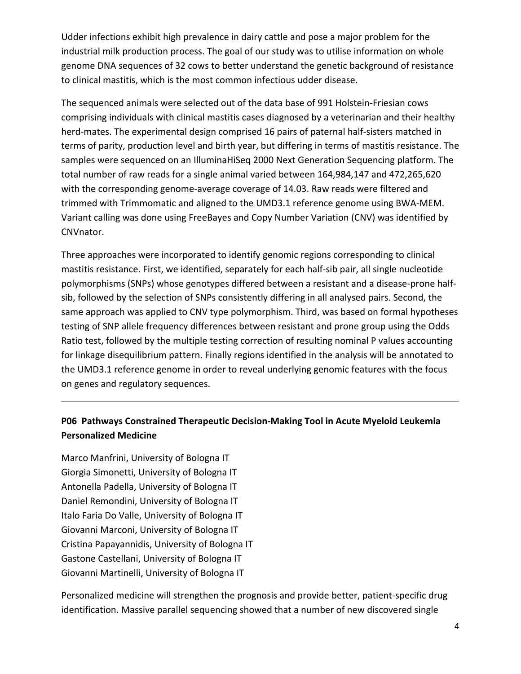Udder infections exhibit high prevalence in dairy cattle and pose a major problem for the industrial milk production process. The goal of our study was to utilise information on whole genome DNA sequences of 32 cows to better understand the genetic background of resistance to clinical mastitis, which is the most common infectious udder disease.

The sequenced animals were selected out of the data base of 991 Holstein‐Friesian cows comprising individuals with clinical mastitis cases diagnosed by a veterinarian and their healthy herd-mates. The experimental design comprised 16 pairs of paternal half-sisters matched in terms of parity, production level and birth year, but differing in terms of mastitis resistance. The samples were sequenced on an IlluminaHiSeq 2000 Next Generation Sequencing platform. The total number of raw reads for a single animal varied between 164,984,147 and 472,265,620 with the corresponding genome‐average coverage of 14.03. Raw reads were filtered and trimmed with Trimmomatic and aligned to the UMD3.1 reference genome using BWA‐MEM. Variant calling was done using FreeBayes and Copy Number Variation (CNV) was identified by CNVnator.

Three approaches were incorporated to identify genomic regions corresponding to clinical mastitis resistance. First, we identified, separately for each half‐sib pair, all single nucleotide polymorphisms (SNPs) whose genotypes differed between a resistant and a disease‐prone half‐ sib, followed by the selection of SNPs consistently differing in all analysed pairs. Second, the same approach was applied to CNV type polymorphism. Third, was based on formal hypotheses testing of SNP allele frequency differences between resistant and prone group using the Odds Ratio test, followed by the multiple testing correction of resulting nominal P values accounting for linkage disequilibrium pattern. Finally regions identified in the analysis will be annotated to the UMD3.1 reference genome in order to reveal underlying genomic features with the focus on genes and regulatory sequences.

### **P06 Pathways Constrained Therapeutic Decision‐Making Tool in Acute Myeloid Leukemia Personalized Medicine**

Marco Manfrini, University of Bologna IT Giorgia Simonetti, University of Bologna IT Antonella Padella, University of Bologna IT Daniel Remondini, University of Bologna IT Italo Faria Do Valle, University of Bologna IT Giovanni Marconi, University of Bologna IT Cristina Papayannidis, University of Bologna IT Gastone Castellani, University of Bologna IT Giovanni Martinelli, University of Bologna IT

Personalized medicine will strengthen the prognosis and provide better, patient‐specific drug identification. Massive parallel sequencing showed that a number of new discovered single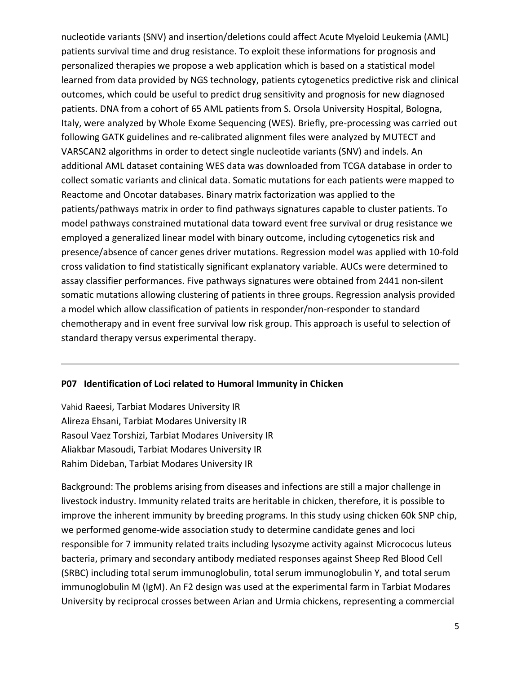nucleotide variants (SNV) and insertion/deletions could affect Acute Myeloid Leukemia (AML) patients survival time and drug resistance. To exploit these informations for prognosis and personalized therapies we propose a web application which is based on a statistical model learned from data provided by NGS technology, patients cytogenetics predictive risk and clinical outcomes, which could be useful to predict drug sensitivity and prognosis for new diagnosed patients. DNA from a cohort of 65 AML patients from S. Orsola University Hospital, Bologna, Italy, were analyzed by Whole Exome Sequencing (WES). Briefly, pre‐processing was carried out following GATK guidelines and re‐calibrated alignment files were analyzed by MUTECT and VARSCAN2 algorithms in order to detect single nucleotide variants (SNV) and indels. An additional AML dataset containing WES data was downloaded from TCGA database in order to collect somatic variants and clinical data. Somatic mutations for each patients were mapped to Reactome and Oncotar databases. Binary matrix factorization was applied to the patients/pathways matrix in order to find pathways signatures capable to cluster patients. To model pathways constrained mutational data toward event free survival or drug resistance we employed a generalized linear model with binary outcome, including cytogenetics risk and presence/absence of cancer genes driver mutations. Regression model was applied with 10‐fold cross validation to find statistically significant explanatory variable. AUCs were determined to assay classifier performances. Five pathways signatures were obtained from 2441 non-silent somatic mutations allowing clustering of patients in three groups. Regression analysis provided a model which allow classification of patients in responder/non‐responder to standard chemotherapy and in event free survival low risk group. This approach is useful to selection of standard therapy versus experimental therapy.

#### **P07 Identification of Loci related to Humoral Immunity in Chicken**

Vahid Raeesi, Tarbiat Modares University IR Alireza Ehsani, Tarbiat Modares University IR Rasoul Vaez Torshizi, Tarbiat Modares University IR Aliakbar Masoudi, Tarbiat Modares University IR Rahim Dideban, Tarbiat Modares University IR

Background: The problems arising from diseases and infections are still a major challenge in livestock industry. Immunity related traits are heritable in chicken, therefore, it is possible to improve the inherent immunity by breeding programs. In this study using chicken 60k SNP chip, we performed genome-wide association study to determine candidate genes and loci responsible for 7 immunity related traits including lysozyme activity against Micrococus luteus bacteria, primary and secondary antibody mediated responses against Sheep Red Blood Cell (SRBC) including total serum immunoglobulin, total serum immunoglobulin Y, and total serum immunoglobulin M (IgM). An F2 design was used at the experimental farm in Tarbiat Modares University by reciprocal crosses between Arian and Urmia chickens, representing a commercial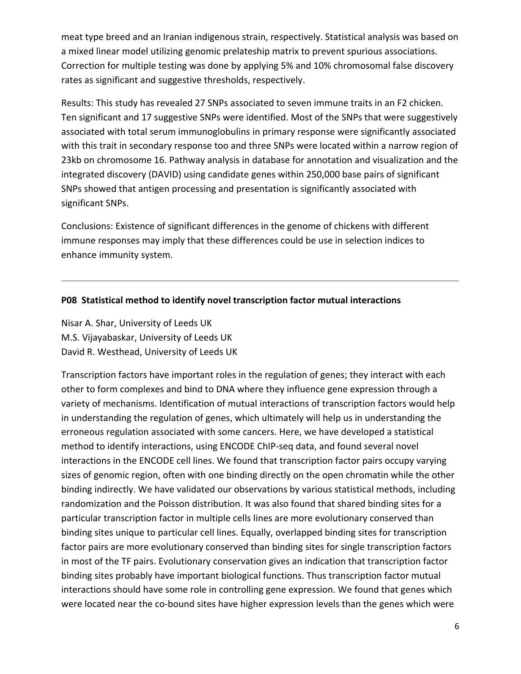meat type breed and an Iranian indigenous strain, respectively. Statistical analysis was based on a mixed linear model utilizing genomic prelateship matrix to prevent spurious associations. Correction for multiple testing was done by applying 5% and 10% chromosomal false discovery rates as significant and suggestive thresholds, respectively.

Results: This study has revealed 27 SNPs associated to seven immune traits in an F2 chicken. Ten significant and 17 suggestive SNPs were identified. Most of the SNPs that were suggestively associated with total serum immunoglobulins in primary response were significantly associated with this trait in secondary response too and three SNPs were located within a narrow region of 23kb on chromosome 16. Pathway analysis in database for annotation and visualization and the integrated discovery (DAVID) using candidate genes within 250,000 base pairs of significant SNPs showed that antigen processing and presentation is significantly associated with significant SNPs.

Conclusions: Existence of significant differences in the genome of chickens with different immune responses may imply that these differences could be use in selection indices to enhance immunity system.

#### **P08 Statistical method to identify novel transcription factor mutual interactions**

Nisar A. Shar, University of Leeds UK M.S. Vijayabaskar, University of Leeds UK David R. Westhead, University of Leeds UK

Transcription factors have important roles in the regulation of genes; they interact with each other to form complexes and bind to DNA where they influence gene expression through a variety of mechanisms. Identification of mutual interactions of transcription factors would help in understanding the regulation of genes, which ultimately will help us in understanding the erroneous regulation associated with some cancers. Here, we have developed a statistical method to identify interactions, using ENCODE ChIP‐seq data, and found several novel interactions in the ENCODE cell lines. We found that transcription factor pairs occupy varying sizes of genomic region, often with one binding directly on the open chromatin while the other binding indirectly. We have validated our observations by various statistical methods, including randomization and the Poisson distribution. It was also found that shared binding sites for a particular transcription factor in multiple cells lines are more evolutionary conserved than binding sites unique to particular cell lines. Equally, overlapped binding sites for transcription factor pairs are more evolutionary conserved than binding sites for single transcription factors in most of the TF pairs. Evolutionary conservation gives an indication that transcription factor binding sites probably have important biological functions. Thus transcription factor mutual interactions should have some role in controlling gene expression. We found that genes which were located near the co-bound sites have higher expression levels than the genes which were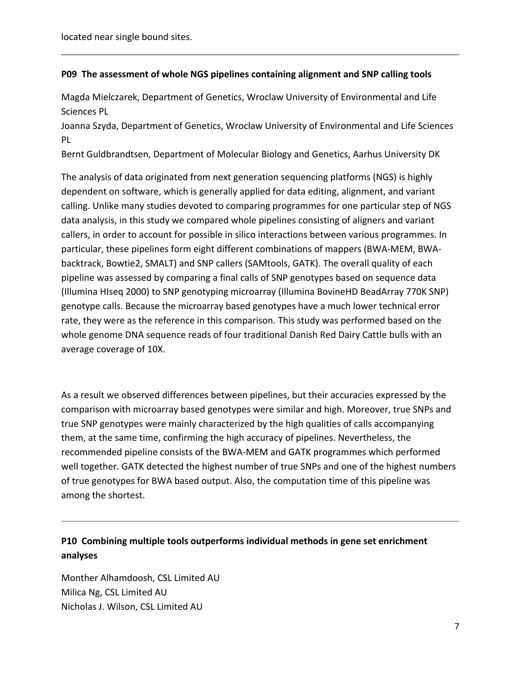located near single bound sites.

#### **P09 The assessment of whole NGS pipelines containing alignment and SNP calling tools**

Magda Mielczarek, Department of Genetics, Wroclaw University of Environmental and Life Sciences PL

Joanna Szyda, Department of Genetics, Wroclaw University of Environmental and Life Sciences PL

Bernt Guldbrandtsen, Department of Molecular Biology and Genetics, Aarhus University DK

The analysis of data originated from next generation sequencing platforms (NGS) is highly dependent on software, which is generally applied for data editing, alignment, and variant calling. Unlike many studies devoted to comparing programmes for one particular step of NGS data analysis, in this study we compared whole pipelines consisting of aligners and variant callers, in order to account for possible in silico interactions between various programmes. In particular, these pipelines form eight different combinations of mappers (BWA‐MEM, BWA‐ backtrack, Bowtie2, SMALT) and SNP callers (SAMtools, GATK). The overall quality of each pipeline was assessed by comparing a final calls of SNP genotypes based on sequence data (Illumina HIseq 2000) to SNP genotyping microarray (Illumina BovineHD BeadArray 770K SNP) genotype calls. Because the microarray based genotypes have a much lower technical error rate, they were as the reference in this comparison. This study was performed based on the whole genome DNA sequence reads of four traditional Danish Red Dairy Cattle bulls with an average coverage of 10X.

As a result we observed differences between pipelines, but their accuracies expressed by the comparison with microarray based genotypes were similar and high. Moreover, true SNPs and true SNP genotypes were mainly characterized by the high qualities of calls accompanying them, at the same time, confirming the high accuracy of pipelines. Nevertheless, the recommended pipeline consists of the BWA‐MEM and GATK programmes which performed well together. GATK detected the highest number of true SNPs and one of the highest numbers of true genotypes for BWA based output. Also, the computation time of this pipeline was among the shortest.

### **P10 Combining multiple tools outperforms individual methods in gene set enrichment analyses**

Monther Alhamdoosh, CSL Limited AU Milica Ng, CSL Limited AU Nicholas J. Wilson, CSL Limited AU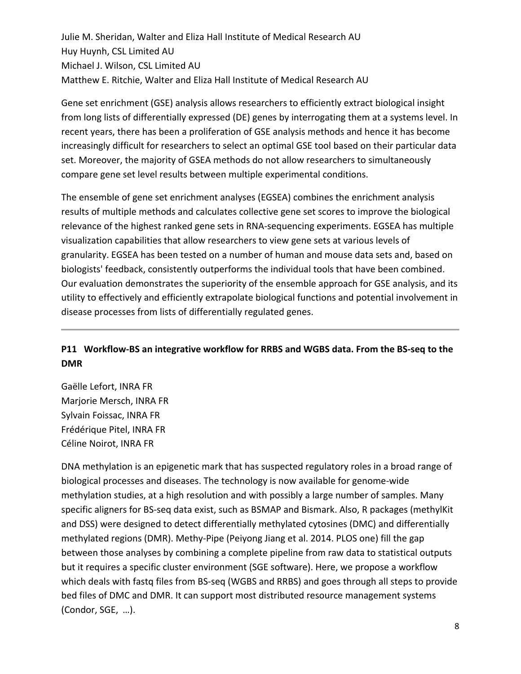Julie M. Sheridan, Walter and Eliza Hall Institute of Medical Research AU Huy Huynh, CSL Limited AU Michael J. Wilson, CSL Limited AU Matthew E. Ritchie, Walter and Eliza Hall Institute of Medical Research AU

Gene set enrichment (GSE) analysis allows researchers to efficiently extract biological insight from long lists of differentially expressed (DE) genes by interrogating them at a systems level. In recent years, there has been a proliferation of GSE analysis methods and hence it has become increasingly difficult for researchers to select an optimal GSE tool based on their particular data set. Moreover, the majority of GSEA methods do not allow researchers to simultaneously compare gene set level results between multiple experimental conditions.

The ensemble of gene set enrichment analyses (EGSEA) combines the enrichment analysis results of multiple methods and calculates collective gene set scores to improve the biological relevance of the highest ranked gene sets in RNA‐sequencing experiments. EGSEA has multiple visualization capabilities that allow researchers to view gene sets at various levels of granularity. EGSEA has been tested on a number of human and mouse data sets and, based on biologists' feedback, consistently outperforms the individual tools that have been combined. Our evaluation demonstrates the superiority of the ensemble approach for GSE analysis, and its utility to effectively and efficiently extrapolate biological functions and potential involvement in disease processes from lists of differentially regulated genes.

### P11 Workflow-BS an integrative workflow for RRBS and WGBS data. From the BS-seq to the **DMR**

Gaëlle Lefort, INRA FR Marjorie Mersch, INRA FR Sylvain Foissac, INRA FR Frédérique Pitel, INRA FR Céline Noirot, INRA FR

DNA methylation is an epigenetic mark that has suspected regulatory roles in a broad range of biological processes and diseases. The technology is now available for genome‐wide methylation studies, at a high resolution and with possibly a large number of samples. Many specific aligners for BS‐seq data exist, such as BSMAP and Bismark. Also, R packages (methylKit and DSS) were designed to detect differentially methylated cytosines (DMC) and differentially methylated regions (DMR). Methy‐Pipe (Peiyong Jiang et al. 2014. PLOS one) fill the gap between those analyses by combining a complete pipeline from raw data to statistical outputs but it requires a specific cluster environment (SGE software). Here, we propose a workflow which deals with fastq files from BS-seq (WGBS and RRBS) and goes through all steps to provide bed files of DMC and DMR. It can support most distributed resource management systems (Condor, SGE,  …).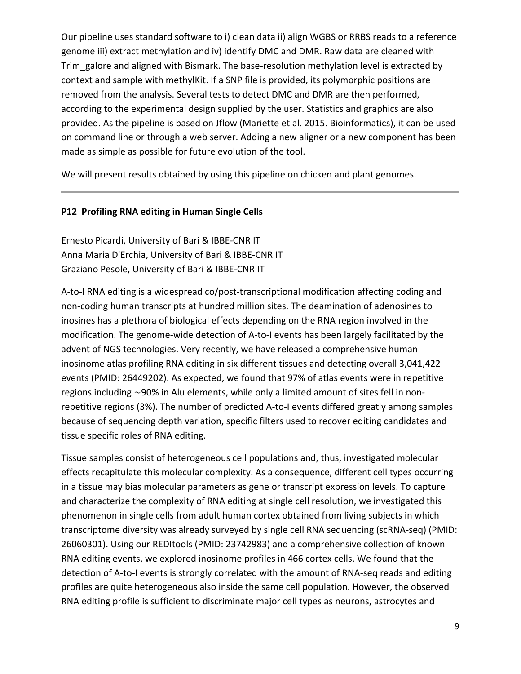Our pipeline uses standard software to i) clean data ii) align WGBS or RRBS reads to a reference genome iii) extract methylation and iv) identify DMC and DMR. Raw data are cleaned with Trim galore and aligned with Bismark. The base-resolution methylation level is extracted by context and sample with methylKit. If a SNP file is provided, its polymorphic positions are removed from the analysis. Several tests to detect DMC and DMR are then performed, according to the experimental design supplied by the user. Statistics and graphics are also provided. As the pipeline is based on Jflow (Mariette et al. 2015. Bioinformatics), it can be used on command line or through a web server. Adding a new aligner or a new component has been made as simple as possible for future evolution of the tool.

We will present results obtained by using this pipeline on chicken and plant genomes.

#### **P12 Profiling RNA editing in Human Single Cells**

Ernesto Picardi, University of Bari & IBBE‐CNR IT Anna Maria D'Erchia, University of Bari & IBBE‐CNR IT Graziano Pesole, University of Bari & IBBE‐CNR IT

A-to-I RNA editing is a widespread co/post-transcriptional modification affecting coding and non‐coding human transcripts at hundred million sites. The deamination of adenosines to inosines has a plethora of biological effects depending on the RNA region involved in the modification. The genome‐wide detection of A‐to‐I events has been largely facilitated by the advent of NGS technologies. Very recently, we have released a comprehensive human inosinome atlas profiling RNA editing in six different tissues and detecting overall 3,041,422 events (PMID: 26449202). As expected, we found that 97% of atlas events were in repetitive regions including ∼90% in Alu elements, while only a limited amount of sites fell in non‐ repetitive regions (3%). The number of predicted A‐to‐I events differed greatly among samples because of sequencing depth variation, specific filters used to recover editing candidates and tissue specific roles of RNA editing.

Tissue samples consist of heterogeneous cell populations and, thus, investigated molecular effects recapitulate this molecular complexity. As a consequence, different cell types occurring in a tissue may bias molecular parameters as gene or transcript expression levels. To capture and characterize the complexity of RNA editing at single cell resolution, we investigated this phenomenon in single cells from adult human cortex obtained from living subjects in which transcriptome diversity was already surveyed by single cell RNA sequencing (scRNA‐seq) (PMID: 26060301). Using our REDItools (PMID: 23742983) and a comprehensive collection of known RNA editing events, we explored inosinome profiles in 466 cortex cells. We found that the detection of A‐to‐I events is strongly correlated with the amount of RNA‐seq reads and editing profiles are quite heterogeneous also inside the same cell population. However, the observed RNA editing profile is sufficient to discriminate major cell types as neurons, astrocytes and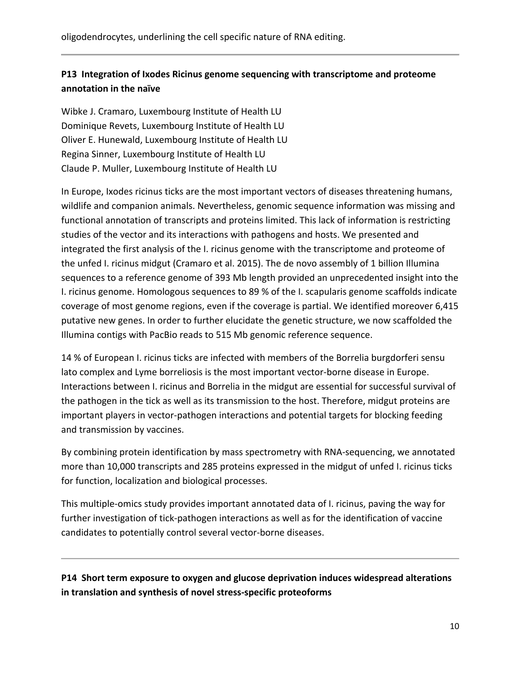### **P13 Integration of Ixodes Ricinus genome sequencing with transcriptome and proteome annotation in the naïve**

Wibke J. Cramaro, Luxembourg Institute of Health LU Dominique Revets, Luxembourg Institute of Health LU Oliver E. Hunewald, Luxembourg Institute of Health LU Regina Sinner, Luxembourg Institute of Health LU Claude P. Muller, Luxembourg Institute of Health LU

In Europe, Ixodes ricinus ticks are the most important vectors of diseases threatening humans, wildlife and companion animals. Nevertheless, genomic sequence information was missing and functional annotation of transcripts and proteins limited. This lack of information is restricting studies of the vector and its interactions with pathogens and hosts. We presented and integrated the first analysis of the I. ricinus genome with the transcriptome and proteome of the unfed I. ricinus midgut (Cramaro et al. 2015). The de novo assembly of 1 billion Illumina sequences to a reference genome of 393 Mb length provided an unprecedented insight into the I. ricinus genome. Homologous sequences to 89 % of the I. scapularis genome scaffolds indicate coverage of most genome regions, even if the coverage is partial. We identified moreover 6,415 putative new genes. In order to further elucidate the genetic structure, we now scaffolded the Illumina contigs with PacBio reads to 515 Mb genomic reference sequence.

14 % of European I. ricinus ticks are infected with members of the Borrelia burgdorferi sensu lato complex and Lyme borreliosis is the most important vector‐borne disease in Europe. Interactions between I. ricinus and Borrelia in the midgut are essential for successful survival of the pathogen in the tick as well as its transmission to the host. Therefore, midgut proteins are important players in vector-pathogen interactions and potential targets for blocking feeding and transmission by vaccines.

By combining protein identification by mass spectrometry with RNA‐sequencing, we annotated more than 10,000 transcripts and 285 proteins expressed in the midgut of unfed I. ricinus ticks for function, localization and biological processes.

This multiple‐omics study provides important annotated data of I. ricinus, paving the way for further investigation of tick-pathogen interactions as well as for the identification of vaccine candidates to potentially control several vector‐borne diseases.

**P14 Short term exposure to oxygen and glucose deprivation induces widespread alterations in translation and synthesis of novel stress‐specific proteoforms**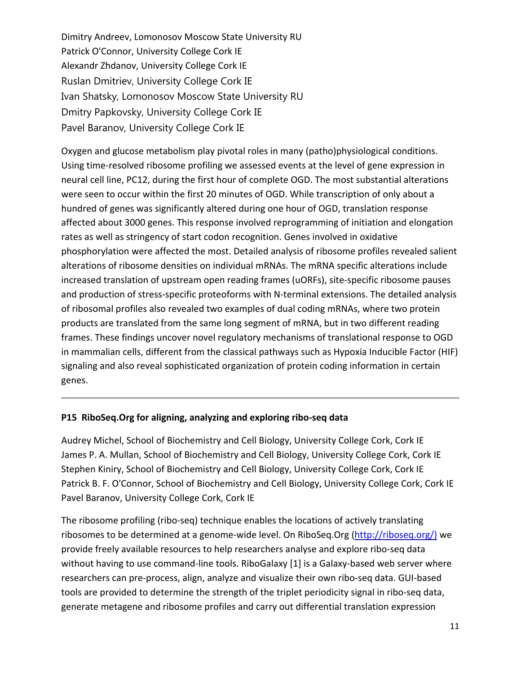Dimitry Andreev, Lomonosov Moscow State University RU Patrick O'Connor, University College Cork IE Alexandr Zhdanov, University College Cork IE Ruslan Dmitriev, University College Cork IE Ivan Shatsky, Lomonosov Moscow State University RU Dmitry Papkovsky, University College Cork IE Pavel Baranov, University College Cork IE

Oxygen and glucose metabolism play pivotal roles in many (patho)physiological conditions. Using time‐resolved ribosome profiling we assessed events at the level of gene expression in neural cell line, PC12, during the first hour of complete OGD. The most substantial alterations were seen to occur within the first 20 minutes of OGD. While transcription of only about a hundred of genes was significantly altered during one hour of OGD, translation response affected about 3000 genes. This response involved reprogramming of initiation and elongation rates as well as stringency of start codon recognition. Genes involved in oxidative phosphorylation were affected the most. Detailed analysis of ribosome profiles revealed salient alterations of ribosome densities on individual mRNAs. The mRNA specific alterations include increased translation of upstream open reading frames (uORFs), site‐specific ribosome pauses and production of stress-specific proteoforms with N-terminal extensions. The detailed analysis of ribosomal profiles also revealed two examples of dual coding mRNAs, where two protein products are translated from the same long segment of mRNA, but in two different reading frames. These findings uncover novel regulatory mechanisms of translational response to OGD in mammalian cells, different from the classical pathways such as Hypoxia Inducible Factor (HIF) signaling and also reveal sophisticated organization of protein coding information in certain genes.

#### **P15 RiboSeq.Org for aligning, analyzing and exploring ribo‐seq data**

Audrey Michel, School of Biochemistry and Cell Biology, University College Cork, Cork IE James P. A. Mullan, School of Biochemistry and Cell Biology, University College Cork, Cork IE Stephen Kiniry, School of Biochemistry and Cell Biology, University College Cork, Cork IE Patrick B. F. O'Connor, School of Biochemistry and Cell Biology, University College Cork, Cork IE Pavel Baranov, University College Cork, Cork IE

The ribosome profiling (ribo-seq) technique enables the locations of actively translating ribosomes to be determined at a genome‐wide level. On RiboSeq.Org (http://riboseq.org/) we provide freely available resources to help researchers analyse and explore ribo‐seq data without having to use command-line tools. RiboGalaxy [1] is a Galaxy-based web server where researchers can pre‐process, align, analyze and visualize their own ribo‐seq data. GUI‐based tools are provided to determine the strength of the triplet periodicity signal in ribo-seq data, generate metagene and ribosome profiles and carry out differential translation expression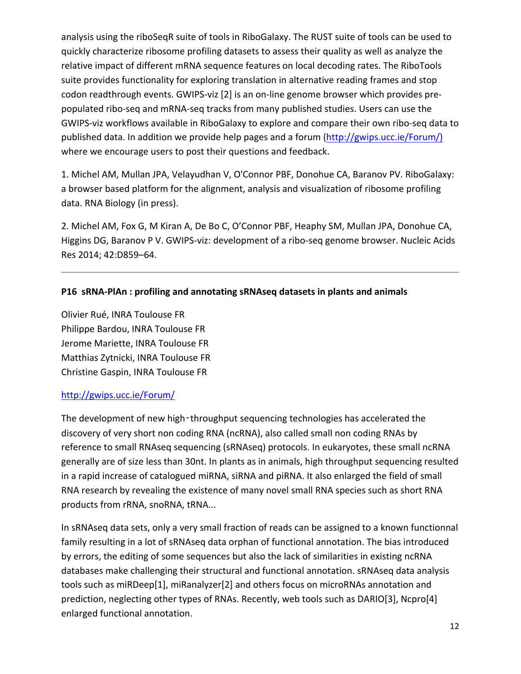analysis using the riboSeqR suite of tools in RiboGalaxy. The RUST suite of tools can be used to quickly characterize ribosome profiling datasets to assess their quality as well as analyze the relative impact of different mRNA sequence features on local decoding rates. The RiboTools suite provides functionality for exploring translation in alternative reading frames and stop codon readthrough events. GWIPS-viz [2] is an on-line genome browser which provides prepopulated ribo‐seq and mRNA‐seq tracks from many published studies. Users can use the GWIPS‐viz workflows available in RiboGalaxy to explore and compare their own ribo‐seq data to published data. In addition we provide help pages and a forum (http://gwips.ucc.ie/Forum/) where we encourage users to post their questions and feedback.

1. Michel AM, Mullan JPA, Velayudhan V, O'Connor PBF, Donohue CA, Baranov PV. RiboGalaxy: a browser based platform for the alignment, analysis and visualization of ribosome profiling data. RNA Biology (in press).

2. Michel AM, Fox G, M Kiran A, De Bo C, O'Connor PBF, Heaphy SM, Mullan JPA, Donohue CA, Higgins DG, Baranov P V. GWIPS‐viz: development of a ribo‐seq genome browser. Nucleic Acids Res 2014; 42:D859–64.

#### **P16 sRNA‐PlAn : profiling and annotating sRNAseq datasets in plants and animals**

Olivier Rué, INRA Toulouse FR Philippe Bardou, INRA Toulouse FR Jerome Mariette, INRA Toulouse FR Matthias Zytnicki, INRA Toulouse FR Christine Gaspin, INRA Toulouse FR

#### http://gwips.ucc.ie/Forum/

The development of new high-throughput sequencing technologies has accelerated the discovery of very short non coding RNA (ncRNA), also called small non coding RNAs by reference to small RNAseq sequencing (sRNAseq) protocols. In eukaryotes, these small ncRNA generally are of size less than 30nt. In plants as in animals, high throughput sequencing resulted in a rapid increase of catalogued miRNA, siRNA and piRNA. It also enlarged the field of small RNA research by revealing the existence of many novel small RNA species such as short RNA products from rRNA, snoRNA, tRNA...

In sRNAseq data sets, only a very small fraction of reads can be assigned to a known functionnal family resulting in a lot of sRNAseq data orphan of functional annotation. The bias introduced by errors, the editing of some sequences but also the lack of similarities in existing ncRNA databases make challenging their structural and functional annotation. sRNAseq data analysis tools such as miRDeep[1], miRanalyzer[2] and others focus on microRNAs annotation and prediction, neglecting other types of RNAs. Recently, web tools such as DARIO[3], Ncpro[4] enlarged functional annotation.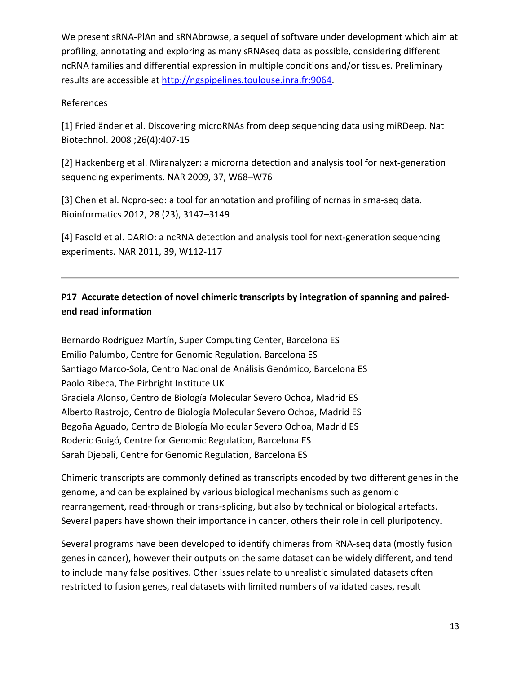We present sRNA‐PlAn and sRNAbrowse, a sequel of software under development which aim at profiling, annotating and exploring as many sRNAseq data as possible, considering different ncRNA families and differential expression in multiple conditions and/or tissues. Preliminary results are accessible at http://ngspipelines.toulouse.inra.fr:9064.

#### References

[1] Friedländer et al. Discovering microRNAs from deep sequencing data using miRDeep. Nat Biotechnol. 2008 ;26(4):407‐15

[2] Hackenberg et al. Miranalyzer: a microrna detection and analysis tool for next‐generation sequencing experiments. NAR 2009, 37, W68–W76

[3] Chen et al. Ncpro-seq: a tool for annotation and profiling of ncrnas in srna-seq data. Bioinformatics 2012, 28 (23), 3147–3149

[4] Fasold et al. DARIO: a ncRNA detection and analysis tool for next-generation sequencing experiments. NAR 2011, 39, W112‐117

## **P17 Accurate detection of novel chimeric transcripts by integration of spanning and paired‐ end read information**

Bernardo Rodríguez Martín, Super Computing Center, Barcelona ES Emilio Palumbo, Centre for Genomic Regulation, Barcelona ES Santiago Marco‐Sola, Centro Nacional de Análisis Genómico, Barcelona ES Paolo Ribeca, The Pirbright Institute UK Graciela Alonso, Centro de Biología Molecular Severo Ochoa, Madrid ES Alberto Rastrojo, Centro de Biología Molecular Severo Ochoa, Madrid ES Begoña Aguado, Centro de Biología Molecular Severo Ochoa, Madrid ES Roderic Guigó, Centre for Genomic Regulation, Barcelona ES Sarah Djebali, Centre for Genomic Regulation, Barcelona ES

Chimeric transcripts are commonly defined as transcripts encoded by two different genes in the genome, and can be explained by various biological mechanisms such as genomic rearrangement, read‐through or trans‐splicing, but also by technical or biological artefacts. Several papers have shown their importance in cancer, others their role in cell pluripotency.

Several programs have been developed to identify chimeras from RNA‐seq data (mostly fusion genes in cancer), however their outputs on the same dataset can be widely different, and tend to include many false positives. Other issues relate to unrealistic simulated datasets often restricted to fusion genes, real datasets with limited numbers of validated cases, result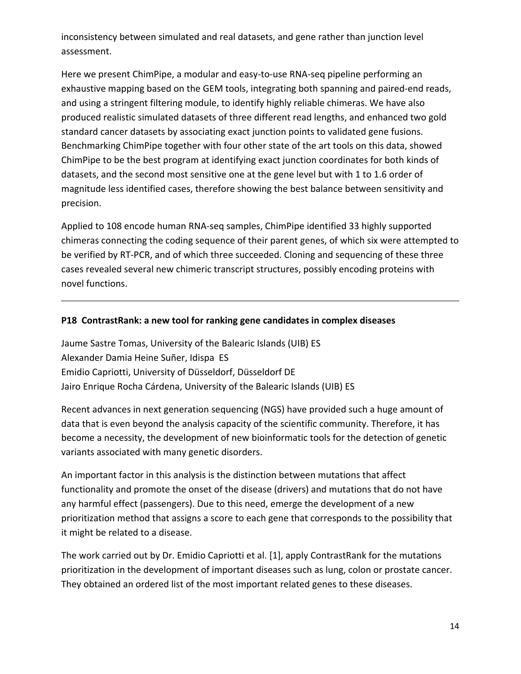inconsistency between simulated and real datasets, and gene rather than junction level assessment.

Here we present ChimPipe, a modular and easy-to-use RNA-seq pipeline performing an exhaustive mapping based on the GEM tools, integrating both spanning and paired-end reads, and using a stringent filtering module, to identify highly reliable chimeras. We have also produced realistic simulated datasets of three different read lengths, and enhanced two gold standard cancer datasets by associating exact junction points to validated gene fusions. Benchmarking ChimPipe together with four other state of the art tools on this data, showed ChimPipe to be the best program at identifying exact junction coordinates for both kinds of datasets, and the second most sensitive one at the gene level but with 1 to 1.6 order of magnitude less identified cases, therefore showing the best balance between sensitivity and precision.

Applied to 108 encode human RNA‐seq samples, ChimPipe identified 33 highly supported chimeras connecting the coding sequence of their parent genes, of which six were attempted to be verified by RT‐PCR, and of which three succeeded. Cloning and sequencing of these three cases revealed several new chimeric transcript structures, possibly encoding proteins with novel functions.

#### **P18 ContrastRank: a new tool for ranking gene candidates in complex diseases**

Jaume Sastre Tomas, University of the Balearic Islands (UIB) ES Alexander Damia Heine Suñer, Idispa ES Emidio Capriotti, University of Düsseldorf, Düsseldorf DE Jairo Enrique Rocha Cárdena, University of the Balearic Islands (UIB) ES

Recent advances in next generation sequencing (NGS) have provided such a huge amount of data that is even beyond the analysis capacity of the scientific community. Therefore, it has become a necessity, the development of new bioinformatic tools for the detection of genetic variants associated with many genetic disorders.

An important factor in this analysis is the distinction between mutations that affect functionality and promote the onset of the disease (drivers) and mutations that do not have any harmful effect (passengers). Due to this need, emerge the development of a new prioritization method that assigns a score to each gene that corresponds to the possibility that it might be related to a disease.

The work carried out by Dr. Emidio Capriotti et al. [1], apply ContrastRank for the mutations prioritization in the development of important diseases such as lung, colon or prostate cancer. They obtained an ordered list of the most important related genes to these diseases.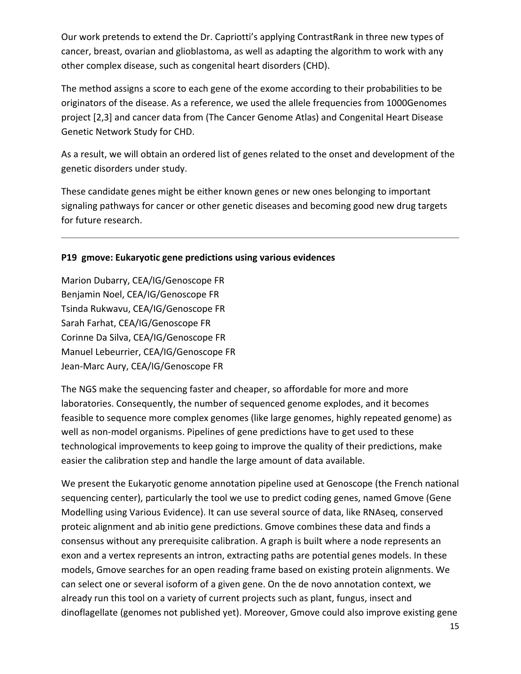Our work pretends to extend the Dr. Capriotti's applying ContrastRank in three new types of cancer, breast, ovarian and glioblastoma, as well as adapting the algorithm to work with any other complex disease, such as congenital heart disorders (CHD).

The method assigns a score to each gene of the exome according to their probabilities to be originators of the disease. As a reference, we used the allele frequencies from 1000Genomes project [2,3] and cancer data from (The Cancer Genome Atlas) and Congenital Heart Disease Genetic Network Study for CHD.

As a result, we will obtain an ordered list of genes related to the onset and development of the genetic disorders under study.

These candidate genes might be either known genes or new ones belonging to important signaling pathways for cancer or other genetic diseases and becoming good new drug targets for future research.

#### **P19 gmove: Eukaryotic gene predictions using various evidences**

Marion Dubarry, CEA/IG/Genoscope FR Benjamin Noel, CEA/IG/Genoscope FR Tsinda Rukwavu, CEA/IG/Genoscope FR Sarah Farhat, CEA/IG/Genoscope FR Corinne Da Silva, CEA/IG/Genoscope FR Manuel Lebeurrier, CEA/IG/Genoscope FR Jean‐Marc Aury, CEA/IG/Genoscope FR

The NGS make the sequencing faster and cheaper, so affordable for more and more laboratories. Consequently, the number of sequenced genome explodes, and it becomes feasible to sequence more complex genomes (like large genomes, highly repeated genome) as well as non-model organisms. Pipelines of gene predictions have to get used to these technological improvements to keep going to improve the quality of their predictions, make easier the calibration step and handle the large amount of data available.

We present the Eukaryotic genome annotation pipeline used at Genoscope (the French national sequencing center), particularly the tool we use to predict coding genes, named Gmove (Gene Modelling using Various Evidence). It can use several source of data, like RNAseq, conserved proteic alignment and ab initio gene predictions. Gmove combines these data and finds a consensus without any prerequisite calibration. A graph is built where a node represents an exon and a vertex represents an intron, extracting paths are potential genes models. In these models, Gmove searches for an open reading frame based on existing protein alignments. We can select one or several isoform of a given gene. On the de novo annotation context, we already run this tool on a variety of current projects such as plant, fungus, insect and dinoflagellate (genomes not published yet). Moreover, Gmove could also improve existing gene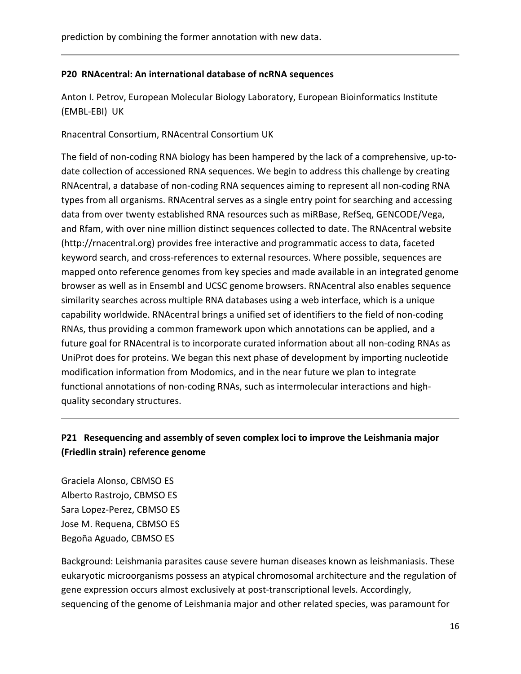#### **P20 RNAcentral: An international database of ncRNA sequences**

Anton I. Petrov, European Molecular Biology Laboratory, European Bioinformatics Institute (EMBL‐EBI) UK

Rnacentral Consortium, RNAcentral Consortium UK

The field of non‐coding RNA biology has been hampered by the lack of a comprehensive, up‐to‐ date collection of accessioned RNA sequences. We begin to address this challenge by creating RNAcentral, a database of non‐coding RNA sequences aiming to represent all non‐coding RNA types from all organisms. RNAcentral serves as a single entry point for searching and accessing data from over twenty established RNA resources such as miRBase, RefSeq, GENCODE/Vega, and Rfam, with over nine million distinct sequences collected to date. The RNAcentral website (http://rnacentral.org) provides free interactive and programmatic access to data, faceted keyword search, and cross-references to external resources. Where possible, sequences are mapped onto reference genomes from key species and made available in an integrated genome browser as well as in Ensembl and UCSC genome browsers. RNAcentral also enables sequence similarity searches across multiple RNA databases using a web interface, which is a unique capability worldwide. RNAcentral brings a unified set of identifiers to the field of non‐coding RNAs, thus providing a common framework upon which annotations can be applied, and a future goal for RNAcentral is to incorporate curated information about all non‐coding RNAs as UniProt does for proteins. We began this next phase of development by importing nucleotide modification information from Modomics, and in the near future we plan to integrate functional annotations of non‐coding RNAs, such as intermolecular interactions and high‐ quality secondary structures.

### **P21 Resequencing and assembly of seven complex loci to improve the Leishmania major (Friedlin strain) reference genome**

Graciela Alonso, CBMSO ES Alberto Rastrojo, CBMSO ES Sara Lopez‐Perez, CBMSO ES Jose M. Requena, CBMSO ES Begoña Aguado, CBMSO ES

Background: Leishmania parasites cause severe human diseases known as leishmaniasis. These eukaryotic microorganisms possess an atypical chromosomal architecture and the regulation of gene expression occurs almost exclusively at post-transcriptional levels. Accordingly, sequencing of the genome of Leishmania major and other related species, was paramount for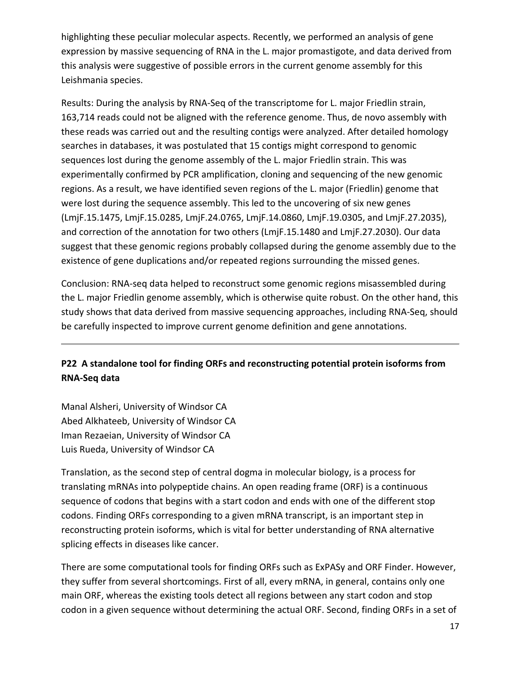highlighting these peculiar molecular aspects. Recently, we performed an analysis of gene expression by massive sequencing of RNA in the L. major promastigote, and data derived from this analysis were suggestive of possible errors in the current genome assembly for this Leishmania species.

Results: During the analysis by RNA‐Seq of the transcriptome for L. major Friedlin strain, 163,714 reads could not be aligned with the reference genome. Thus, de novo assembly with these reads was carried out and the resulting contigs were analyzed. After detailed homology searches in databases, it was postulated that 15 contigs might correspond to genomic sequences lost during the genome assembly of the L. major Friedlin strain. This was experimentally confirmed by PCR amplification, cloning and sequencing of the new genomic regions. As a result, we have identified seven regions of the L. major (Friedlin) genome that were lost during the sequence assembly. This led to the uncovering of six new genes (LmjF.15.1475, LmjF.15.0285, LmjF.24.0765, LmjF.14.0860, LmjF.19.0305, and LmjF.27.2035), and correction of the annotation for two others (LmjF.15.1480 and LmjF.27.2030). Our data suggest that these genomic regions probably collapsed during the genome assembly due to the existence of gene duplications and/or repeated regions surrounding the missed genes.

Conclusion: RNA‐seq data helped to reconstruct some genomic regions misassembled during the L. major Friedlin genome assembly, which is otherwise quite robust. On the other hand, this study shows that data derived from massive sequencing approaches, including RNA‐Seq, should be carefully inspected to improve current genome definition and gene annotations.

## **P22 A standalone tool for finding ORFs and reconstructing potential protein isoforms from RNA‐Seq data**

Manal Alsheri, University of Windsor CA Abed Alkhateeb, University of Windsor CA Iman Rezaeian, University of Windsor CA Luis Rueda, University of Windsor CA

Translation, as the second step of central dogma in molecular biology, is a process for translating mRNAs into polypeptide chains. An open reading frame (ORF) is a continuous sequence of codons that begins with a start codon and ends with one of the different stop codons. Finding ORFs corresponding to a given mRNA transcript, is an important step in reconstructing protein isoforms, which is vital for better understanding of RNA alternative splicing effects in diseases like cancer.

There are some computational tools for finding ORFs such as ExPASy and ORF Finder. However, they suffer from several shortcomings. First of all, every mRNA, in general, contains only one main ORF, whereas the existing tools detect all regions between any start codon and stop codon in a given sequence without determining the actual ORF. Second, finding ORFs in a set of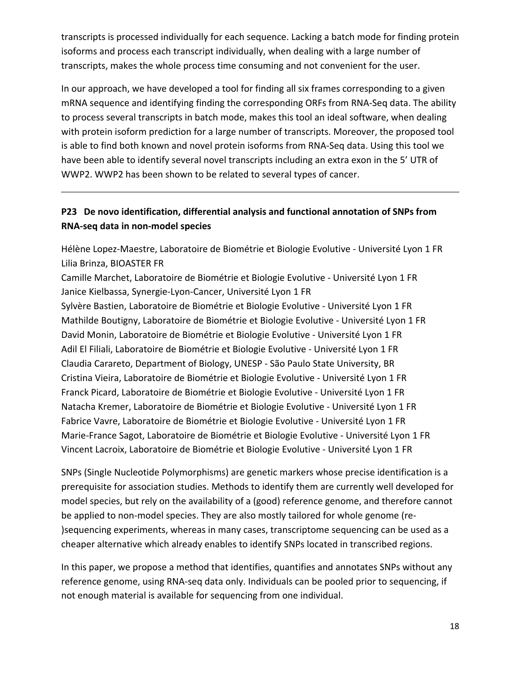transcripts is processed individually for each sequence. Lacking a batch mode for finding protein isoforms and process each transcript individually, when dealing with a large number of transcripts, makes the whole process time consuming and not convenient for the user.

In our approach, we have developed a tool for finding all six frames corresponding to a given mRNA sequence and identifying finding the corresponding ORFs from RNA‐Seq data. The ability to process several transcripts in batch mode, makes this tool an ideal software, when dealing with protein isoform prediction for a large number of transcripts. Moreover, the proposed tool is able to find both known and novel protein isoforms from RNA‐Seq data. Using this tool we have been able to identify several novel transcripts including an extra exon in the 5' UTR of WWP2. WWP2 has been shown to be related to several types of cancer.

### **P23 De novo identification, differential analysis and functional annotation of SNPs from RNA‐seq data in non‐model species**

Hélène Lopez‐Maestre, Laboratoire de Biométrie et Biologie Evolutive ‐ Université Lyon 1 FR Lilia Brinza, BIOASTER FR

Camille Marchet, Laboratoire de Biométrie et Biologie Evolutive ‐ Université Lyon 1 FR Janice Kielbassa, Synergie‐Lyon‐Cancer, Université Lyon 1 FR

Sylvère Bastien, Laboratoire de Biométrie et Biologie Evolutive ‐ Université Lyon 1 FR Mathilde Boutigny, Laboratoire de Biométrie et Biologie Evolutive ‐ Université Lyon 1 FR David Monin, Laboratoire de Biométrie et Biologie Evolutive ‐ Université Lyon 1 FR Adil El Filiali, Laboratoire de Biométrie et Biologie Evolutive ‐ Université Lyon 1 FR Claudia Carareto, Department of Biology, UNESP ‐ São Paulo State University, BR Cristina Vieira, Laboratoire de Biométrie et Biologie Evolutive ‐ Université Lyon 1 FR Franck Picard, Laboratoire de Biométrie et Biologie Evolutive ‐ Université Lyon 1 FR Natacha Kremer, Laboratoire de Biométrie et Biologie Evolutive ‐ Université Lyon 1 FR Fabrice Vavre, Laboratoire de Biométrie et Biologie Evolutive ‐ Université Lyon 1 FR Marie‐France Sagot, Laboratoire de Biométrie et Biologie Evolutive ‐ Université Lyon 1 FR Vincent Lacroix, Laboratoire de Biométrie et Biologie Evolutive ‐ Université Lyon 1 FR

SNPs (Single Nucleotide Polymorphisms) are genetic markers whose precise identification is a prerequisite for association studies. Methods to identify them are currently well developed for model species, but rely on the availability of a (good) reference genome, and therefore cannot be applied to non-model species. They are also mostly tailored for whole genome (re-)sequencing experiments, whereas in many cases, transcriptome sequencing can be used as a cheaper alternative which already enables to identify SNPs located in transcribed regions.

In this paper, we propose a method that identifies, quantifies and annotates SNPs without any reference genome, using RNA‐seq data only. Individuals can be pooled prior to sequencing, if not enough material is available for sequencing from one individual.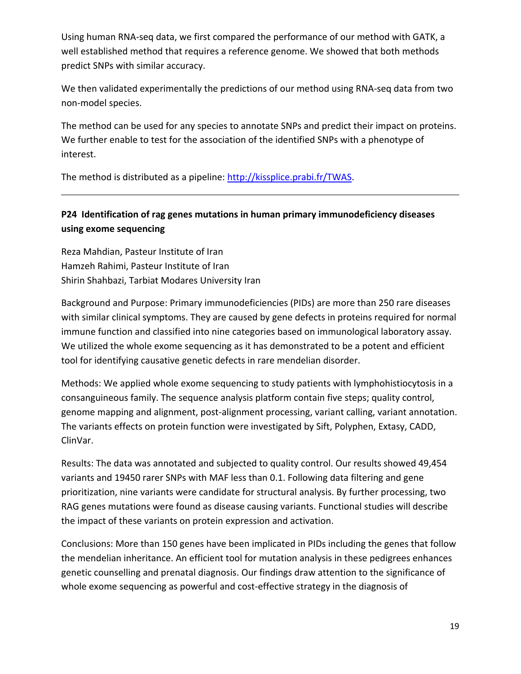Using human RNA‐seq data, we first compared the performance of our method with GATK, a well established method that requires a reference genome. We showed that both methods predict SNPs with similar accuracy.

We then validated experimentally the predictions of our method using RNA-seq data from two non‐model species.

The method can be used for any species to annotate SNPs and predict their impact on proteins. We further enable to test for the association of the identified SNPs with a phenotype of interest.

The method is distributed as a pipeline: http://kissplice.prabi.fr/TWAS.

## **P24 Identification of rag genes mutations in human primary immunodeficiency diseases using exome sequencing**

Reza Mahdian, Pasteur Institute of Iran Hamzeh Rahimi, Pasteur Institute of Iran Shirin Shahbazi, Tarbiat Modares University Iran

Background and Purpose: Primary immunodeficiencies (PIDs) are more than 250 rare diseases with similar clinical symptoms. They are caused by gene defects in proteins required for normal immune function and classified into nine categories based on immunological laboratory assay. We utilized the whole exome sequencing as it has demonstrated to be a potent and efficient tool for identifying causative genetic defects in rare mendelian disorder.

Methods: We applied whole exome sequencing to study patients with lymphohistiocytosis in a consanguineous family. The sequence analysis platform contain five steps; quality control, genome mapping and alignment, post-alignment processing, variant calling, variant annotation. The variants effects on protein function were investigated by Sift, Polyphen, Extasy, CADD, ClinVar.

Results: The data was annotated and subjected to quality control. Our results showed 49,454 variants and 19450 rarer SNPs with MAF less than 0.1. Following data filtering and gene prioritization, nine variants were candidate for structural analysis. By further processing, two RAG genes mutations were found as disease causing variants. Functional studies will describe the impact of these variants on protein expression and activation.

Conclusions: More than 150 genes have been implicated in PIDs including the genes that follow the mendelian inheritance. An efficient tool for mutation analysis in these pedigrees enhances genetic counselling and prenatal diagnosis. Our findings draw attention to the significance of whole exome sequencing as powerful and cost-effective strategy in the diagnosis of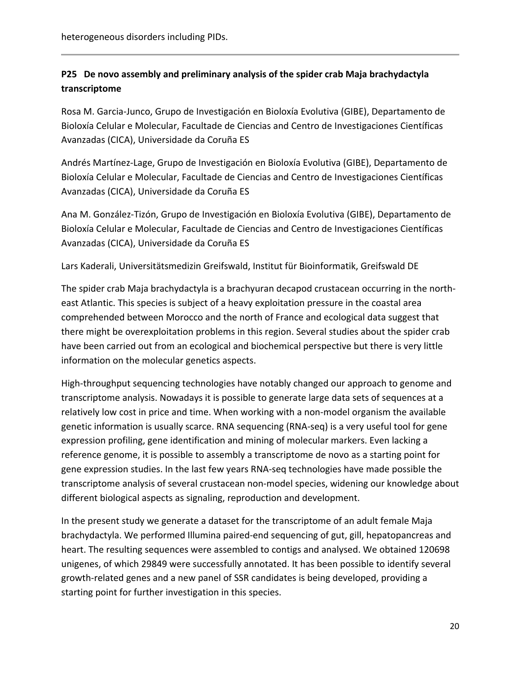## **P25 De novo assembly and preliminary analysis of the spider crab Maja brachydactyla transcriptome**

Rosa M. Garcia‐Junco, Grupo de Investigación en Bioloxía Evolutiva (GIBE), Departamento de Bioloxía Celular e Molecular, Facultade de Ciencias and Centro de Investigaciones Científicas Avanzadas (CICA), Universidade da Coruña ES

Andrés Martínez‐Lage, Grupo de Investigación en Bioloxía Evolutiva (GIBE), Departamento de Bioloxía Celular e Molecular, Facultade de Ciencias and Centro de Investigaciones Científicas Avanzadas (CICA), Universidade da Coruña ES

Ana M. González‐Tizón, Grupo de Investigación en Bioloxía Evolutiva (GIBE), Departamento de Bioloxía Celular e Molecular, Facultade de Ciencias and Centro de Investigaciones Científicas Avanzadas (CICA), Universidade da Coruña ES

Lars Kaderali, Universitätsmedizin Greifswald, Institut für Bioinformatik, Greifswald DE

The spider crab Maja brachydactyla is a brachyuran decapod crustacean occurring in the north‐ east Atlantic. This species is subject of a heavy exploitation pressure in the coastal area comprehended between Morocco and the north of France and ecological data suggest that there might be overexploitation problems in this region. Several studies about the spider crab have been carried out from an ecological and biochemical perspective but there is very little information on the molecular genetics aspects.

High-throughput sequencing technologies have notably changed our approach to genome and transcriptome analysis. Nowadays it is possible to generate large data sets of sequences at a relatively low cost in price and time. When working with a non‐model organism the available genetic information is usually scarce. RNA sequencing (RNA‐seq) is a very useful tool for gene expression profiling, gene identification and mining of molecular markers. Even lacking a reference genome, it is possible to assembly a transcriptome de novo as a starting point for gene expression studies. In the last few years RNA‐seq technologies have made possible the transcriptome analysis of several crustacean non‐model species, widening our knowledge about different biological aspects as signaling, reproduction and development.

In the present study we generate a dataset for the transcriptome of an adult female Maja brachydactyla. We performed Illumina paired‐end sequencing of gut, gill, hepatopancreas and heart. The resulting sequences were assembled to contigs and analysed. We obtained 120698 unigenes, of which 29849 were successfully annotated. It has been possible to identify several growth‐related genes and a new panel of SSR candidates is being developed, providing a starting point for further investigation in this species.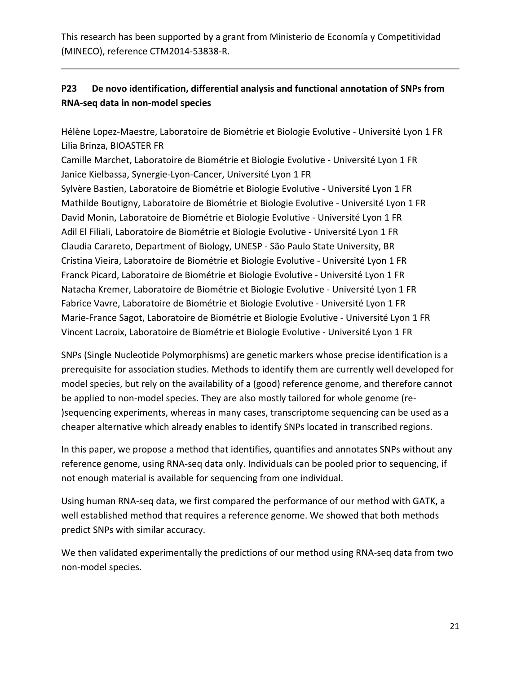This research has been supported by a grant from Ministerio de Economía y Competitividad (MINECO), reference CTM2014‐53838‐R.

## **P23 De novo identification, differential analysis and functional annotation of SNPs from RNA‐seq data in non‐model species**

Hélène Lopez‐Maestre, Laboratoire de Biométrie et Biologie Evolutive ‐ Université Lyon 1 FR Lilia Brinza, BIOASTER FR

Camille Marchet, Laboratoire de Biométrie et Biologie Evolutive ‐ Université Lyon 1 FR Janice Kielbassa, Synergie‐Lyon‐Cancer, Université Lyon 1 FR Sylvère Bastien, Laboratoire de Biométrie et Biologie Evolutive ‐ Université Lyon 1 FR Mathilde Boutigny, Laboratoire de Biométrie et Biologie Evolutive ‐ Université Lyon 1 FR David Monin, Laboratoire de Biométrie et Biologie Evolutive ‐ Université Lyon 1 FR Adil El Filiali, Laboratoire de Biométrie et Biologie Evolutive ‐ Université Lyon 1 FR Claudia Carareto, Department of Biology, UNESP ‐ São Paulo State University, BR Cristina Vieira, Laboratoire de Biométrie et Biologie Evolutive ‐ Université Lyon 1 FR Franck Picard, Laboratoire de Biométrie et Biologie Evolutive ‐ Université Lyon 1 FR Natacha Kremer, Laboratoire de Biométrie et Biologie Evolutive ‐ Université Lyon 1 FR Fabrice Vavre, Laboratoire de Biométrie et Biologie Evolutive ‐ Université Lyon 1 FR Marie‐France Sagot, Laboratoire de Biométrie et Biologie Evolutive ‐ Université Lyon 1 FR Vincent Lacroix, Laboratoire de Biométrie et Biologie Evolutive ‐ Université Lyon 1 FR

SNPs (Single Nucleotide Polymorphisms) are genetic markers whose precise identification is a prerequisite for association studies. Methods to identify them are currently well developed for model species, but rely on the availability of a (good) reference genome, and therefore cannot be applied to non-model species. They are also mostly tailored for whole genome (re-)sequencing experiments, whereas in many cases, transcriptome sequencing can be used as a cheaper alternative which already enables to identify SNPs located in transcribed regions.

In this paper, we propose a method that identifies, quantifies and annotates SNPs without any reference genome, using RNA‐seq data only. Individuals can be pooled prior to sequencing, if not enough material is available for sequencing from one individual.

Using human RNA‐seq data, we first compared the performance of our method with GATK, a well established method that requires a reference genome. We showed that both methods predict SNPs with similar accuracy.

We then validated experimentally the predictions of our method using RNA‐seq data from two non‐model species.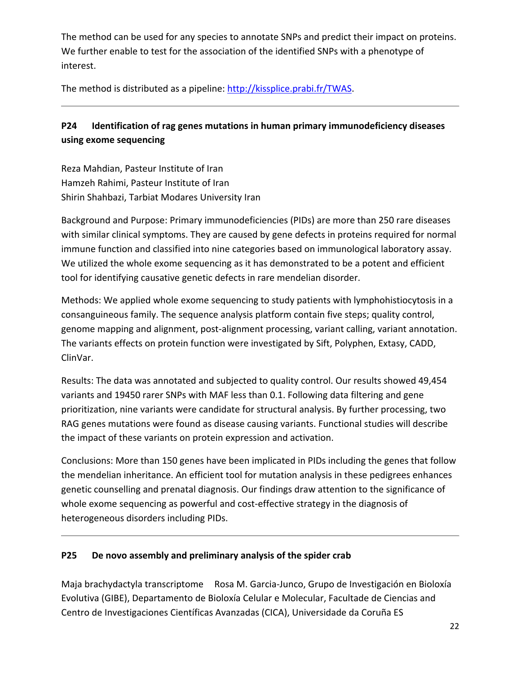The method can be used for any species to annotate SNPs and predict their impact on proteins. We further enable to test for the association of the identified SNPs with a phenotype of interest.

The method is distributed as a pipeline: http://kissplice.prabi.fr/TWAS.

## **P24 Identification of rag genes mutations in human primary immunodeficiency diseases using exome sequencing**

Reza Mahdian, Pasteur Institute of Iran Hamzeh Rahimi, Pasteur Institute of Iran Shirin Shahbazi, Tarbiat Modares University Iran

Background and Purpose: Primary immunodeficiencies (PIDs) are more than 250 rare diseases with similar clinical symptoms. They are caused by gene defects in proteins required for normal immune function and classified into nine categories based on immunological laboratory assay. We utilized the whole exome sequencing as it has demonstrated to be a potent and efficient tool for identifying causative genetic defects in rare mendelian disorder.

Methods: We applied whole exome sequencing to study patients with lymphohistiocytosis in a consanguineous family. The sequence analysis platform contain five steps; quality control, genome mapping and alignment, post-alignment processing, variant calling, variant annotation. The variants effects on protein function were investigated by Sift, Polyphen, Extasy, CADD, ClinVar.

Results: The data was annotated and subjected to quality control. Our results showed 49,454 variants and 19450 rarer SNPs with MAF less than 0.1. Following data filtering and gene prioritization, nine variants were candidate for structural analysis. By further processing, two RAG genes mutations were found as disease causing variants. Functional studies will describe the impact of these variants on protein expression and activation.

Conclusions: More than 150 genes have been implicated in PIDs including the genes that follow the mendelian inheritance. An efficient tool for mutation analysis in these pedigrees enhances genetic counselling and prenatal diagnosis. Our findings draw attention to the significance of whole exome sequencing as powerful and cost-effective strategy in the diagnosis of heterogeneous disorders including PIDs.

#### **P25 De novo assembly and preliminary analysis of the spider crab**

Maja brachydactyla transcriptome Rosa M. Garcia‐Junco, Grupo de Investigación en Bioloxía Evolutiva (GIBE), Departamento de Bioloxía Celular e Molecular, Facultade de Ciencias and Centro de Investigaciones Científicas Avanzadas (CICA), Universidade da Coruña ES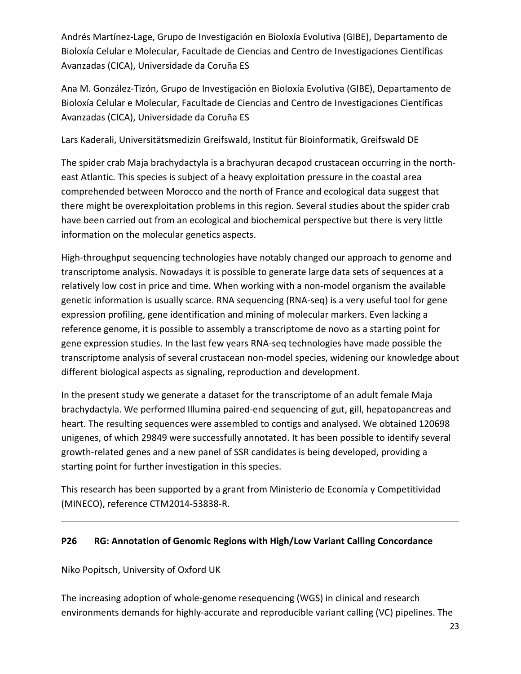Andrés Martínez‐Lage, Grupo de Investigación en Bioloxía Evolutiva (GIBE), Departamento de Bioloxía Celular e Molecular, Facultade de Ciencias and Centro de Investigaciones Científicas Avanzadas (CICA), Universidade da Coruña ES

Ana M. González‐Tizón, Grupo de Investigación en Bioloxía Evolutiva (GIBE), Departamento de Bioloxía Celular e Molecular, Facultade de Ciencias and Centro de Investigaciones Científicas Avanzadas (CICA), Universidade da Coruña ES

Lars Kaderali, Universitätsmedizin Greifswald, Institut für Bioinformatik, Greifswald DE

The spider crab Maja brachydactyla is a brachyuran decapod crustacean occurring in the north‐ east Atlantic. This species is subject of a heavy exploitation pressure in the coastal area comprehended between Morocco and the north of France and ecological data suggest that there might be overexploitation problems in this region. Several studies about the spider crab have been carried out from an ecological and biochemical perspective but there is very little information on the molecular genetics aspects.

High-throughput sequencing technologies have notably changed our approach to genome and transcriptome analysis. Nowadays it is possible to generate large data sets of sequences at a relatively low cost in price and time. When working with a non‐model organism the available genetic information is usually scarce. RNA sequencing (RNA‐seq) is a very useful tool for gene expression profiling, gene identification and mining of molecular markers. Even lacking a reference genome, it is possible to assembly a transcriptome de novo as a starting point for gene expression studies. In the last few years RNA‐seq technologies have made possible the transcriptome analysis of several crustacean non‐model species, widening our knowledge about different biological aspects as signaling, reproduction and development.

In the present study we generate a dataset for the transcriptome of an adult female Maja brachydactyla. We performed Illumina paired‐end sequencing of gut, gill, hepatopancreas and heart. The resulting sequences were assembled to contigs and analysed. We obtained 120698 unigenes, of which 29849 were successfully annotated. It has been possible to identify several growth‐related genes and a new panel of SSR candidates is being developed, providing a starting point for further investigation in this species.

This research has been supported by a grant from Ministerio de Economía y Competitividad (MINECO), reference CTM2014‐53838‐R.

### **P26 RG: Annotation of Genomic Regions with High/Low Variant Calling Concordance**

Niko Popitsch, University of Oxford UK

The increasing adoption of whole‐genome resequencing (WGS) in clinical and research environments demands for highly‐accurate and reproducible variant calling (VC) pipelines. The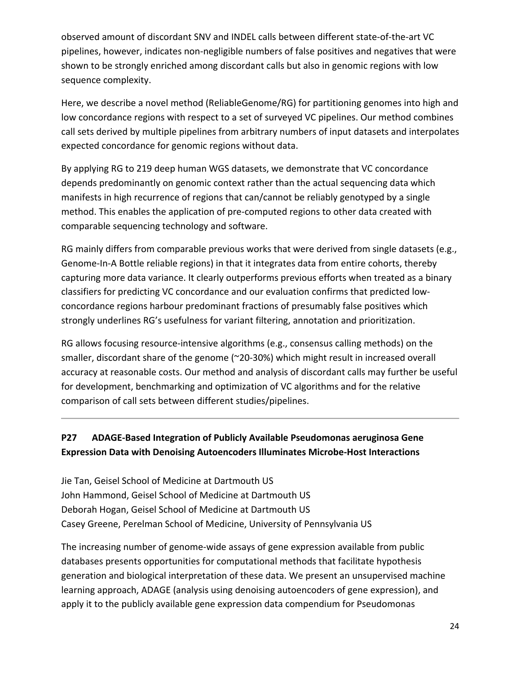observed amount of discordant SNV and INDEL calls between different state‐of‐the‐art VC pipelines, however, indicates non‐negligible numbers of false positives and negatives that were shown to be strongly enriched among discordant calls but also in genomic regions with low sequence complexity.

Here, we describe a novel method (ReliableGenome/RG) for partitioning genomes into high and low concordance regions with respect to a set of surveyed VC pipelines. Our method combines call sets derived by multiple pipelines from arbitrary numbers of input datasets and interpolates expected concordance for genomic regions without data.

By applying RG to 219 deep human WGS datasets, we demonstrate that VC concordance depends predominantly on genomic context rather than the actual sequencing data which manifests in high recurrence of regions that can/cannot be reliably genotyped by a single method. This enables the application of pre‐computed regions to other data created with comparable sequencing technology and software.

RG mainly differs from comparable previous works that were derived from single datasets (e.g., Genome‐In‐A Bottle reliable regions) in that it integrates data from entire cohorts, thereby capturing more data variance. It clearly outperforms previous efforts when treated as a binary classifiers for predicting VC concordance and our evaluation confirms that predicted low‐ concordance regions harbour predominant fractions of presumably false positives which strongly underlines RG's usefulness for variant filtering, annotation and prioritization.

RG allows focusing resource‐intensive algorithms (e.g., consensus calling methods) on the smaller, discordant share of the genome (~20-30%) which might result in increased overall accuracy at reasonable costs. Our method and analysis of discordant calls may further be useful for development, benchmarking and optimization of VC algorithms and for the relative comparison of call sets between different studies/pipelines.

## **P27 ADAGE‐Based Integration of Publicly Available Pseudomonas aeruginosa Gene Expression Data with Denoising Autoencoders Illuminates Microbe‐Host Interactions**

Jie Tan, Geisel School of Medicine at Dartmouth US John Hammond, Geisel School of Medicine at Dartmouth US Deborah Hogan, Geisel School of Medicine at Dartmouth US Casey Greene, Perelman School of Medicine, University of Pennsylvania US

The increasing number of genome‐wide assays of gene expression available from public databases presents opportunities for computational methods that facilitate hypothesis generation and biological interpretation of these data. We present an unsupervised machine learning approach, ADAGE (analysis using denoising autoencoders of gene expression), and apply it to the publicly available gene expression data compendium for Pseudomonas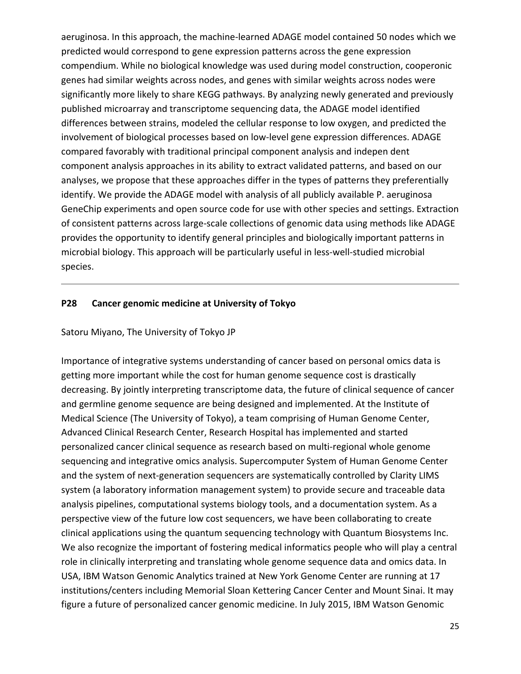aeruginosa. In this approach, the machine‐learned ADAGE model contained 50 nodes which we predicted would correspond to gene expression patterns across the gene expression compendium. While no biological knowledge was used during model construction, cooperonic genes had similar weights across nodes, and genes with similar weights across nodes were significantly more likely to share KEGG pathways. By analyzing newly generated and previously published microarray and transcriptome sequencing data, the ADAGE model identified differences between strains, modeled the cellular response to low oxygen, and predicted the involvement of biological processes based on low‐level gene expression differences. ADAGE compared favorably with traditional principal component analysis and indepen dent component analysis approaches in its ability to extract validated patterns, and based on our analyses, we propose that these approaches differ in the types of patterns they preferentially identify. We provide the ADAGE model with analysis of all publicly available P. aeruginosa GeneChip experiments and open source code for use with other species and settings. Extraction of consistent patterns across large‐scale collections of genomic data using methods like ADAGE provides the opportunity to identify general principles and biologically important patterns in microbial biology. This approach will be particularly useful in less‐well‐studied microbial species.

#### **P28 Cancer genomic medicine at University of Tokyo**

#### Satoru Miyano, The University of Tokyo JP

Importance of integrative systems understanding of cancer based on personal omics data is getting more important while the cost for human genome sequence cost is drastically decreasing. By jointly interpreting transcriptome data, the future of clinical sequence of cancer and germline genome sequence are being designed and implemented. At the Institute of Medical Science (The University of Tokyo), a team comprising of Human Genome Center, Advanced Clinical Research Center, Research Hospital has implemented and started personalized cancer clinical sequence as research based on multi‐regional whole genome sequencing and integrative omics analysis. Supercomputer System of Human Genome Center and the system of next-generation sequencers are systematically controlled by Clarity LIMS system (a laboratory information management system) to provide secure and traceable data analysis pipelines, computational systems biology tools, and a documentation system. As a perspective view of the future low cost sequencers, we have been collaborating to create clinical applications using the quantum sequencing technology with Quantum Biosystems Inc. We also recognize the important of fostering medical informatics people who will play a central role in clinically interpreting and translating whole genome sequence data and omics data. In USA, IBM Watson Genomic Analytics trained at New York Genome Center are running at 17 institutions/centers including Memorial Sloan Kettering Cancer Center and Mount Sinai. It may figure a future of personalized cancer genomic medicine. In July 2015, IBM Watson Genomic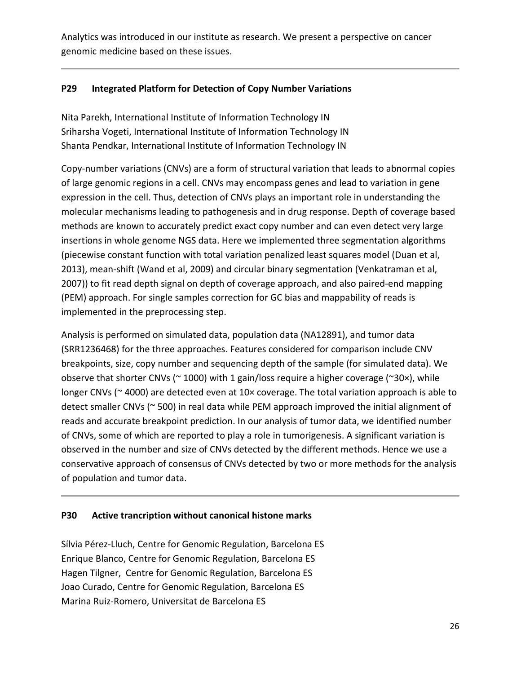Analytics was introduced in our institute as research. We present a perspective on cancer genomic medicine based on these issues.

#### **P29 Integrated Platform for Detection of Copy Number Variations**

Nita Parekh, International Institute of Information Technology IN Sriharsha Vogeti, International Institute of Information Technology IN Shanta Pendkar, International Institute of Information Technology IN

Copy‐number variations (CNVs) are a form of structural variation that leads to abnormal copies of large genomic regions in a cell. CNVs may encompass genes and lead to variation in gene expression in the cell. Thus, detection of CNVs plays an important role in understanding the molecular mechanisms leading to pathogenesis and in drug response. Depth of coverage based methods are known to accurately predict exact copy number and can even detect very large insertions in whole genome NGS data. Here we implemented three segmentation algorithms (piecewise constant function with total variation penalized least squares model (Duan et al, 2013), mean‐shift (Wand et al, 2009) and circular binary segmentation (Venkatraman et al, 2007)) to fit read depth signal on depth of coverage approach, and also paired-end mapping (PEM) approach. For single samples correction for GC bias and mappability of reads is implemented in the preprocessing step.

Analysis is performed on simulated data, population data (NA12891), and tumor data (SRR1236468) for the three approaches. Features considered for comparison include CNV breakpoints, size, copy number and sequencing depth of the sample (for simulated data). We observe that shorter CNVs ( $\sim$  1000) with 1 gain/loss require a higher coverage ( $\sim$ 30×), while longer CNVs (~4000) are detected even at 10× coverage. The total variation approach is able to detect smaller CNVs (~ 500) in real data while PEM approach improved the initial alignment of reads and accurate breakpoint prediction. In our analysis of tumor data, we identified number of CNVs, some of which are reported to play a role in tumorigenesis. A significant variation is observed in the number and size of CNVs detected by the different methods. Hence we use a conservative approach of consensus of CNVs detected by two or more methods for the analysis of population and tumor data.

#### **P30 Active trancription without canonical histone marks**

Sílvia Pérez‐Lluch, Centre for Genomic Regulation, Barcelona ES Enrique Blanco, Centre for Genomic Regulation, Barcelona ES Hagen Tilgner, Centre for Genomic Regulation, Barcelona ES Joao Curado, Centre for Genomic Regulation, Barcelona ES Marina Ruiz‐Romero, Universitat de Barcelona ES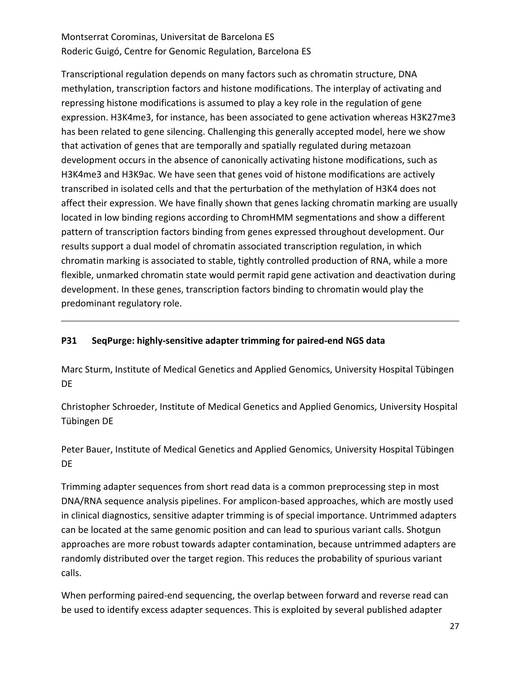## Montserrat Corominas, Universitat de Barcelona ES Roderic Guigó, Centre for Genomic Regulation, Barcelona ES

Transcriptional regulation depends on many factors such as chromatin structure, DNA methylation, transcription factors and histone modifications. The interplay of activating and repressing histone modifications is assumed to play a key role in the regulation of gene expression. H3K4me3, for instance, has been associated to gene activation whereas H3K27me3 has been related to gene silencing. Challenging this generally accepted model, here we show that activation of genes that are temporally and spatially regulated during metazoan development occurs in the absence of canonically activating histone modifications, such as H3K4me3 and H3K9ac. We have seen that genes void of histone modifications are actively transcribed in isolated cells and that the perturbation of the methylation of H3K4 does not affect their expression. We have finally shown that genes lacking chromatin marking are usually located in low binding regions according to ChromHMM segmentations and show a different pattern of transcription factors binding from genes expressed throughout development. Our results support a dual model of chromatin associated transcription regulation, in which chromatin marking is associated to stable, tightly controlled production of RNA, while a more flexible, unmarked chromatin state would permit rapid gene activation and deactivation during development. In these genes, transcription factors binding to chromatin would play the predominant regulatory role.

### **P31 SeqPurge: highly‐sensitive adapter trimming for paired‐end NGS data**

Marc Sturm, Institute of Medical Genetics and Applied Genomics, University Hospital Tübingen DE

Christopher Schroeder, Institute of Medical Genetics and Applied Genomics, University Hospital Tübingen DE

Peter Bauer, Institute of Medical Genetics and Applied Genomics, University Hospital Tübingen DE

Trimming adapter sequences from short read data is a common preprocessing step in most DNA/RNA sequence analysis pipelines. For amplicon‐based approaches, which are mostly used in clinical diagnostics, sensitive adapter trimming is of special importance. Untrimmed adapters can be located at the same genomic position and can lead to spurious variant calls. Shotgun approaches are more robust towards adapter contamination, because untrimmed adapters are randomly distributed over the target region. This reduces the probability of spurious variant calls.

When performing paired-end sequencing, the overlap between forward and reverse read can be used to identify excess adapter sequences. This is exploited by several published adapter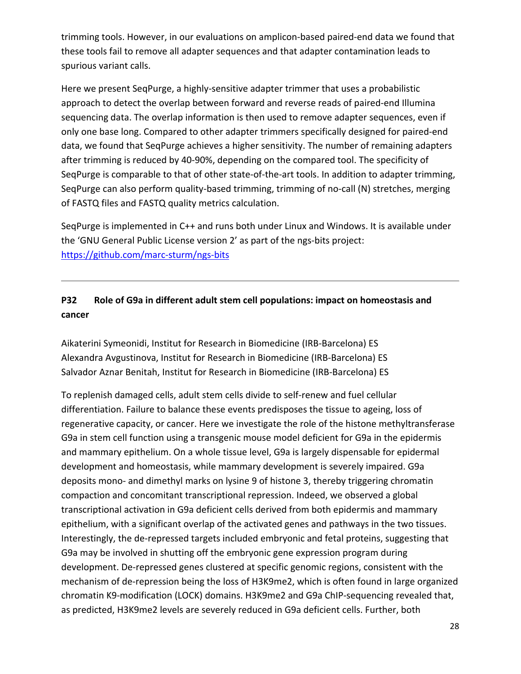trimming tools. However, in our evaluations on amplicon‐based paired‐end data we found that these tools fail to remove all adapter sequences and that adapter contamination leads to spurious variant calls.

Here we present SeqPurge, a highly-sensitive adapter trimmer that uses a probabilistic approach to detect the overlap between forward and reverse reads of paired‐end Illumina sequencing data. The overlap information is then used to remove adapter sequences, even if only one base long. Compared to other adapter trimmers specifically designed for paired‐end data, we found that SeqPurge achieves a higher sensitivity. The number of remaining adapters after trimming is reduced by 40‐90%, depending on the compared tool. The specificity of SeqPurge is comparable to that of other state-of-the-art tools. In addition to adapter trimming, SeqPurge can also perform quality-based trimming, trimming of no-call (N) stretches, merging of FASTQ files and FASTQ quality metrics calculation.

SeqPurge is implemented in C++ and runs both under Linux and Windows. It is available under the 'GNU General Public License version 2' as part of the ngs‐bits project: https://github.com/marc‐sturm/ngs‐bits

## **P32 Role of G9a in different adult stem cell populations: impact on homeostasis and cancer**

Aikaterini Symeonidi, Institut for Research in Biomedicine (IRB‐Barcelona) ES Alexandra Avgustinova, Institut for Research in Biomedicine (IRB‐Barcelona) ES Salvador Aznar Benitah, Institut for Research in Biomedicine (IRB‐Barcelona) ES

To replenish damaged cells, adult stem cells divide to self‐renew and fuel cellular differentiation. Failure to balance these events predisposes the tissue to ageing, loss of regenerative capacity, or cancer. Here we investigate the role of the histone methyltransferase G9a in stem cell function using a transgenic mouse model deficient for G9a in the epidermis and mammary epithelium. On a whole tissue level, G9a is largely dispensable for epidermal development and homeostasis, while mammary development is severely impaired. G9a deposits mono‐ and dimethyl marks on lysine 9 of histone 3, thereby triggering chromatin compaction and concomitant transcriptional repression. Indeed, we observed a global transcriptional activation in G9a deficient cells derived from both epidermis and mammary epithelium, with a significant overlap of the activated genes and pathways in the two tissues. Interestingly, the de‐repressed targets included embryonic and fetal proteins, suggesting that G9a may be involved in shutting off the embryonic gene expression program during development. De‐repressed genes clustered at specific genomic regions, consistent with the mechanism of de‐repression being the loss of H3K9me2, which is often found in large organized chromatin K9‐modification (LOCK) domains. H3K9me2 and G9a ChIP‐sequencing revealed that, as predicted, H3K9me2 levels are severely reduced in G9a deficient cells. Further, both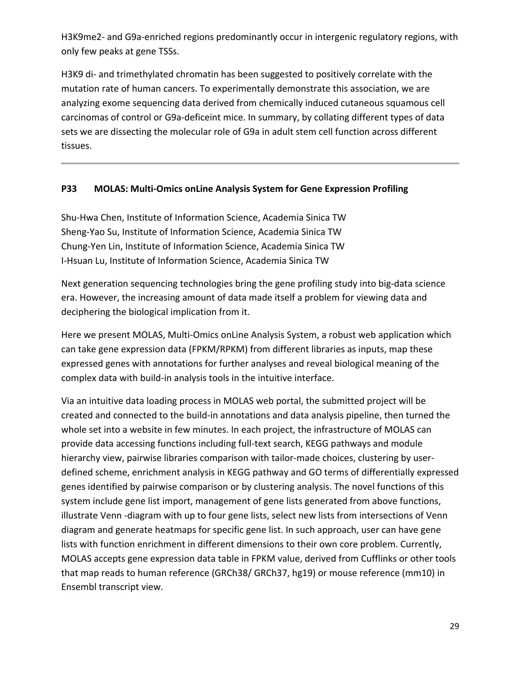H3K9me2- and G9a-enriched regions predominantly occur in intergenic regulatory regions, with only few peaks at gene TSSs.

H3K9 di- and trimethylated chromatin has been suggested to positively correlate with the mutation rate of human cancers. To experimentally demonstrate this association, we are analyzing exome sequencing data derived from chemically induced cutaneous squamous cell carcinomas of control or G9a‐deficeint mice. In summary, by collating different types of data sets we are dissecting the molecular role of G9a in adult stem cell function across different tissues.

#### **P33 MOLAS: Multi‐Omics onLine Analysis System for Gene Expression Profiling**

Shu‐Hwa Chen, Institute of Information Science, Academia Sinica TW Sheng‐Yao Su, Institute of Information Science, Academia Sinica TW Chung‐Yen Lin, Institute of Information Science, Academia Sinica TW I‐Hsuan Lu, Institute of Information Science, Academia Sinica TW

Next generation sequencing technologies bring the gene profiling study into big‐data science era. However, the increasing amount of data made itself a problem for viewing data and deciphering the biological implication from it.

Here we present MOLAS, Multi-Omics onLine Analysis System, a robust web application which can take gene expression data (FPKM/RPKM) from different libraries as inputs, map these expressed genes with annotations for further analyses and reveal biological meaning of the complex data with build‐in analysis tools in the intuitive interface.

Via an intuitive data loading process in MOLAS web portal, the submitted project will be created and connected to the build‐in annotations and data analysis pipeline, then turned the whole set into a website in few minutes. In each project, the infrastructure of MOLAS can provide data accessing functions including full‐text search, KEGG pathways and module hierarchy view, pairwise libraries comparison with tailor-made choices, clustering by userdefined scheme, enrichment analysis in KEGG pathway and GO terms of differentially expressed genes identified by pairwise comparison or by clustering analysis. The novel functions of this system include gene list import, management of gene lists generated from above functions, illustrate Venn ‐diagram with up to four gene lists, select new lists from intersections of Venn diagram and generate heatmaps for specific gene list. In such approach, user can have gene lists with function enrichment in different dimensions to their own core problem. Currently, MOLAS accepts gene expression data table in FPKM value, derived from Cufflinks or other tools that map reads to human reference (GRCh38/ GRCh37, hg19) or mouse reference (mm10) in Ensembl transcript view.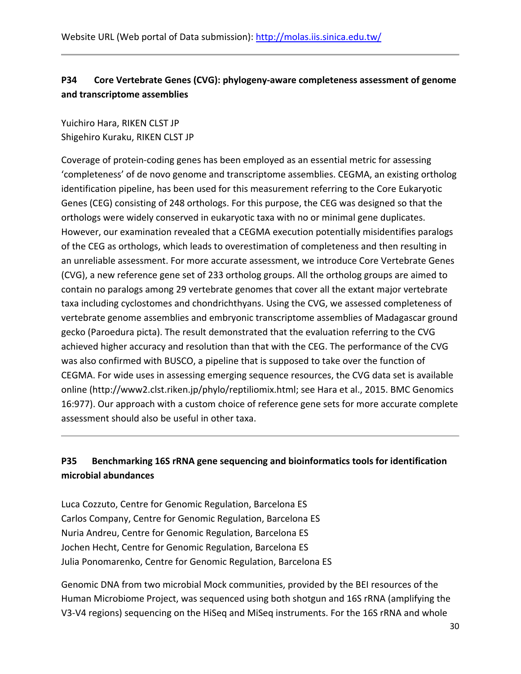# **P34 Core Vertebrate Genes (CVG): phylogeny‐aware completeness assessment of genome and transcriptome assemblies**

Yuichiro Hara, RIKEN CLST JP Shigehiro Kuraku, RIKEN CLST JP

Coverage of protein‐coding genes has been employed as an essential metric for assessing 'completeness' of de novo genome and transcriptome assemblies. CEGMA, an existing ortholog identification pipeline, has been used for this measurement referring to the Core Eukaryotic Genes (CEG) consisting of 248 orthologs. For this purpose, the CEG was designed so that the orthologs were widely conserved in eukaryotic taxa with no or minimal gene duplicates. However, our examination revealed that a CEGMA execution potentially misidentifies paralogs of the CEG as orthologs, which leads to overestimation of completeness and then resulting in an unreliable assessment. For more accurate assessment, we introduce Core Vertebrate Genes (CVG), a new reference gene set of 233 ortholog groups. All the ortholog groups are aimed to contain no paralogs among 29 vertebrate genomes that cover all the extant major vertebrate taxa including cyclostomes and chondrichthyans. Using the CVG, we assessed completeness of vertebrate genome assemblies and embryonic transcriptome assemblies of Madagascar ground gecko (Paroedura picta). The result demonstrated that the evaluation referring to the CVG achieved higher accuracy and resolution than that with the CEG. The performance of the CVG was also confirmed with BUSCO, a pipeline that is supposed to take over the function of CEGMA. For wide uses in assessing emerging sequence resources, the CVG data set is available online (http://www2.clst.riken.jp/phylo/reptiliomix.html; see Hara et al., 2015. BMC Genomics 16:977). Our approach with a custom choice of reference gene sets for more accurate complete assessment should also be useful in other taxa.

## **P35 Benchmarking 16S rRNA gene sequencing and bioinformatics tools for identification microbial abundances**

Luca Cozzuto, Centre for Genomic Regulation, Barcelona ES Carlos Company, Centre for Genomic Regulation, Barcelona ES Nuria Andreu, Centre for Genomic Regulation, Barcelona ES Jochen Hecht, Centre for Genomic Regulation, Barcelona ES Julia Ponomarenko, Centre for Genomic Regulation, Barcelona ES

Genomic DNA from two microbial Mock communities, provided by the BEI resources of the Human Microbiome Project, was sequenced using both shotgun and 16S rRNA (amplifying the V3‐V4 regions) sequencing on the HiSeq and MiSeq instruments. For the 16S rRNA and whole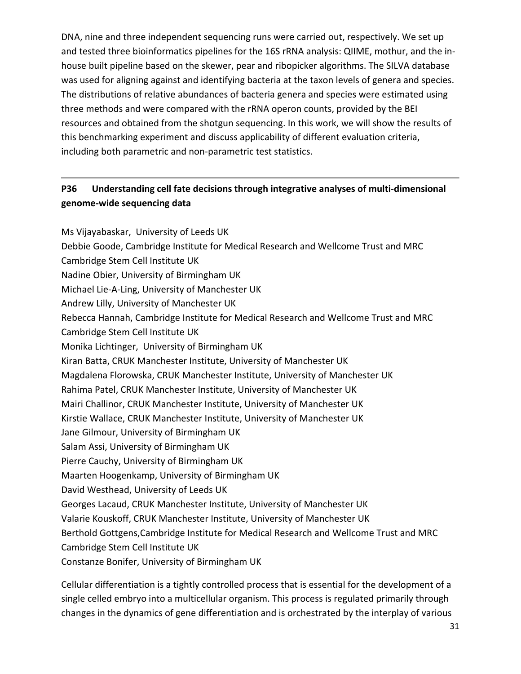DNA, nine and three independent sequencing runs were carried out, respectively. We set up and tested three bioinformatics pipelines for the 16S rRNA analysis: QIIME, mothur, and the in‐ house built pipeline based on the skewer, pear and ribopicker algorithms. The SILVA database was used for aligning against and identifying bacteria at the taxon levels of genera and species. The distributions of relative abundances of bacteria genera and species were estimated using three methods and were compared with the rRNA operon counts, provided by the BEI resources and obtained from the shotgun sequencing. In this work, we will show the results of this benchmarking experiment and discuss applicability of different evaluation criteria, including both parametric and non‐parametric test statistics.

## **P36 Understanding cell fate decisions through integrative analyses of multi‐dimensional genome‐wide sequencing data**

Ms Vijayabaskar, University of Leeds UK Debbie Goode, Cambridge Institute for Medical Research and Wellcome Trust and MRC Cambridge Stem Cell Institute UK Nadine Obier, University of Birmingham UK Michael Lie‐A‐Ling, University of Manchester UK Andrew Lilly, University of Manchester UK Rebecca Hannah, Cambridge Institute for Medical Research and Wellcome Trust and MRC Cambridge Stem Cell Institute UK Monika Lichtinger, University of Birmingham UK Kiran Batta, CRUK Manchester Institute, University of Manchester UK Magdalena Florowska, CRUK Manchester Institute, University of Manchester UK Rahima Patel, CRUK Manchester Institute, University of Manchester UK Mairi Challinor, CRUK Manchester Institute, University of Manchester UK Kirstie Wallace, CRUK Manchester Institute, University of Manchester UK Jane Gilmour, University of Birmingham UK Salam Assi, University of Birmingham UK Pierre Cauchy, University of Birmingham UK Maarten Hoogenkamp, University of Birmingham UK David Westhead, University of Leeds UK Georges Lacaud, CRUK Manchester Institute, University of Manchester UK Valarie Kouskoff, CRUK Manchester Institute, University of Manchester UK Berthold Gottgens,Cambridge Institute for Medical Research and Wellcome Trust and MRC Cambridge Stem Cell Institute UK Constanze Bonifer, University of Birmingham UK

Cellular differentiation is a tightly controlled process that is essential for the development of a single celled embryo into a multicellular organism. This process is regulated primarily through changes in the dynamics of gene differentiation and is orchestrated by the interplay of various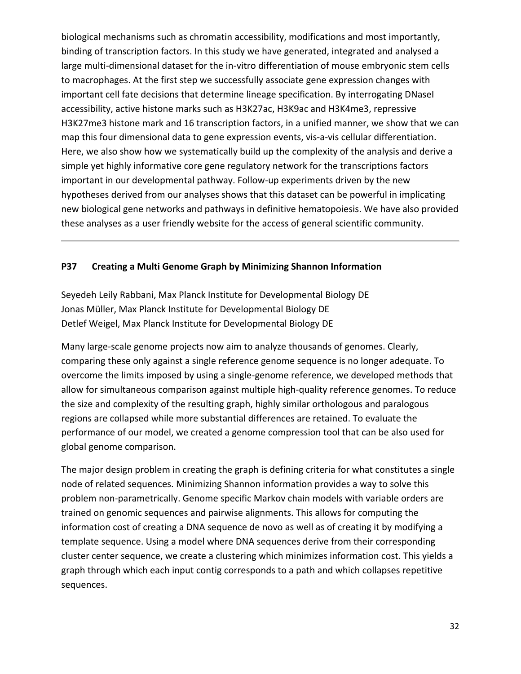biological mechanisms such as chromatin accessibility, modifications and most importantly, binding of transcription factors. In this study we have generated, integrated and analysed a large multi-dimensional dataset for the in-vitro differentiation of mouse embryonic stem cells to macrophages. At the first step we successfully associate gene expression changes with important cell fate decisions that determine lineage specification. By interrogating DNaseI accessibility, active histone marks such as H3K27ac, H3K9ac and H3K4me3, repressive H3K27me3 histone mark and 16 transcription factors, in a unified manner, we show that we can map this four dimensional data to gene expression events, vis-a-vis cellular differentiation. Here, we also show how we systematically build up the complexity of the analysis and derive a simple yet highly informative core gene regulatory network for the transcriptions factors important in our developmental pathway. Follow-up experiments driven by the new hypotheses derived from our analyses shows that this dataset can be powerful in implicating new biological gene networks and pathways in definitive hematopoiesis. We have also provided these analyses as a user friendly website for the access of general scientific community.

#### **P37 Creating a Multi Genome Graph by Minimizing Shannon Information**

Seyedeh Leily Rabbani, Max Planck Institute for Developmental Biology DE Jonas Müller, Max Planck Institute for Developmental Biology DE Detlef Weigel, Max Planck Institute for Developmental Biology DE

Many large-scale genome projects now aim to analyze thousands of genomes. Clearly, comparing these only against a single reference genome sequence is no longer adequate. To overcome the limits imposed by using a single‐genome reference, we developed methods that allow for simultaneous comparison against multiple high‐quality reference genomes. To reduce the size and complexity of the resulting graph, highly similar orthologous and paralogous regions are collapsed while more substantial differences are retained. To evaluate the performance of our model, we created a genome compression tool that can be also used for global genome comparison.

The major design problem in creating the graph is defining criteria for what constitutes a single node of related sequences. Minimizing Shannon information provides a way to solve this problem non‐parametrically. Genome specific Markov chain models with variable orders are trained on genomic sequences and pairwise alignments. This allows for computing the information cost of creating a DNA sequence de novo as well as of creating it by modifying a template sequence. Using a model where DNA sequences derive from their corresponding cluster center sequence, we create a clustering which minimizes information cost. This yields a graph through which each input contig corresponds to a path and which collapses repetitive sequences.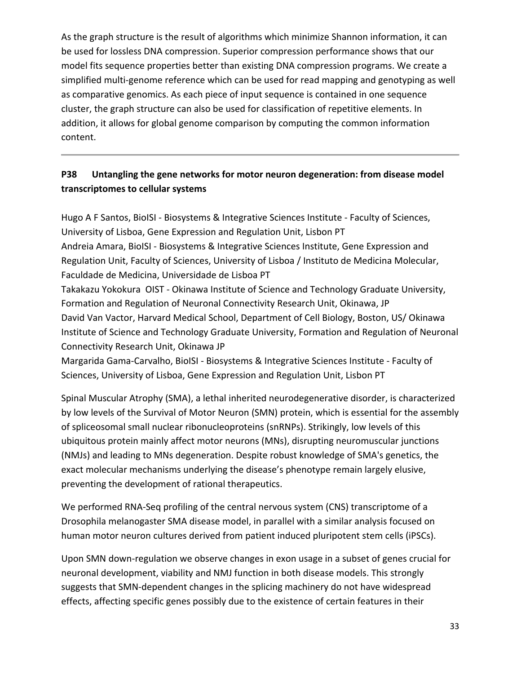As the graph structure is the result of algorithms which minimize Shannon information, it can be used for lossless DNA compression. Superior compression performance shows that our model fits sequence properties better than existing DNA compression programs. We create a simplified multi-genome reference which can be used for read mapping and genotyping as well as comparative genomics. As each piece of input sequence is contained in one sequence cluster, the graph structure can also be used for classification of repetitive elements. In addition, it allows for global genome comparison by computing the common information content.

## **P38 Untangling the gene networks for motor neuron degeneration: from disease model transcriptomes to cellular systems**

Hugo A F Santos, BioISI ‐ Biosystems & Integrative Sciences Institute ‐ Faculty of Sciences, University of Lisboa, Gene Expression and Regulation Unit, Lisbon PT Andreia Amara, BioISI ‐ Biosystems & Integrative Sciences Institute, Gene Expression and Regulation Unit, Faculty of Sciences, University of Lisboa / Instituto de Medicina Molecular, Faculdade de Medicina, Universidade de Lisboa PT Takakazu Yokokura OIST ‐ Okinawa Institute of Science and Technology Graduate University, Formation and Regulation of Neuronal Connectivity Research Unit, Okinawa, JP David Van Vactor, Harvard Medical School, Department of Cell Biology, Boston, US/ Okinawa Institute of Science and Technology Graduate University, Formation and Regulation of Neuronal Connectivity Research Unit, Okinawa JP

Margarida Gama‐Carvalho, BioISI ‐ Biosystems & Integrative Sciences Institute ‐ Faculty of Sciences, University of Lisboa, Gene Expression and Regulation Unit, Lisbon PT

Spinal Muscular Atrophy (SMA), a lethal inherited neurodegenerative disorder, is characterized by low levels of the Survival of Motor Neuron (SMN) protein, which is essential for the assembly of spliceosomal small nuclear ribonucleoproteins (snRNPs). Strikingly, low levels of this ubiquitous protein mainly affect motor neurons (MNs), disrupting neuromuscular junctions (NMJs) and leading to MNs degeneration. Despite robust knowledge of SMA's genetics, the exact molecular mechanisms underlying the disease's phenotype remain largely elusive, preventing the development of rational therapeutics.

We performed RNA-Seq profiling of the central nervous system (CNS) transcriptome of a Drosophila melanogaster SMA disease model, in parallel with a similar analysis focused on human motor neuron cultures derived from patient induced pluripotent stem cells (iPSCs).

Upon SMN down‐regulation we observe changes in exon usage in a subset of genes crucial for neuronal development, viability and NMJ function in both disease models. This strongly suggests that SMN‐dependent changes in the splicing machinery do not have widespread effects, affecting specific genes possibly due to the existence of certain features in their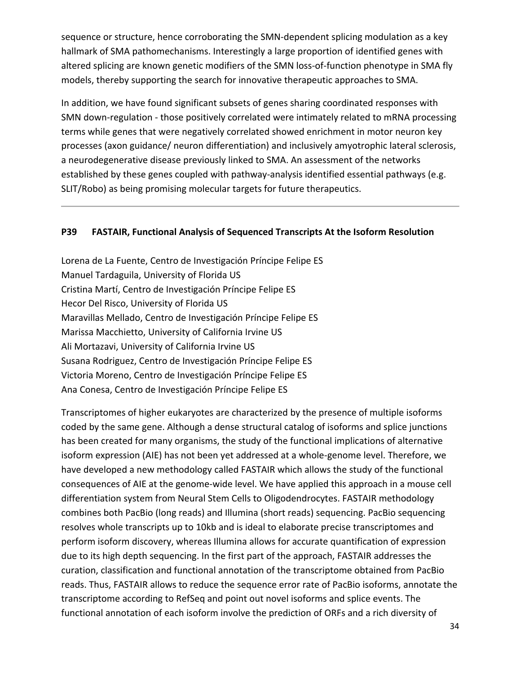sequence or structure, hence corroborating the SMN-dependent splicing modulation as a key hallmark of SMA pathomechanisms. Interestingly a large proportion of identified genes with altered splicing are known genetic modifiers of the SMN loss-of-function phenotype in SMA fly models, thereby supporting the search for innovative therapeutic approaches to SMA.

In addition, we have found significant subsets of genes sharing coordinated responses with SMN down‐regulation ‐ those positively correlated were intimately related to mRNA processing terms while genes that were negatively correlated showed enrichment in motor neuron key processes (axon guidance/ neuron differentiation) and inclusively amyotrophic lateral sclerosis, a neurodegenerative disease previously linked to SMA. An assessment of the networks established by these genes coupled with pathway-analysis identified essential pathways (e.g. SLIT/Robo) as being promising molecular targets for future therapeutics.

#### **P39 FASTAIR, Functional Analysis of Sequenced Transcripts At the Isoform Resolution**

Lorena de La Fuente, Centro de Investigación Príncipe Felipe ES Manuel Tardaguila, University of Florida US Cristina Martí, Centro de Investigación Príncipe Felipe ES Hecor Del Risco, University of Florida US Maravillas Mellado, Centro de Investigación Príncipe Felipe ES Marissa Macchietto, University of California Irvine US Ali Mortazavi, University of California Irvine US Susana Rodriguez, Centro de Investigación Príncipe Felipe ES Victoria Moreno, Centro de Investigación Príncipe Felipe ES Ana Conesa, Centro de Investigación Príncipe Felipe ES

Transcriptomes of higher eukaryotes are characterized by the presence of multiple isoforms coded by the same gene. Although a dense structural catalog of isoforms and splice junctions has been created for many organisms, the study of the functional implications of alternative isoform expression (AIE) has not been yet addressed at a whole‐genome level. Therefore, we have developed a new methodology called FASTAIR which allows the study of the functional consequences of AIE at the genome‐wide level. We have applied this approach in a mouse cell differentiation system from Neural Stem Cells to Oligodendrocytes. FASTAIR methodology combines both PacBio (long reads) and Illumina (short reads) sequencing. PacBio sequencing resolves whole transcripts up to 10kb and is ideal to elaborate precise transcriptomes and perform isoform discovery, whereas Illumina allows for accurate quantification of expression due to its high depth sequencing. In the first part of the approach, FASTAIR addresses the curation, classification and functional annotation of the transcriptome obtained from PacBio reads. Thus, FASTAIR allows to reduce the sequence error rate of PacBio isoforms, annotate the transcriptome according to RefSeq and point out novel isoforms and splice events. The functional annotation of each isoform involve the prediction of ORFs and a rich diversity of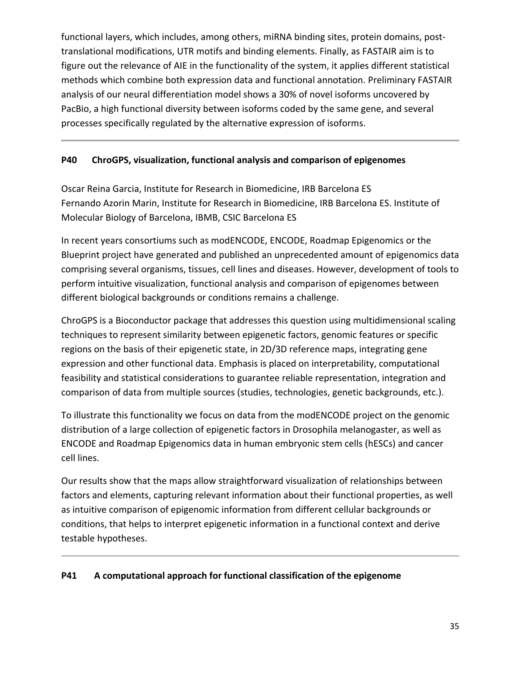functional layers, which includes, among others, miRNA binding sites, protein domains, post‐ translational modifications, UTR motifs and binding elements. Finally, as FASTAIR aim is to figure out the relevance of AIE in the functionality of the system, it applies different statistical methods which combine both expression data and functional annotation. Preliminary FASTAIR analysis of our neural differentiation model shows a 30% of novel isoforms uncovered by PacBio, a high functional diversity between isoforms coded by the same gene, and several processes specifically regulated by the alternative expression of isoforms.

#### **P40 ChroGPS, visualization, functional analysis and comparison of epigenomes**

Oscar Reina Garcia, Institute for Research in Biomedicine, IRB Barcelona ES Fernando Azorin Marin, Institute for Research in Biomedicine, IRB Barcelona ES. Institute of Molecular Biology of Barcelona, IBMB, CSIC Barcelona ES

In recent years consortiums such as modENCODE, ENCODE, Roadmap Epigenomics or the Blueprint project have generated and published an unprecedented amount of epigenomics data comprising several organisms, tissues, cell lines and diseases. However, development of tools to perform intuitive visualization, functional analysis and comparison of epigenomes between different biological backgrounds or conditions remains a challenge.

ChroGPS is a Bioconductor package that addresses this question using multidimensional scaling techniques to represent similarity between epigenetic factors, genomic features or specific regions on the basis of their epigenetic state, in 2D/3D reference maps, integrating gene expression and other functional data. Emphasis is placed on interpretability, computational feasibility and statistical considerations to guarantee reliable representation, integration and comparison of data from multiple sources (studies, technologies, genetic backgrounds, etc.).

To illustrate this functionality we focus on data from the modENCODE project on the genomic distribution of a large collection of epigenetic factors in Drosophila melanogaster, as well as ENCODE and Roadmap Epigenomics data in human embryonic stem cells (hESCs) and cancer cell lines.

Our results show that the maps allow straightforward visualization of relationships between factors and elements, capturing relevant information about their functional properties, as well as intuitive comparison of epigenomic information from different cellular backgrounds or conditions, that helps to interpret epigenetic information in a functional context and derive testable hypotheses.

#### **P41 A computational approach for functional classification of the epigenome**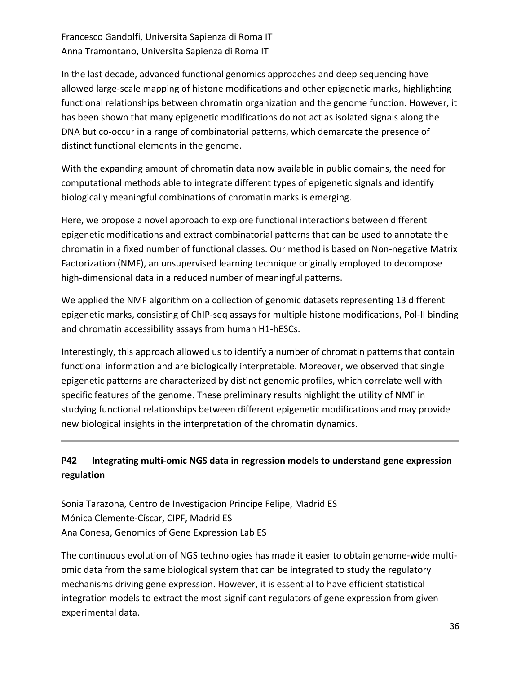## Francesco Gandolfi, Universita Sapienza di Roma IT Anna Tramontano, Universita Sapienza di Roma IT

In the last decade, advanced functional genomics approaches and deep sequencing have allowed large‐scale mapping of histone modifications and other epigenetic marks, highlighting functional relationships between chromatin organization and the genome function. However, it has been shown that many epigenetic modifications do not act as isolated signals along the DNA but co‐occur in a range of combinatorial patterns, which demarcate the presence of distinct functional elements in the genome.

With the expanding amount of chromatin data now available in public domains, the need for computational methods able to integrate different types of epigenetic signals and identify biologically meaningful combinations of chromatin marks is emerging.

Here, we propose a novel approach to explore functional interactions between different epigenetic modifications and extract combinatorial patterns that can be used to annotate the chromatin in a fixed number of functional classes. Our method is based on Non‐negative Matrix Factorization (NMF), an unsupervised learning technique originally employed to decompose high-dimensional data in a reduced number of meaningful patterns.

We applied the NMF algorithm on a collection of genomic datasets representing 13 different epigenetic marks, consisting of ChIP‐seq assays for multiple histone modifications, Pol‐II binding and chromatin accessibility assays from human H1‐hESCs.

Interestingly, this approach allowed us to identify a number of chromatin patterns that contain functional information and are biologically interpretable. Moreover, we observed that single epigenetic patterns are characterized by distinct genomic profiles, which correlate well with specific features of the genome. These preliminary results highlight the utility of NMF in studying functional relationships between different epigenetic modifications and may provide new biological insights in the interpretation of the chromatin dynamics.

# **P42 Integrating multi‐omic NGS data in regression models to understand gene expression regulation**

Sonia Tarazona, Centro de Investigacion Principe Felipe, Madrid ES Mónica Clemente‐Císcar, CIPF, Madrid ES Ana Conesa, Genomics of Gene Expression Lab ES

The continuous evolution of NGS technologies has made it easier to obtain genome-wide multiomic data from the same biological system that can be integrated to study the regulatory mechanisms driving gene expression. However, it is essential to have efficient statistical integration models to extract the most significant regulators of gene expression from given experimental data.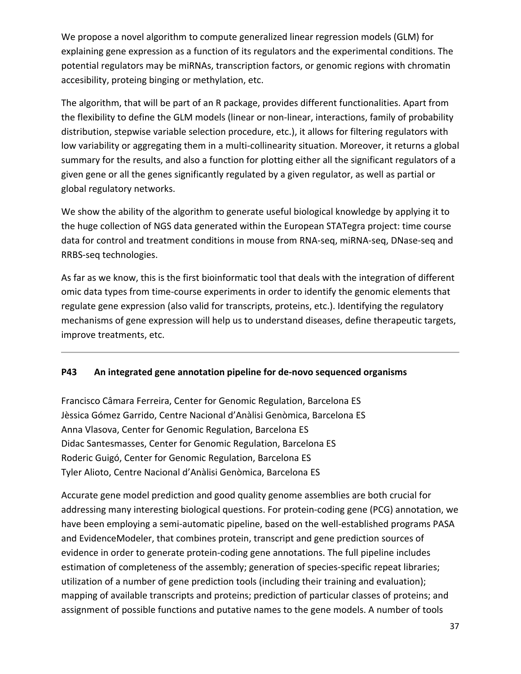We propose a novel algorithm to compute generalized linear regression models (GLM) for explaining gene expression as a function of its regulators and the experimental conditions. The potential regulators may be miRNAs, transcription factors, or genomic regions with chromatin accesibility, proteing binging or methylation, etc.

The algorithm, that will be part of an R package, provides different functionalities. Apart from the flexibility to define the GLM models (linear or non‐linear, interactions, family of probability distribution, stepwise variable selection procedure, etc.), it allows for filtering regulators with low variability or aggregating them in a multi-collinearity situation. Moreover, it returns a global summary for the results, and also a function for plotting either all the significant regulators of a given gene or all the genes significantly regulated by a given regulator, as well as partial or global regulatory networks.

We show the ability of the algorithm to generate useful biological knowledge by applying it to the huge collection of NGS data generated within the European STATegra project: time course data for control and treatment conditions in mouse from RNA‐seq, miRNA‐seq, DNase‐seq and RRBS‐seq technologies.

As far as we know, this is the first bioinformatic tool that deals with the integration of different omic data types from time‐course experiments in order to identify the genomic elements that regulate gene expression (also valid for transcripts, proteins, etc.). Identifying the regulatory mechanisms of gene expression will help us to understand diseases, define therapeutic targets, improve treatments, etc.

### **P43 An integrated gene annotation pipeline for de‐novo sequenced organisms**

Francisco Câmara Ferreira, Center for Genomic Regulation, Barcelona ES Jèssica Gómez Garrido, Centre Nacional d'Anàlisi Genòmica, Barcelona ES Anna Vlasova, Center for Genomic Regulation, Barcelona ES Didac Santesmasses, Center for Genomic Regulation, Barcelona ES Roderic Guigó, Center for Genomic Regulation, Barcelona ES Tyler Alioto, Centre Nacional d'Anàlisi Genòmica, Barcelona ES

Accurate gene model prediction and good quality genome assemblies are both crucial for addressing many interesting biological questions. For protein‐coding gene (PCG) annotation, we have been employing a semi-automatic pipeline, based on the well-established programs PASA and EvidenceModeler, that combines protein, transcript and gene prediction sources of evidence in order to generate protein‐coding gene annotations. The full pipeline includes estimation of completeness of the assembly; generation of species-specific repeat libraries; utilization of a number of gene prediction tools (including their training and evaluation); mapping of available transcripts and proteins; prediction of particular classes of proteins; and assignment of possible functions and putative names to the gene models. A number of tools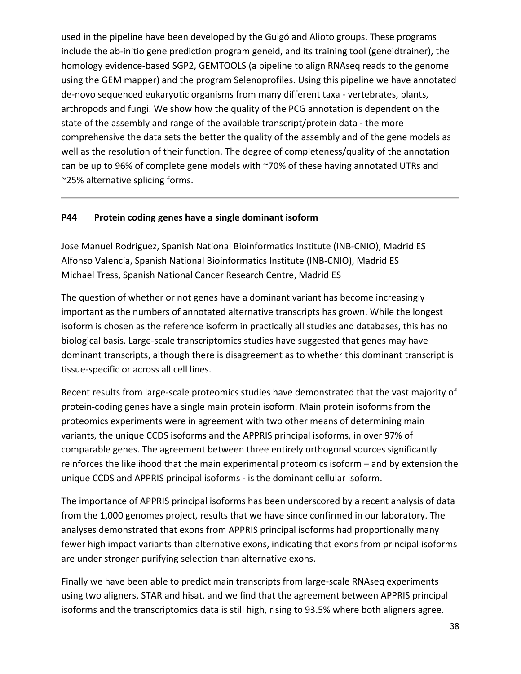used in the pipeline have been developed by the Guigó and Alioto groups. These programs include the ab-initio gene prediction program geneid, and its training tool (geneidtrainer), the homology evidence‐based SGP2, GEMTOOLS (a pipeline to align RNAseq reads to the genome using the GEM mapper) and the program Selenoprofiles. Using this pipeline we have annotated de‐novo sequenced eukaryotic organisms from many different taxa ‐ vertebrates, plants, arthropods and fungi. We show how the quality of the PCG annotation is dependent on the state of the assembly and range of the available transcript/protein data ‐ the more comprehensive the data sets the better the quality of the assembly and of the gene models as well as the resolution of their function. The degree of completeness/quality of the annotation can be up to 96% of complete gene models with ~70% of these having annotated UTRs and ~25% alternative splicing forms.

#### **P44 Protein coding genes have a single dominant isoform**

Jose Manuel Rodriguez, Spanish National Bioinformatics Institute (INB‐CNIO), Madrid ES Alfonso Valencia, Spanish National Bioinformatics Institute (INB‐CNIO), Madrid ES Michael Tress, Spanish National Cancer Research Centre, Madrid ES

The question of whether or not genes have a dominant variant has become increasingly important as the numbers of annotated alternative transcripts has grown. While the longest isoform is chosen as the reference isoform in practically all studies and databases, this has no biological basis. Large‐scale transcriptomics studies have suggested that genes may have dominant transcripts, although there is disagreement as to whether this dominant transcript is tissue‐specific or across all cell lines.

Recent results from large‐scale proteomics studies have demonstrated that the vast majority of protein‐coding genes have a single main protein isoform. Main protein isoforms from the proteomics experiments were in agreement with two other means of determining main variants, the unique CCDS isoforms and the APPRIS principal isoforms, in over 97% of comparable genes. The agreement between three entirely orthogonal sources significantly reinforces the likelihood that the main experimental proteomics isoform – and by extension the unique CCDS and APPRIS principal isoforms ‐ is the dominant cellular isoform.

The importance of APPRIS principal isoforms has been underscored by a recent analysis of data from the 1,000 genomes project, results that we have since confirmed in our laboratory. The analyses demonstrated that exons from APPRIS principal isoforms had proportionally many fewer high impact variants than alternative exons, indicating that exons from principal isoforms are under stronger purifying selection than alternative exons.

Finally we have been able to predict main transcripts from large-scale RNAseq experiments using two aligners, STAR and hisat, and we find that the agreement between APPRIS principal isoforms and the transcriptomics data is still high, rising to 93.5% where both aligners agree.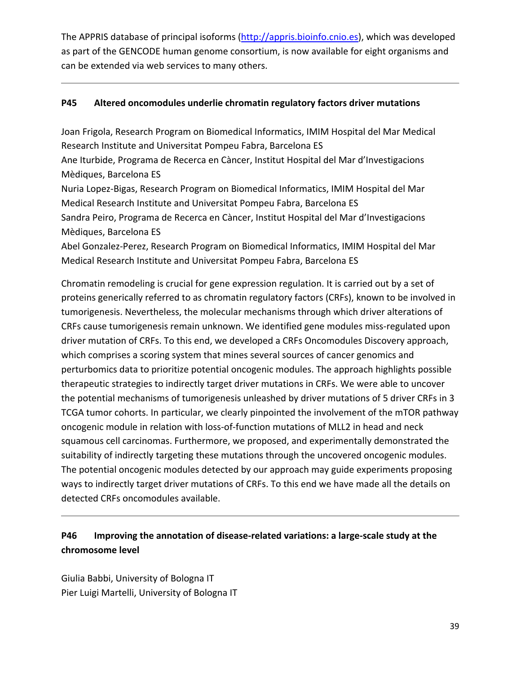The APPRIS database of principal isoforms (http://appris.bioinfo.cnio.es), which was developed as part of the GENCODE human genome consortium, is now available for eight organisms and can be extended via web services to many others.

### **P45 Altered oncomodules underlie chromatin regulatory factors driver mutations**

Joan Frigola, Research Program on Biomedical Informatics, IMIM Hospital del Mar Medical Research Institute and Universitat Pompeu Fabra, Barcelona ES Ane Iturbide, Programa de Recerca en Càncer, Institut Hospital del Mar d'Investigacions Mèdiques, Barcelona ES Nuria Lopez‐Bigas, Research Program on Biomedical Informatics, IMIM Hospital del Mar Medical Research Institute and Universitat Pompeu Fabra, Barcelona ES Sandra Peiro, Programa de Recerca en Càncer, Institut Hospital del Mar d'Investigacions Mèdiques, Barcelona ES Abel Gonzalez‐Perez, Research Program on Biomedical Informatics, IMIM Hospital del Mar Medical Research Institute and Universitat Pompeu Fabra, Barcelona ES

Chromatin remodeling is crucial for gene expression regulation. It is carried out by a set of proteins generically referred to as chromatin regulatory factors (CRFs), known to be involved in tumorigenesis. Nevertheless, the molecular mechanisms through which driver alterations of CRFs cause tumorigenesis remain unknown. We identified gene modules miss‐regulated upon driver mutation of CRFs. To this end, we developed a CRFs Oncomodules Discovery approach, which comprises a scoring system that mines several sources of cancer genomics and perturbomics data to prioritize potential oncogenic modules. The approach highlights possible therapeutic strategies to indirectly target driver mutations in CRFs. We were able to uncover the potential mechanisms of tumorigenesis unleashed by driver mutations of 5 driver CRFs in 3 TCGA tumor cohorts. In particular, we clearly pinpointed the involvement of the mTOR pathway oncogenic module in relation with loss‐of‐function mutations of MLL2 in head and neck squamous cell carcinomas. Furthermore, we proposed, and experimentally demonstrated the suitability of indirectly targeting these mutations through the uncovered oncogenic modules. The potential oncogenic modules detected by our approach may guide experiments proposing ways to indirectly target driver mutations of CRFs. To this end we have made all the details on detected CRFs oncomodules available.

# **P46 Improving the annotation of disease‐related variations: a large‐scale study at the chromosome level**

Giulia Babbi, University of Bologna IT Pier Luigi Martelli, University of Bologna IT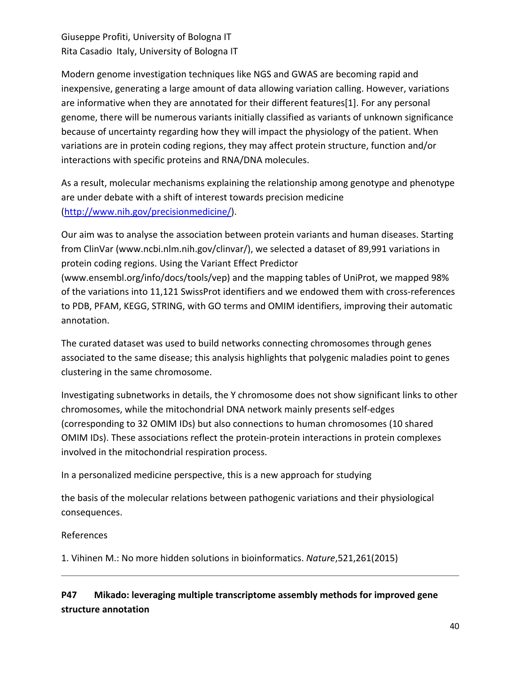Giuseppe Profiti, University of Bologna IT Rita Casadio Italy, University of Bologna IT

Modern genome investigation techniques like NGS and GWAS are becoming rapid and inexpensive, generating a large amount of data allowing variation calling. However, variations are informative when they are annotated for their different features[1]. For any personal genome, there will be numerous variants initially classified as variants of unknown significance because of uncertainty regarding how they will impact the physiology of the patient. When variations are in protein coding regions, they may affect protein structure, function and/or interactions with specific proteins and RNA/DNA molecules.

As a result, molecular mechanisms explaining the relationship among genotype and phenotype are under debate with a shift of interest towards precision medicine (http://www.nih.gov/precisionmedicine/).

Our aim was to analyse the association between protein variants and human diseases. Starting from ClinVar (www.ncbi.nlm.nih.gov/clinvar/), we selected a dataset of 89,991 variations in protein coding regions. Using the Variant Effect Predictor (www.ensembl.org/info/docs/tools/vep) and the mapping tables of UniProt, we mapped 98% of the variations into 11,121 SwissProt identifiers and we endowed them with cross-references to PDB, PFAM, KEGG, STRING, with GO terms and OMIM identifiers, improving their automatic

annotation.

The curated dataset was used to build networks connecting chromosomes through genes associated to the same disease; this analysis highlights that polygenic maladies point to genes clustering in the same chromosome.

Investigating subnetworks in details, the Y chromosome does not show significant links to other chromosomes, while the mitochondrial DNA network mainly presents self‐edges (corresponding to 32 OMIM IDs) but also connections to human chromosomes (10 shared OMIM IDs). These associations reflect the protein‐protein interactions in protein complexes involved in the mitochondrial respiration process.

In a personalized medicine perspective, this is a new approach for studying

the basis of the molecular relations between pathogenic variations and their physiological consequences.

References

1. Vihinen M.: No more hidden solutions in bioinformatics. *Nature*,521,261(2015)

## **P47 Mikado: leveraging multiple transcriptome assembly methods for improved gene structure annotation**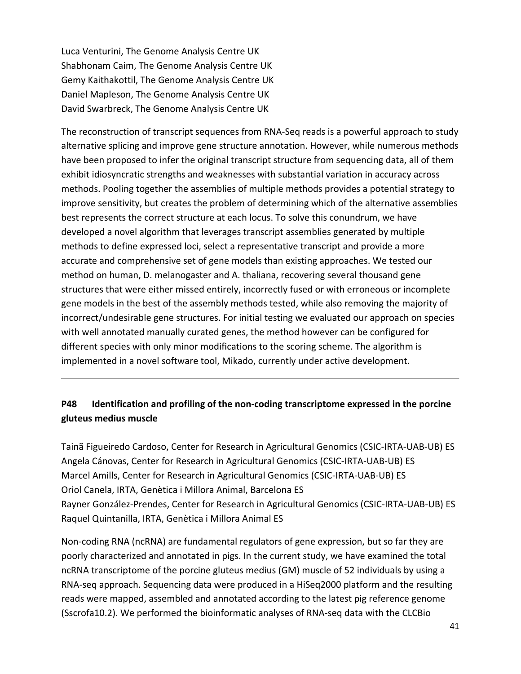Luca Venturini, The Genome Analysis Centre UK Shabhonam Caim, The Genome Analysis Centre UK Gemy Kaithakottil, The Genome Analysis Centre UK Daniel Mapleson, The Genome Analysis Centre UK David Swarbreck, The Genome Analysis Centre UK

The reconstruction of transcript sequences from RNA‐Seq reads is a powerful approach to study alternative splicing and improve gene structure annotation. However, while numerous methods have been proposed to infer the original transcript structure from sequencing data, all of them exhibit idiosyncratic strengths and weaknesses with substantial variation in accuracy across methods. Pooling together the assemblies of multiple methods provides a potential strategy to improve sensitivity, but creates the problem of determining which of the alternative assemblies best represents the correct structure at each locus. To solve this conundrum, we have developed a novel algorithm that leverages transcript assemblies generated by multiple methods to define expressed loci, select a representative transcript and provide a more accurate and comprehensive set of gene models than existing approaches. We tested our method on human, D. melanogaster and A. thaliana, recovering several thousand gene structures that were either missed entirely, incorrectly fused or with erroneous or incomplete gene models in the best of the assembly methods tested, while also removing the majority of incorrect/undesirable gene structures. For initial testing we evaluated our approach on species with well annotated manually curated genes, the method however can be configured for different species with only minor modifications to the scoring scheme. The algorithm is implemented in a novel software tool, Mikado, currently under active development.

## **P48 Identification and profiling of the non‐coding transcriptome expressed in the porcine gluteus medius muscle**

Tainã Figueiredo Cardoso, Center for Research in Agricultural Genomics (CSIC‐IRTA‐UAB‐UB) ES Angela Cánovas, Center for Research in Agricultural Genomics (CSIC‐IRTA‐UAB‐UB) ES Marcel Amills, Center for Research in Agricultural Genomics (CSIC‐IRTA‐UAB‐UB) ES Oriol Canela, IRTA, Genètica i Millora Animal, Barcelona ES Rayner González‐Prendes, Center for Research in Agricultural Genomics (CSIC‐IRTA‐UAB‐UB) ES Raquel Quintanilla, IRTA, Genètica i Millora Animal ES

Non-coding RNA (ncRNA) are fundamental regulators of gene expression, but so far they are poorly characterized and annotated in pigs. In the current study, we have examined the total ncRNA transcriptome of the porcine gluteus medius (GM) muscle of 52 individuals by using a RNA‐seq approach. Sequencing data were produced in a HiSeq2000 platform and the resulting reads were mapped, assembled and annotated according to the latest pig reference genome (Sscrofa10.2). We performed the bioinformatic analyses of RNA‐seq data with the CLCBio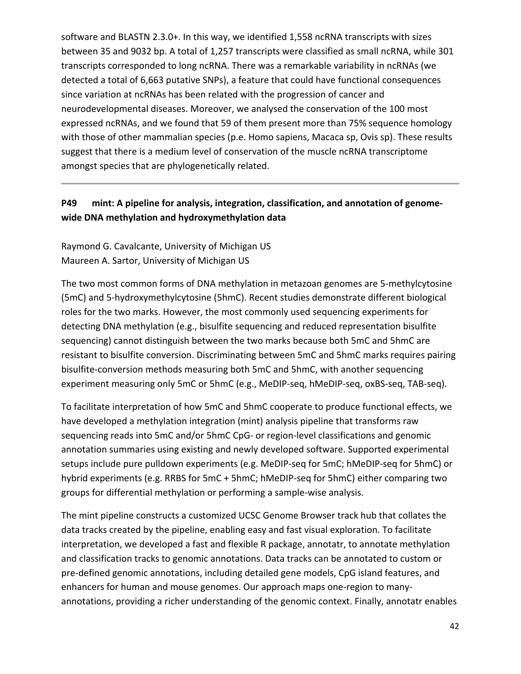software and BLASTN 2.3.0+. In this way, we identified 1,558 ncRNA transcripts with sizes between 35 and 9032 bp. A total of 1,257 transcripts were classified as small ncRNA, while 301 transcripts corresponded to long ncRNA. There was a remarkable variability in ncRNAs (we detected a total of 6,663 putative SNPs), a feature that could have functional consequences since variation at ncRNAs has been related with the progression of cancer and neurodevelopmental diseases. Moreover, we analysed the conservation of the 100 most expressed ncRNAs, and we found that 59 of them present more than 75% sequence homology with those of other mammalian species (p.e. Homo sapiens, Macaca sp, Ovis sp). These results suggest that there is a medium level of conservation of the muscle ncRNA transcriptome amongst species that are phylogenetically related.

## **P49 mint: A pipeline for analysis, integration, classification, and annotation of genome‐ wide DNA methylation and hydroxymethylation data**

Raymond G. Cavalcante, University of Michigan US Maureen A. Sartor, University of Michigan US

The two most common forms of DNA methylation in metazoan genomes are 5‐methylcytosine (5mC) and 5‐hydroxymethylcytosine (5hmC). Recent studies demonstrate different biological roles for the two marks. However, the most commonly used sequencing experiments for detecting DNA methylation (e.g., bisulfite sequencing and reduced representation bisulfite sequencing) cannot distinguish between the two marks because both 5mC and 5hmC are resistant to bisulfite conversion. Discriminating between 5mC and 5hmC marks requires pairing bisulfite‐conversion methods measuring both 5mC and 5hmC, with another sequencing experiment measuring only 5mC or 5hmC (e.g., MeDIP‐seq, hMeDIP‐seq, oxBS‐seq, TAB‐seq).

To facilitate interpretation of how 5mC and 5hmC cooperate to produce functional effects, we have developed a methylation integration (mint) analysis pipeline that transforms raw sequencing reads into 5mC and/or 5hmC CpG- or region-level classifications and genomic annotation summaries using existing and newly developed software. Supported experimental setups include pure pulldown experiments (e.g. MeDIP‐seq for 5mC; hMeDIP‐seq for 5hmC) or hybrid experiments (e.g. RRBS for 5mC + 5hmC; hMeDIP‐seq for 5hmC) either comparing two groups for differential methylation or performing a sample‐wise analysis.

The mint pipeline constructs a customized UCSC Genome Browser track hub that collates the data tracks created by the pipeline, enabling easy and fast visual exploration. To facilitate interpretation, we developed a fast and flexible R package, annotatr, to annotate methylation and classification tracks to genomic annotations. Data tracks can be annotated to custom or pre‐defined genomic annotations, including detailed gene models, CpG island features, and enhancers for human and mouse genomes. Our approach maps one‐region to many‐ annotations, providing a richer understanding of the genomic context. Finally, annotatr enables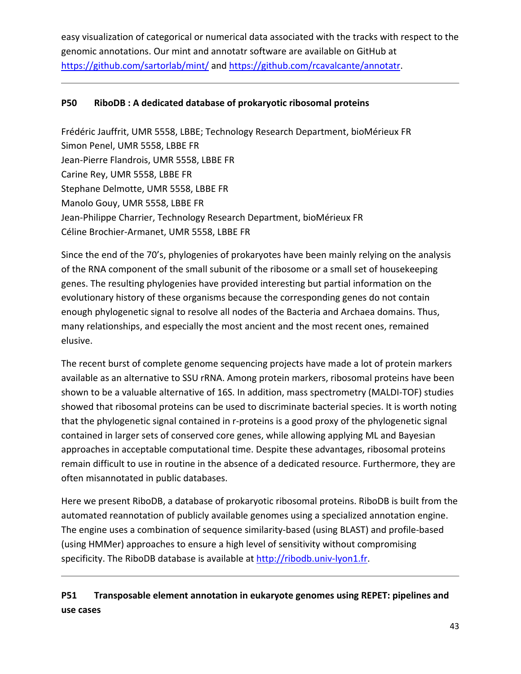easy visualization of categorical or numerical data associated with the tracks with respect to the genomic annotations. Our mint and annotatr software are available on GitHub at https://github.com/sartorlab/mint/ and https://github.com/rcavalcante/annotatr.

### **P50 RiboDB : A dedicated database of prokaryotic ribosomal proteins**

Frédéric Jauffrit, UMR 5558, LBBE; Technology Research Department, bioMérieux FR Simon Penel, UMR 5558, LBBE FR Jean‐Pierre Flandrois, UMR 5558, LBBE FR Carine Rey, UMR 5558, LBBE FR Stephane Delmotte, UMR 5558, LBBE FR Manolo Gouy, UMR 5558, LBBE FR Jean‐Philippe Charrier, Technology Research Department, bioMérieux FR Céline Brochier‐Armanet, UMR 5558, LBBE FR

Since the end of the 70's, phylogenies of prokaryotes have been mainly relying on the analysis of the RNA component of the small subunit of the ribosome or a small set of housekeeping genes. The resulting phylogenies have provided interesting but partial information on the evolutionary history of these organisms because the corresponding genes do not contain enough phylogenetic signal to resolve all nodes of the Bacteria and Archaea domains. Thus, many relationships, and especially the most ancient and the most recent ones, remained elusive.

The recent burst of complete genome sequencing projects have made a lot of protein markers available as an alternative to SSU rRNA. Among protein markers, ribosomal proteins have been shown to be a valuable alternative of 16S. In addition, mass spectrometry (MALDI‐TOF) studies showed that ribosomal proteins can be used to discriminate bacterial species. It is worth noting that the phylogenetic signal contained in r‐proteins is a good proxy of the phylogenetic signal contained in larger sets of conserved core genes, while allowing applying ML and Bayesian approaches in acceptable computational time. Despite these advantages, ribosomal proteins remain difficult to use in routine in the absence of a dedicated resource. Furthermore, they are often misannotated in public databases.

Here we present RiboDB, a database of prokaryotic ribosomal proteins. RiboDB is built from the automated reannotation of publicly available genomes using a specialized annotation engine. The engine uses a combination of sequence similarity‐based (using BLAST) and profile‐based (using HMMer) approaches to ensure a high level of sensitivity without compromising specificity. The RiboDB database is available at http://ribodb.univ-lyon1.fr.

# **P51 Transposable element annotation in eukaryote genomes using REPET: pipelines and use cases**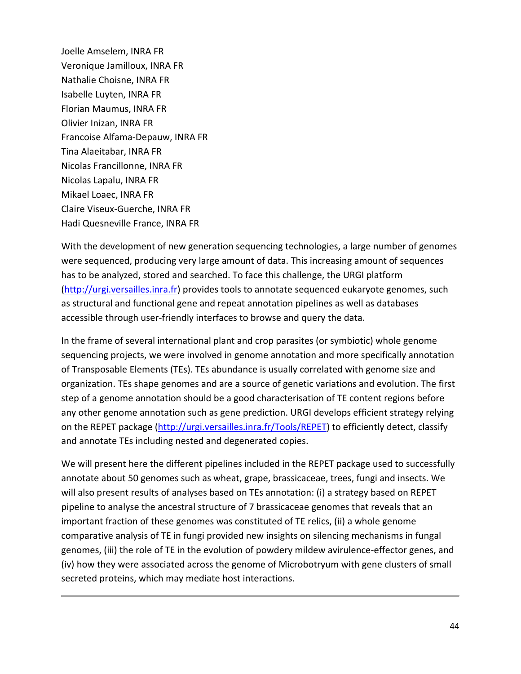Joelle Amselem, INRA FR Veronique Jamilloux, INRA FR Nathalie Choisne, INRA FR Isabelle Luyten, INRA FR Florian Maumus, INRA FR Olivier Inizan, INRA FR Francoise Alfama‐Depauw, INRA FR Tina Alaeitabar, INRA FR Nicolas Francillonne, INRA FR Nicolas Lapalu, INRA FR Mikael Loaec, INRA FR Claire Viseux‐Guerche, INRA FR Hadi Quesneville France, INRA FR

With the development of new generation sequencing technologies, a large number of genomes were sequenced, producing very large amount of data. This increasing amount of sequences has to be analyzed, stored and searched. To face this challenge, the URGI platform (http://urgi.versailles.inra.fr) provides tools to annotate sequenced eukaryote genomes, such as structural and functional gene and repeat annotation pipelines as well as databases accessible through user‐friendly interfaces to browse and query the data.

In the frame of several international plant and crop parasites (or symbiotic) whole genome sequencing projects, we were involved in genome annotation and more specifically annotation of Transposable Elements (TEs). TEs abundance is usually correlated with genome size and organization. TEs shape genomes and are a source of genetic variations and evolution. The first step of a genome annotation should be a good characterisation of TE content regions before any other genome annotation such as gene prediction. URGI develops efficient strategy relying on the REPET package (http://urgi.versailles.inra.fr/Tools/REPET) to efficiently detect, classify and annotate TEs including nested and degenerated copies.

We will present here the different pipelines included in the REPET package used to successfully annotate about 50 genomes such as wheat, grape, brassicaceae, trees, fungi and insects. We will also present results of analyses based on TEs annotation: (i) a strategy based on REPET pipeline to analyse the ancestral structure of 7 brassicaceae genomes that reveals that an important fraction of these genomes was constituted of TE relics, (ii) a whole genome comparative analysis of TE in fungi provided new insights on silencing mechanisms in fungal genomes, (iii) the role of TE in the evolution of powdery mildew avirulence‐effector genes, and (iv) how they were associated across the genome of Microbotryum with gene clusters of small secreted proteins, which may mediate host interactions.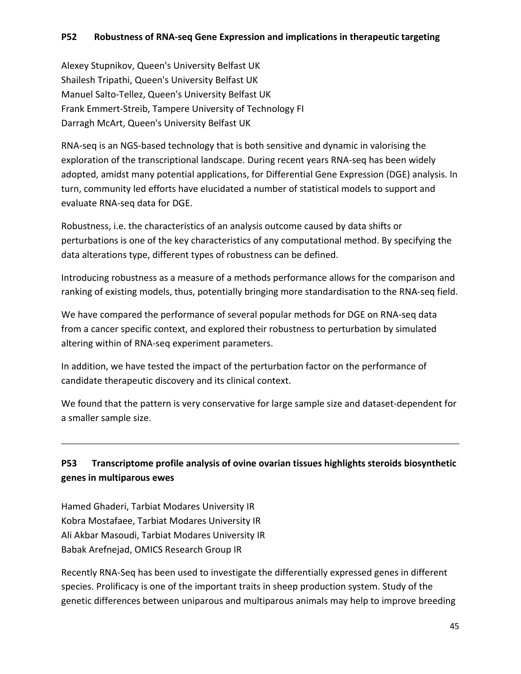### **P52 Robustness of RNA‐seq Gene Expression and implications in therapeutic targeting**

Alexey Stupnikov, Queen's University Belfast UK Shailesh Tripathi, Queen's University Belfast UK Manuel Salto‐Tellez, Queen's University Belfast UK Frank Emmert‐Streib, Tampere University of Technology FI Darragh McArt, Queen's University Belfast UK

RNA‐seq is an NGS‐based technology that is both sensitive and dynamic in valorising the exploration of the transcriptional landscape. During recent years RNA‐seq has been widely adopted, amidst many potential applications, for Differential Gene Expression (DGE) analysis. In turn, community led efforts have elucidated a number of statistical models to support and evaluate RNA‐seq data for DGE.

Robustness, i.e. the characteristics of an analysis outcome caused by data shifts or perturbations is one of the key characteristics of any computational method. By specifying the data alterations type, different types of robustness can be defined.

Introducing robustness as a measure of a methods performance allows for the comparison and ranking of existing models, thus, potentially bringing more standardisation to the RNA‐seq field.

We have compared the performance of several popular methods for DGE on RNA‐seq data from a cancer specific context, and explored their robustness to perturbation by simulated altering within of RNA‐seq experiment parameters.

In addition, we have tested the impact of the perturbation factor on the performance of candidate therapeutic discovery and its clinical context.

We found that the pattern is very conservative for large sample size and dataset-dependent for a smaller sample size.

# **P53 Transcriptome profile analysis of ovine ovarian tissues highlights steroids biosynthetic genes in multiparous ewes**

Hamed Ghaderi, Tarbiat Modares University IR Kobra Mostafaee, Tarbiat Modares University IR Ali Akbar Masoudi, Tarbiat Modares University IR Babak Arefnejad, OMICS Research Group IR

Recently RNA‐Seq has been used to investigate the differentially expressed genes in different species. Prolificacy is one of the important traits in sheep production system. Study of the genetic differences between uniparous and multiparous animals may help to improve breeding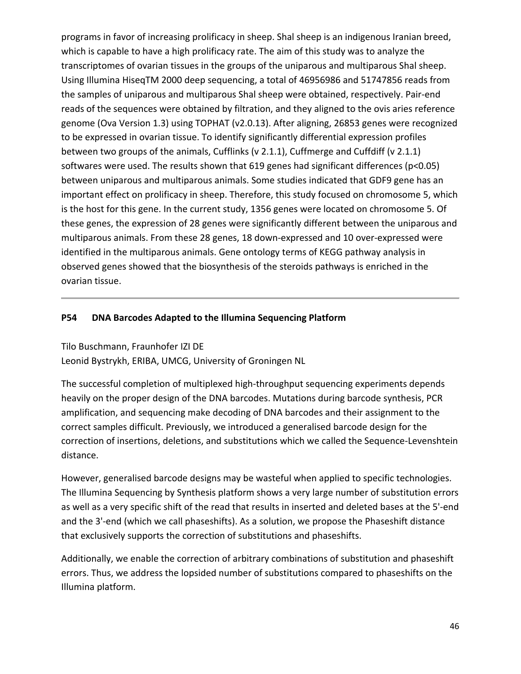programs in favor of increasing prolificacy in sheep. Shal sheep is an indigenous Iranian breed, which is capable to have a high prolificacy rate. The aim of this study was to analyze the transcriptomes of ovarian tissues in the groups of the uniparous and multiparous Shal sheep. Using Illumina HiseqTM 2000 deep sequencing, a total of 46956986 and 51747856 reads from the samples of uniparous and multiparous Shal sheep were obtained, respectively. Pair‐end reads of the sequences were obtained by filtration, and they aligned to the ovis aries reference genome (Ova Version 1.3) using TOPHAT (v2.0.13). After aligning, 26853 genes were recognized to be expressed in ovarian tissue. To identify significantly differential expression profiles between two groups of the animals, Cufflinks (v 2.1.1), Cuffmerge and Cuffdiff (v 2.1.1) softwares were used. The results shown that 619 genes had significant differences (p<0.05) between uniparous and multiparous animals. Some studies indicated that GDF9 gene has an important effect on prolificacy in sheep. Therefore, this study focused on chromosome 5, which is the host for this gene. In the current study, 1356 genes were located on chromosome 5. Of these genes, the expression of 28 genes were significantly different between the uniparous and multiparous animals. From these 28 genes, 18 down‐expressed and 10 over‐expressed were identified in the multiparous animals. Gene ontology terms of KEGG pathway analysis in observed genes showed that the biosynthesis of the steroids pathways is enriched in the ovarian tissue.

#### **P54 DNA Barcodes Adapted to the Illumina Sequencing Platform**

Tilo Buschmann, Fraunhofer IZI DE Leonid Bystrykh, ERIBA, UMCG, University of Groningen NL

The successful completion of multiplexed high‐throughput sequencing experiments depends heavily on the proper design of the DNA barcodes. Mutations during barcode synthesis, PCR amplification, and sequencing make decoding of DNA barcodes and their assignment to the correct samples difficult. Previously, we introduced a generalised barcode design for the correction of insertions, deletions, and substitutions which we called the Sequence‐Levenshtein distance.

However, generalised barcode designs may be wasteful when applied to specific technologies. The Illumina Sequencing by Synthesis platform shows a very large number of substitution errors as well as a very specific shift of the read that results in inserted and deleted bases at the 5'‐end and the 3'-end (which we call phaseshifts). As a solution, we propose the Phaseshift distance that exclusively supports the correction of substitutions and phaseshifts.

Additionally, we enable the correction of arbitrary combinations of substitution and phaseshift errors. Thus, we address the lopsided number of substitutions compared to phaseshifts on the Illumina platform.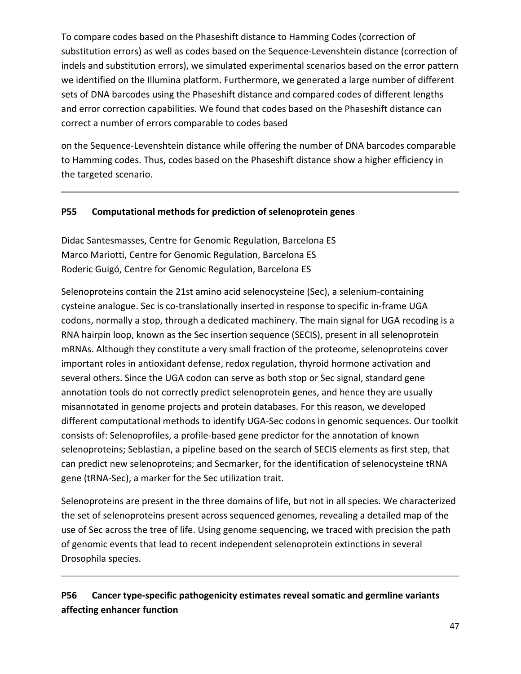To compare codes based on the Phaseshift distance to Hamming Codes (correction of substitution errors) as well as codes based on the Sequence‐Levenshtein distance (correction of indels and substitution errors), we simulated experimental scenarios based on the error pattern we identified on the Illumina platform. Furthermore, we generated a large number of different sets of DNA barcodes using the Phaseshift distance and compared codes of different lengths and error correction capabilities. We found that codes based on the Phaseshift distance can correct a number of errors comparable to codes based

on the Sequence‐Levenshtein distance while offering the number of DNA barcodes comparable to Hamming codes. Thus, codes based on the Phaseshift distance show a higher efficiency in the targeted scenario.

#### **P55 Computational methods for prediction of selenoprotein genes**

Didac Santesmasses, Centre for Genomic Regulation, Barcelona ES Marco Mariotti, Centre for Genomic Regulation, Barcelona ES Roderic Guigó, Centre for Genomic Regulation, Barcelona ES

Selenoproteins contain the 21st amino acid selenocysteine (Sec), a selenium‐containing cysteine analogue. Sec is co-translationally inserted in response to specific in-frame UGA codons, normally a stop, through a dedicated machinery. The main signal for UGA recoding is a RNA hairpin loop, known as the Sec insertion sequence (SECIS), present in all selenoprotein mRNAs. Although they constitute a very small fraction of the proteome, selenoproteins cover important roles in antioxidant defense, redox regulation, thyroid hormone activation and several others. Since the UGA codon can serve as both stop or Sec signal, standard gene annotation tools do not correctly predict selenoprotein genes, and hence they are usually misannotated in genome projects and protein databases. For this reason, we developed different computational methods to identify UGA‐Sec codons in genomic sequences. Our toolkit consists of: Selenoprofiles, a profile‐based gene predictor for the annotation of known selenoproteins; Seblastian, a pipeline based on the search of SECIS elements as first step, that can predict new selenoproteins; and Secmarker, for the identification of selenocysteine tRNA gene (tRNA‐Sec), a marker for the Sec utilization trait.

Selenoproteins are present in the three domains of life, but not in all species. We characterized the set of selenoproteins present across sequenced genomes, revealing a detailed map of the use of Sec across the tree of life. Using genome sequencing, we traced with precision the path of genomic events that lead to recent independent selenoprotein extinctions in several Drosophila species.

# **P56 Cancer type‐specific pathogenicity estimates reveal somatic and germline variants affecting enhancer function**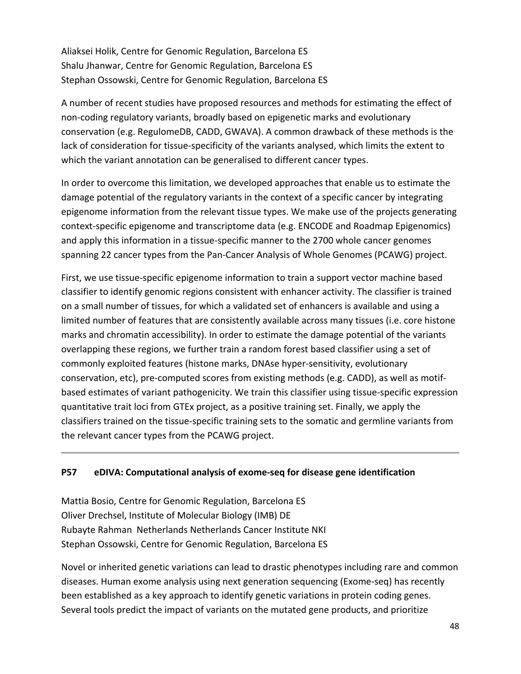Aliaksei Holik, Centre for Genomic Regulation, Barcelona ES Shalu Jhanwar, Centre for Genomic Regulation, Barcelona ES Stephan Ossowski, Centre for Genomic Regulation, Barcelona ES

A number of recent studies have proposed resources and methods for estimating the effect of non‐coding regulatory variants, broadly based on epigenetic marks and evolutionary conservation (e.g. RegulomeDB, CADD, GWAVA). A common drawback of these methods is the lack of consideration for tissue‐specificity of the variants analysed, which limits the extent to which the variant annotation can be generalised to different cancer types.

In order to overcome this limitation, we developed approaches that enable us to estimate the damage potential of the regulatory variants in the context of a specific cancer by integrating epigenome information from the relevant tissue types. We make use of the projects generating context‐specific epigenome and transcriptome data (e.g. ENCODE and Roadmap Epigenomics) and apply this information in a tissue‐specific manner to the 2700 whole cancer genomes spanning 22 cancer types from the Pan‐Cancer Analysis of Whole Genomes (PCAWG) project.

First, we use tissue‐specific epigenome information to train a support vector machine based classifier to identify genomic regions consistent with enhancer activity. The classifier is trained on a small number of tissues, for which a validated set of enhancers is available and using a limited number of features that are consistently available across many tissues (i.e. core histone marks and chromatin accessibility). In order to estimate the damage potential of the variants overlapping these regions, we further train a random forest based classifier using a set of commonly exploited features (histone marks, DNAse hyper‐sensitivity, evolutionary conservation, etc), pre‐computed scores from existing methods (e.g. CADD), as well as motif‐ based estimates of variant pathogenicity. We train this classifier using tissue‐specific expression quantitative trait loci from GTEx project, as a positive training set. Finally, we apply the classifiers trained on the tissue‐specific training sets to the somatic and germline variants from the relevant cancer types from the PCAWG project.

#### **P57 eDIVA: Computational analysis of exome‐seq for disease gene identification**

Mattia Bosio, Centre for Genomic Regulation, Barcelona ES Oliver Drechsel, Institute of Molecular Biology (IMB) DE Rubayte Rahman Netherlands Netherlands Cancer Institute NKI Stephan Ossowski, Centre for Genomic Regulation, Barcelona ES

Novel or inherited genetic variations can lead to drastic phenotypes including rare and common diseases. Human exome analysis using next generation sequencing (Exome‐seq) has recently been established as a key approach to identify genetic variations in protein coding genes. Several tools predict the impact of variants on the mutated gene products, and prioritize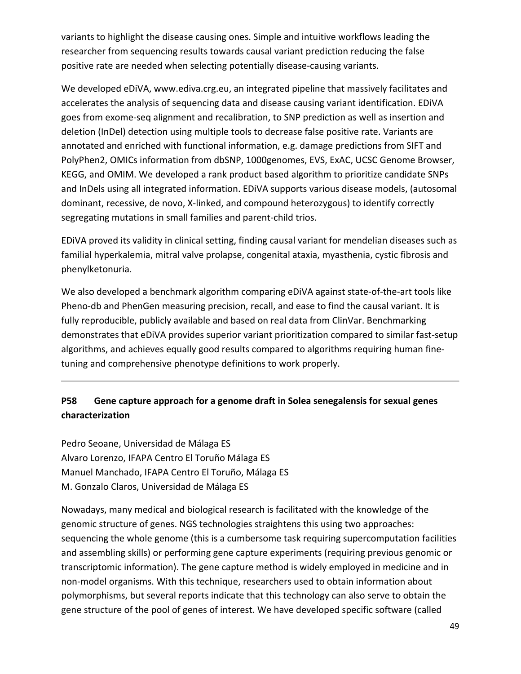variants to highlight the disease causing ones. Simple and intuitive workflows leading the researcher from sequencing results towards causal variant prediction reducing the false positive rate are needed when selecting potentially disease‐causing variants.

We developed eDiVA, www.ediva.crg.eu, an integrated pipeline that massively facilitates and accelerates the analysis of sequencing data and disease causing variant identification. EDiVA goes from exome‐seq alignment and recalibration, to SNP prediction as well as insertion and deletion (InDel) detection using multiple tools to decrease false positive rate. Variants are annotated and enriched with functional information, e.g. damage predictions from SIFT and PolyPhen2, OMICs information from dbSNP, 1000genomes, EVS, ExAC, UCSC Genome Browser, KEGG, and OMIM. We developed a rank product based algorithm to prioritize candidate SNPs and InDels using all integrated information. EDiVA supports various disease models, (autosomal dominant, recessive, de novo, X‐linked, and compound heterozygous) to identify correctly segregating mutations in small families and parent‐child trios.

EDiVA proved its validity in clinical setting, finding causal variant for mendelian diseases such as familial hyperkalemia, mitral valve prolapse, congenital ataxia, myasthenia, cystic fibrosis and phenylketonuria.

We also developed a benchmark algorithm comparing eDiVA against state-of-the-art tools like Pheno-db and PhenGen measuring precision, recall, and ease to find the causal variant. It is fully reproducible, publicly available and based on real data from ClinVar. Benchmarking demonstrates that eDiVA provides superior variant prioritization compared to similar fast‐setup algorithms, and achieves equally good results compared to algorithms requiring human fine‐ tuning and comprehensive phenotype definitions to work properly.

# **P58 Gene capture approach for a genome draft in Solea senegalensis for sexual genes characterization**

Pedro Seoane, Universidad de Málaga ES Alvaro Lorenzo, IFAPA Centro El Toruño Málaga ES Manuel Manchado, IFAPA Centro El Toruño, Málaga ES M. Gonzalo Claros, Universidad de Málaga ES

Nowadays, many medical and biological research is facilitated with the knowledge of the genomic structure of genes. NGS technologies straightens this using two approaches: sequencing the whole genome (this is a cumbersome task requiring supercomputation facilities and assembling skills) or performing gene capture experiments (requiring previous genomic or transcriptomic information). The gene capture method is widely employed in medicine and in non‐model organisms. With this technique, researchers used to obtain information about polymorphisms, but several reports indicate that this technology can also serve to obtain the gene structure of the pool of genes of interest. We have developed specific software (called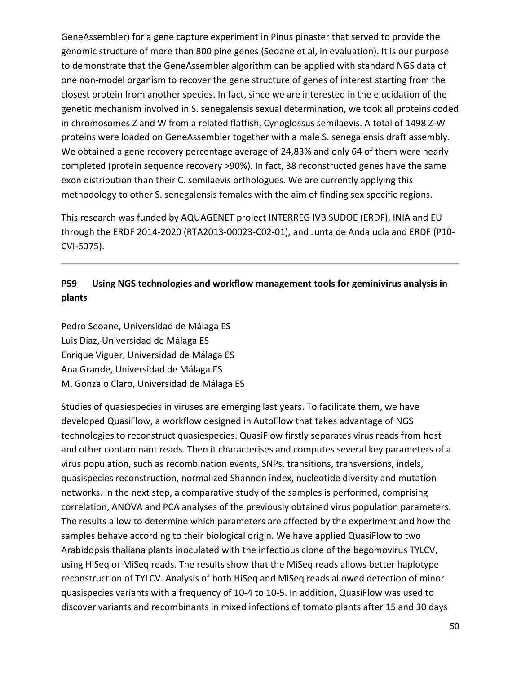GeneAssembler) for a gene capture experiment in Pinus pinaster that served to provide the genomic structure of more than 800 pine genes (Seoane et al, in evaluation). It is our purpose to demonstrate that the GeneAssembler algorithm can be applied with standard NGS data of one non‐model organism to recover the gene structure of genes of interest starting from the closest protein from another species. In fact, since we are interested in the elucidation of the genetic mechanism involved in S. senegalensis sexual determination, we took all proteins coded in chromosomes Z and W from a related flatfish, Cynoglossus semilaevis. A total of 1498 Z‐W proteins were loaded on GeneAssembler together with a male S. senegalensis draft assembly. We obtained a gene recovery percentage average of 24,83% and only 64 of them were nearly completed (protein sequence recovery >90%). In fact, 38 reconstructed genes have the same exon distribution than their C. semilaevis orthologues. We are currently applying this methodology to other S. senegalensis females with the aim of finding sex specific regions.

This research was funded by AQUAGENET project INTERREG IVB SUDOE (ERDF), INIA and EU through the ERDF 2014‐2020 (RTA2013‐00023‐C02‐01), and Junta de Andalucía and ERDF (P10‐ CVI‐6075).

# **P59 Using NGS technologies and workflow management tools for geminivirus analysis in plants**

Pedro Seoane, Universidad de Málaga ES Luis Diaz, Universidad de Málaga ES Enrique Viguer, Universidad de Málaga ES Ana Grande, Universidad de Málaga ES M. Gonzalo Claro, Universidad de Málaga ES

Studies of quasiespecies in viruses are emerging last years. To facilitate them, we have developed QuasiFlow, a workflow designed in AutoFlow that takes advantage of NGS technologies to reconstruct quasiespecies. QuasiFlow firstly separates virus reads from host and other contaminant reads. Then it characterises and computes several key parameters of a virus population, such as recombination events, SNPs, transitions, transversions, indels, quasispecies reconstruction, normalized Shannon index, nucleotide diversity and mutation networks. In the next step, a comparative study of the samples is performed, comprising correlation, ANOVA and PCA analyses of the previously obtained virus population parameters. The results allow to determine which parameters are affected by the experiment and how the samples behave according to their biological origin. We have applied QuasiFlow to two Arabidopsis thaliana plants inoculated with the infectious clone of the begomovirus TYLCV, using HiSeq or MiSeq reads. The results show that the MiSeq reads allows better haplotype reconstruction of TYLCV. Analysis of both HiSeq and MiSeq reads allowed detection of minor quasispecies variants with a frequency of 10‐4 to 10‐5. In addition, QuasiFlow was used to discover variants and recombinants in mixed infections of tomato plants after 15 and 30 days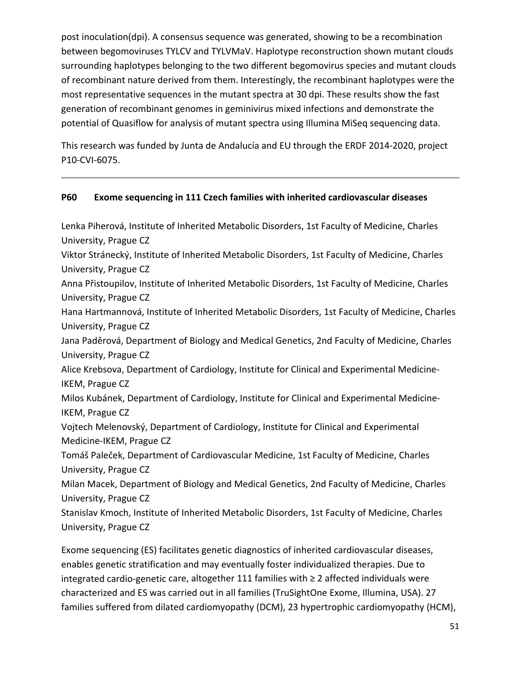post inoculation(dpi). A consensus sequence was generated, showing to be a recombination between begomoviruses TYLCV and TYLVMaV. Haplotype reconstruction shown mutant clouds surrounding haplotypes belonging to the two different begomovirus species and mutant clouds of recombinant nature derived from them. Interestingly, the recombinant haplotypes were the most representative sequences in the mutant spectra at 30 dpi. These results show the fast generation of recombinant genomes in geminivirus mixed infections and demonstrate the potential of Quasiflow for analysis of mutant spectra using Illumina MiSeq sequencing data.

This research was funded by Junta de Andalucía and EU through the ERDF 2014‐2020, project P10‐CVI‐6075.

### **P60 Exome sequencing in 111 Czech families with inherited cardiovascular diseases**

Lenka Piherová, Institute of Inherited Metabolic Disorders, 1st Faculty of Medicine, Charles University, Prague CZ Viktor Stránecký, Institute of Inherited Metabolic Disorders, 1st Faculty of Medicine, Charles University, Prague CZ Anna Přistoupilov, Institute of Inherited Metabolic Disorders, 1st Faculty of Medicine, Charles University, Prague CZ Hana Hartmannová, Institute of Inherited Metabolic Disorders, 1st Faculty of Medicine, Charles University, Prague CZ Jana Paděrová, Department of Biology and Medical Genetics, 2nd Faculty of Medicine, Charles University, Prague CZ Alice Krebsova, Department of Cardiology, Institute for Clinical and Experimental Medicine‐ IKEM, Prague CZ Milos Kubánek, Department of Cardiology, Institute for Clinical and Experimental Medicine‐ IKEM, Prague CZ Vojtech Melenovský, Department of Cardiology, Institute for Clinical and Experimental Medicine‐IKEM, Prague CZ Tomáš Paleček, Department of Cardiovascular Medicine, 1st Faculty of Medicine, Charles University, Prague CZ Milan Macek, Department of Biology and Medical Genetics, 2nd Faculty of Medicine, Charles University, Prague CZ Stanislav Kmoch, Institute of Inherited Metabolic Disorders, 1st Faculty of Medicine, Charles University, Prague CZ

Exome sequencing (ES) facilitates genetic diagnostics of inherited cardiovascular diseases, enables genetic stratification and may eventually foster individualized therapies. Due to integrated cardio‐genetic care, altogether 111 families with ≥ 2 affected individuals were characterized and ES was carried out in all families (TruSightOne Exome, Illumina, USA). 27 families suffered from dilated cardiomyopathy (DCM), 23 hypertrophic cardiomyopathy (HCM),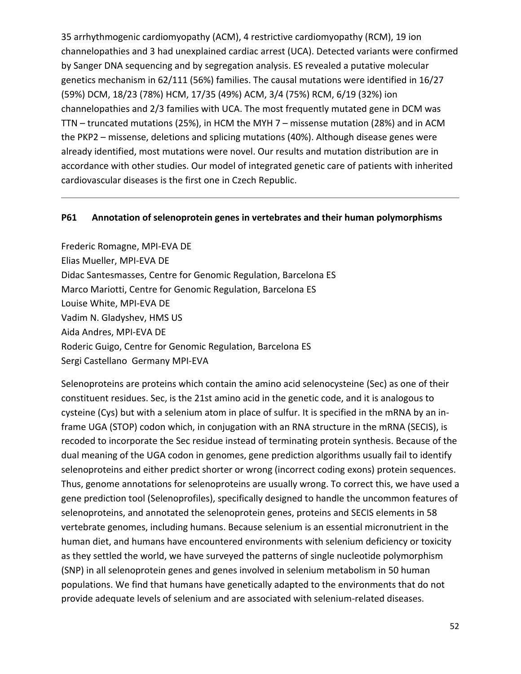35 arrhythmogenic cardiomyopathy (ACM), 4 restrictive cardiomyopathy (RCM), 19 ion channelopathies and 3 had unexplained cardiac arrest (UCA). Detected variants were confirmed by Sanger DNA sequencing and by segregation analysis. ES revealed a putative molecular genetics mechanism in 62/111 (56%) families. The causal mutations were identified in 16/27 (59%) DCM, 18/23 (78%) HCM, 17/35 (49%) ACM, 3/4 (75%) RCM, 6/19 (32%) ion channelopathies and 2/3 families with UCA. The most frequently mutated gene in DCM was TTN – truncated mutations (25%), in HCM the MYH 7 – missense mutation (28%) and in ACM the PKP2 – missense, deletions and splicing mutations (40%). Although disease genes were already identified, most mutations were novel. Our results and mutation distribution are in accordance with other studies. Our model of integrated genetic care of patients with inherited cardiovascular diseases is the first one in Czech Republic.

#### **P61 Annotation of selenoprotein genes in vertebrates and their human polymorphisms**

Frederic Romagne, MPI‐EVA DE Elias Mueller, MPI‐EVA DE Didac Santesmasses, Centre for Genomic Regulation, Barcelona ES Marco Mariotti, Centre for Genomic Regulation, Barcelona ES Louise White, MPI‐EVA DE Vadim N. Gladyshev, HMS US Aida Andres, MPI‐EVA DE Roderic Guigo, Centre for Genomic Regulation, Barcelona ES Sergi Castellano Germany MPI‐EVA

Selenoproteins are proteins which contain the amino acid selenocysteine (Sec) as one of their constituent residues. Sec, is the 21st amino acid in the genetic code, and it is analogous to cysteine (Cys) but with a selenium atom in place of sulfur. It is specified in the mRNA by an in‐ frame UGA (STOP) codon which, in conjugation with an RNA structure in the mRNA (SECIS), is recoded to incorporate the Sec residue instead of terminating protein synthesis. Because of the dual meaning of the UGA codon in genomes, gene prediction algorithms usually fail to identify selenoproteins and either predict shorter or wrong (incorrect coding exons) protein sequences. Thus, genome annotations for selenoproteins are usually wrong. To correct this, we have used a gene prediction tool (Selenoprofiles), specifically designed to handle the uncommon features of selenoproteins, and annotated the selenoprotein genes, proteins and SECIS elements in 58 vertebrate genomes, including humans. Because selenium is an essential micronutrient in the human diet, and humans have encountered environments with selenium deficiency or toxicity as they settled the world, we have surveyed the patterns of single nucleotide polymorphism (SNP) in all selenoprotein genes and genes involved in selenium metabolism in 50 human populations. We find that humans have genetically adapted to the environments that do not provide adequate levels of selenium and are associated with selenium‐related diseases.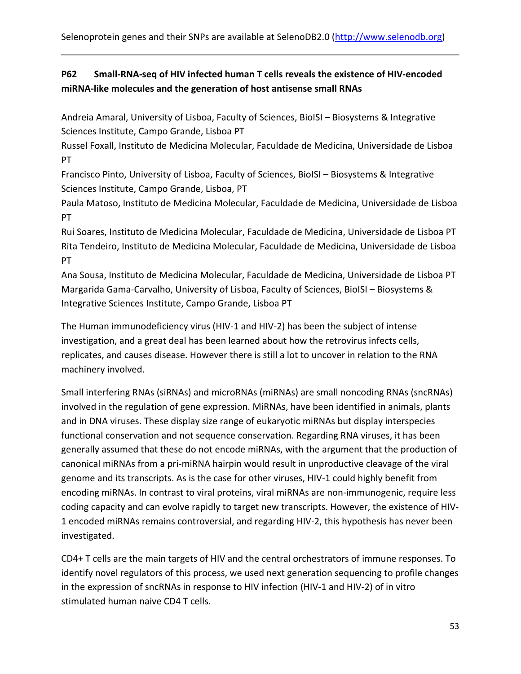Selenoprotein genes and their SNPs are available at SelenoDB2.0 (http://www.selenodb.org)

## P62 Small-RNA-seq of HIV infected human T cells reveals the existence of HIV-encoded **miRNA‐like molecules and the generation of host antisense small RNAs**

Andreia Amaral, University of Lisboa, Faculty of Sciences, BioISI – Biosystems & Integrative Sciences Institute, Campo Grande, Lisboa PT

Russel Foxall, Instituto de Medicina Molecular, Faculdade de Medicina, Universidade de Lisboa PT

Francisco Pinto, University of Lisboa, Faculty of Sciences, BioISI – Biosystems & Integrative Sciences Institute, Campo Grande, Lisboa, PT

Paula Matoso, Instituto de Medicina Molecular, Faculdade de Medicina, Universidade de Lisboa PT

Rui Soares, Instituto de Medicina Molecular, Faculdade de Medicina, Universidade de Lisboa PT Rita Tendeiro, Instituto de Medicina Molecular, Faculdade de Medicina, Universidade de Lisboa PT

Ana Sousa, Instituto de Medicina Molecular, Faculdade de Medicina, Universidade de Lisboa PT Margarida Gama‐Carvalho, University of Lisboa, Faculty of Sciences, BioISI – Biosystems & Integrative Sciences Institute, Campo Grande, Lisboa PT

The Human immunodeficiency virus (HIV‐1 and HIV‐2) has been the subject of intense investigation, and a great deal has been learned about how the retrovirus infects cells, replicates, and causes disease. However there is still a lot to uncover in relation to the RNA machinery involved.

Small interfering RNAs (siRNAs) and microRNAs (miRNAs) are small noncoding RNAs (sncRNAs) involved in the regulation of gene expression. MiRNAs, have been identified in animals, plants and in DNA viruses. These display size range of eukaryotic miRNAs but display interspecies functional conservation and not sequence conservation. Regarding RNA viruses, it has been generally assumed that these do not encode miRNAs, with the argument that the production of canonical miRNAs from a pri‐miRNA hairpin would result in unproductive cleavage of the viral genome and its transcripts. As is the case for other viruses, HIV‐1 could highly benefit from encoding miRNAs. In contrast to viral proteins, viral miRNAs are non‐immunogenic, require less coding capacity and can evolve rapidly to target new transcripts. However, the existence of HIV‐ 1 encoded miRNAs remains controversial, and regarding HIV‐2, this hypothesis has never been investigated.

CD4+ T cells are the main targets of HIV and the central orchestrators of immune responses. To identify novel regulators of this process, we used next generation sequencing to profile changes in the expression of sncRNAs in response to HIV infection (HIV‐1 and HIV‐2) of in vitro stimulated human naive CD4 T cells.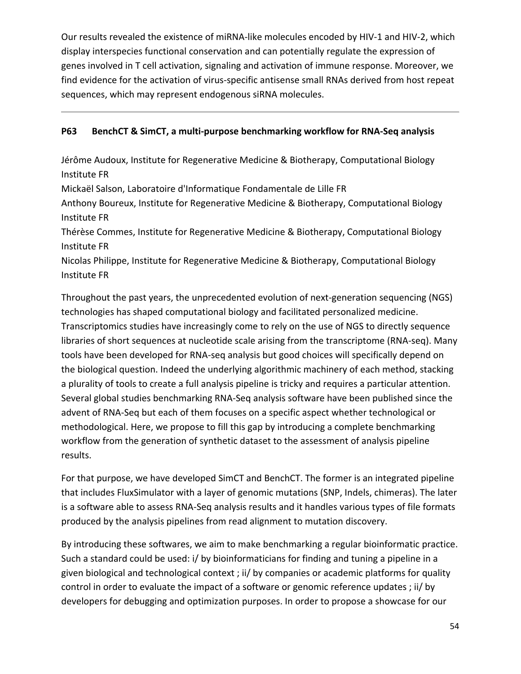Our results revealed the existence of miRNA‐like molecules encoded by HIV‐1 and HIV‐2, which display interspecies functional conservation and can potentially regulate the expression of genes involved in T cell activation, signaling and activation of immune response. Moreover, we find evidence for the activation of virus-specific antisense small RNAs derived from host repeat sequences, which may represent endogenous siRNA molecules.

### **P63 BenchCT & SimCT, a multi‐purpose benchmarking workflow for RNA‐Seq analysis**

Jérôme Audoux, Institute for Regenerative Medicine & Biotherapy, Computational Biology Institute FR

Mickaël Salson, Laboratoire d'Informatique Fondamentale de Lille FR

Anthony Boureux, Institute for Regenerative Medicine & Biotherapy, Computational Biology Institute FR

Thérèse Commes, Institute for Regenerative Medicine & Biotherapy, Computational Biology Institute FR

Nicolas Philippe, Institute for Regenerative Medicine & Biotherapy, Computational Biology Institute FR

Throughout the past years, the unprecedented evolution of next‐generation sequencing (NGS) technologies has shaped computational biology and facilitated personalized medicine. Transcriptomics studies have increasingly come to rely on the use of NGS to directly sequence libraries of short sequences at nucleotide scale arising from the transcriptome (RNA‐seq). Many tools have been developed for RNA‐seq analysis but good choices will specifically depend on the biological question. Indeed the underlying algorithmic machinery of each method, stacking a plurality of tools to create a full analysis pipeline is tricky and requires a particular attention. Several global studies benchmarking RNA‐Seq analysis software have been published since the advent of RNA‐Seq but each of them focuses on a specific aspect whether technological or methodological. Here, we propose to fill this gap by introducing a complete benchmarking workflow from the generation of synthetic dataset to the assessment of analysis pipeline results.

For that purpose, we have developed SimCT and BenchCT. The former is an integrated pipeline that includes FluxSimulator with a layer of genomic mutations (SNP, Indels, chimeras). The later is a software able to assess RNA‐Seq analysis results and it handles various types of file formats produced by the analysis pipelines from read alignment to mutation discovery.

By introducing these softwares, we aim to make benchmarking a regular bioinformatic practice. Such a standard could be used: i/ by bioinformaticians for finding and tuning a pipeline in a given biological and technological context ; ii/ by companies or academic platforms for quality control in order to evaluate the impact of a software or genomic reference updates ; ii/ by developers for debugging and optimization purposes. In order to propose a showcase for our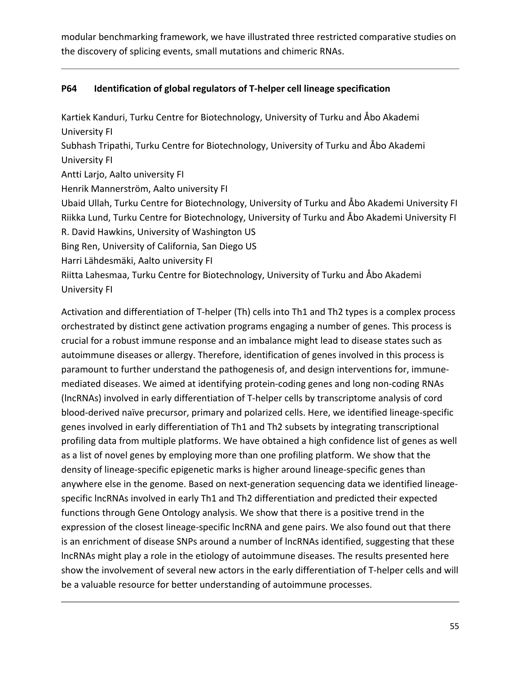modular benchmarking framework, we have illustrated three restricted comparative studies on the discovery of splicing events, small mutations and chimeric RNAs.

### **P64 Identification of global regulators of T‐helper cell lineage specification**

Kartiek Kanduri, Turku Centre for Biotechnology, University of Turku and Åbo Akademi University FI Subhash Tripathi, Turku Centre for Biotechnology, University of Turku and Åbo Akademi University FI Antti Larjo, Aalto university FI Henrik Mannerström, Aalto university FI Ubaid Ullah, Turku Centre for Biotechnology, University of Turku and Åbo Akademi University FI Riikka Lund, Turku Centre for Biotechnology, University of Turku and Åbo Akademi University FI R. David Hawkins, University of Washington US Bing Ren, University of California, San Diego US Harri Lähdesmäki, Aalto university FI Riitta Lahesmaa, Turku Centre for Biotechnology, University of Turku and Åbo Akademi University FI

Activation and differentiation of T-helper (Th) cells into Th1 and Th2 types is a complex process orchestrated by distinct gene activation programs engaging a number of genes. This process is crucial for a robust immune response and an imbalance might lead to disease states such as autoimmune diseases or allergy. Therefore, identification of genes involved in this process is paramount to further understand the pathogenesis of, and design interventions for, immune‐ mediated diseases. We aimed at identifying protein‐coding genes and long non‐coding RNAs (lncRNAs) involved in early differentiation of T‐helper cells by transcriptome analysis of cord blood‐derived naïve precursor, primary and polarized cells. Here, we identified lineage‐specific genes involved in early differentiation of Th1 and Th2 subsets by integrating transcriptional profiling data from multiple platforms. We have obtained a high confidence list of genes as well as a list of novel genes by employing more than one profiling platform. We show that the density of lineage‐specific epigenetic marks is higher around lineage‐specific genes than anywhere else in the genome. Based on next-generation sequencing data we identified lineagespecific lncRNAs involved in early Th1 and Th2 differentiation and predicted their expected functions through Gene Ontology analysis. We show that there is a positive trend in the expression of the closest lineage‐specific lncRNA and gene pairs. We also found out that there is an enrichment of disease SNPs around a number of lncRNAs identified, suggesting that these lncRNAs might play a role in the etiology of autoimmune diseases. The results presented here show the involvement of several new actors in the early differentiation of T-helper cells and will be a valuable resource for better understanding of autoimmune processes.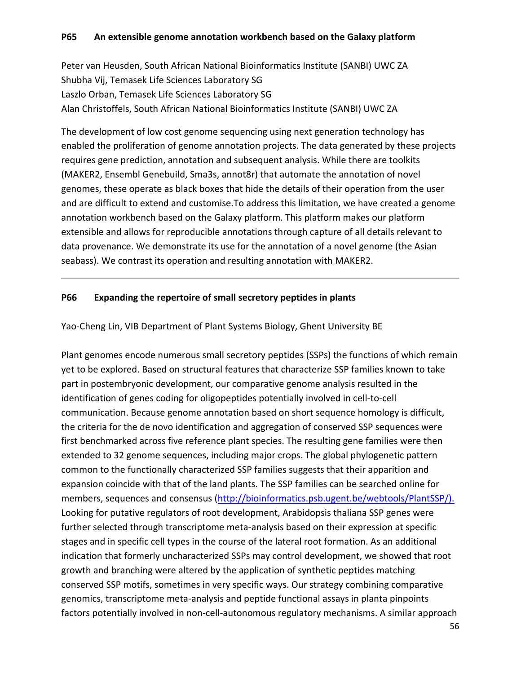Peter van Heusden, South African National Bioinformatics Institute (SANBI) UWC ZA Shubha Vij, Temasek Life Sciences Laboratory SG Laszlo Orban, Temasek Life Sciences Laboratory SG Alan Christoffels, South African National Bioinformatics Institute (SANBI) UWC ZA

The development of low cost genome sequencing using next generation technology has enabled the proliferation of genome annotation projects. The data generated by these projects requires gene prediction, annotation and subsequent analysis. While there are toolkits (MAKER2, Ensembl Genebuild, Sma3s, annot8r) that automate the annotation of novel genomes, these operate as black boxes that hide the details of their operation from the user and are difficult to extend and customise.To address this limitation, we have created a genome annotation workbench based on the Galaxy platform. This platform makes our platform extensible and allows for reproducible annotations through capture of all details relevant to data provenance. We demonstrate its use for the annotation of a novel genome (the Asian seabass). We contrast its operation and resulting annotation with MAKER2.

### **P66 Expanding the repertoire of small secretory peptides in plants**

Yao‐Cheng Lin, VIB Department of Plant Systems Biology, Ghent University BE

Plant genomes encode numerous small secretory peptides (SSPs) the functions of which remain yet to be explored. Based on structural features that characterize SSP families known to take part in postembryonic development, our comparative genome analysis resulted in the identification of genes coding for oligopeptides potentially involved in cell‐to‐cell communication. Because genome annotation based on short sequence homology is difficult, the criteria for the de novo identification and aggregation of conserved SSP sequences were first benchmarked across five reference plant species. The resulting gene families were then extended to 32 genome sequences, including major crops. The global phylogenetic pattern common to the functionally characterized SSP families suggests that their apparition and expansion coincide with that of the land plants. The SSP families can be searched online for members, sequences and consensus (http://bioinformatics.psb.ugent.be/webtools/PlantSSP/). Looking for putative regulators of root development, Arabidopsis thaliana SSP genes were further selected through transcriptome meta-analysis based on their expression at specific stages and in specific cell types in the course of the lateral root formation. As an additional indication that formerly uncharacterized SSPs may control development, we showed that root growth and branching were altered by the application of synthetic peptides matching conserved SSP motifs, sometimes in very specific ways. Our strategy combining comparative genomics, transcriptome meta‐analysis and peptide functional assays in planta pinpoints factors potentially involved in non-cell-autonomous regulatory mechanisms. A similar approach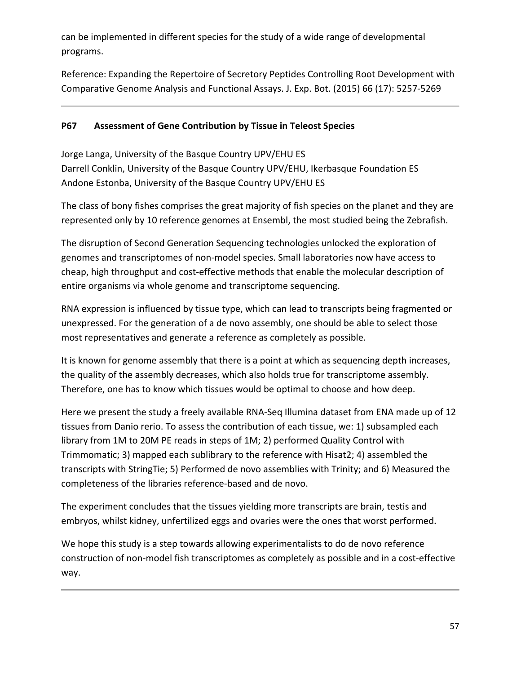can be implemented in different species for the study of a wide range of developmental programs.

Reference: Expanding the Repertoire of Secretory Peptides Controlling Root Development with Comparative Genome Analysis and Functional Assays. J. Exp. Bot. (2015) 66 (17): 5257‐5269

### **P67 Assessment of Gene Contribution by Tissue in Teleost Species**

Jorge Langa, University of the Basque Country UPV/EHU ES Darrell Conklin, University of the Basque Country UPV/EHU, Ikerbasque Foundation ES Andone Estonba, University of the Basque Country UPV/EHU ES

The class of bony fishes comprises the great majority of fish species on the planet and they are represented only by 10 reference genomes at Ensembl, the most studied being the Zebrafish.

The disruption of Second Generation Sequencing technologies unlocked the exploration of genomes and transcriptomes of non‐model species. Small laboratories now have access to cheap, high throughput and cost‐effective methods that enable the molecular description of entire organisms via whole genome and transcriptome sequencing.

RNA expression is influenced by tissue type, which can lead to transcripts being fragmented or unexpressed. For the generation of a de novo assembly, one should be able to select those most representatives and generate a reference as completely as possible.

It is known for genome assembly that there is a point at which as sequencing depth increases, the quality of the assembly decreases, which also holds true for transcriptome assembly. Therefore, one has to know which tissues would be optimal to choose and how deep.

Here we present the study a freely available RNA-Seq Illumina dataset from ENA made up of 12 tissues from Danio rerio. To assess the contribution of each tissue, we: 1) subsampled each library from 1M to 20M PE reads in steps of 1M; 2) performed Quality Control with Trimmomatic; 3) mapped each sublibrary to the reference with Hisat2; 4) assembled the transcripts with StringTie; 5) Performed de novo assemblies with Trinity; and 6) Measured the completeness of the libraries reference‐based and de novo.

The experiment concludes that the tissues yielding more transcripts are brain, testis and embryos, whilst kidney, unfertilized eggs and ovaries were the ones that worst performed.

We hope this study is a step towards allowing experimentalists to do de novo reference construction of non-model fish transcriptomes as completely as possible and in a cost-effective way.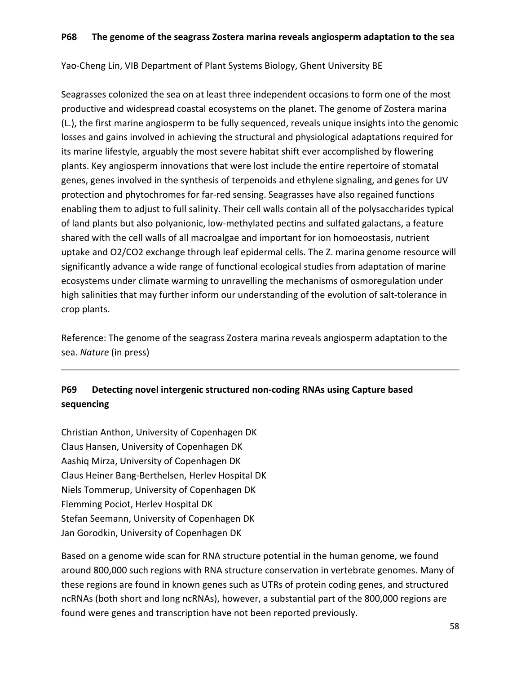Yao‐Cheng Lin, VIB Department of Plant Systems Biology, Ghent University BE

Seagrasses colonized the sea on at least three independent occasions to form one of the most productive and widespread coastal ecosystems on the planet. The genome of Zostera marina (L.), the first marine angiosperm to be fully sequenced, reveals unique insights into the genomic losses and gains involved in achieving the structural and physiological adaptations required for its marine lifestyle, arguably the most severe habitat shift ever accomplished by flowering plants. Key angiosperm innovations that were lost include the entire repertoire of stomatal genes, genes involved in the synthesis of terpenoids and ethylene signaling, and genes for UV protection and phytochromes for far‐red sensing. Seagrasses have also regained functions enabling them to adjust to full salinity. Their cell walls contain all of the polysaccharides typical of land plants but also polyanionic, low‐methylated pectins and sulfated galactans, a feature shared with the cell walls of all macroalgae and important for ion homoeostasis, nutrient uptake and O2/CO2 exchange through leaf epidermal cells. The Z. marina genome resource will significantly advance a wide range of functional ecological studies from adaptation of marine ecosystems under climate warming to unravelling the mechanisms of osmoregulation under high salinities that may further inform our understanding of the evolution of salt-tolerance in crop plants.

Reference: The genome of the seagrass Zostera marina reveals angiosperm adaptation to the sea. *Nature* (in press)

# **P69 Detecting novel intergenic structured non‐coding RNAs using Capture based sequencing**

Christian Anthon, University of Copenhagen DK Claus Hansen, University of Copenhagen DK Aashiq Mirza, University of Copenhagen DK Claus Heiner Bang‐Berthelsen, Herlev Hospital DK Niels Tommerup, University of Copenhagen DK Flemming Pociot, Herlev Hospital DK Stefan Seemann, University of Copenhagen DK Jan Gorodkin, University of Copenhagen DK

Based on a genome wide scan for RNA structure potential in the human genome, we found around 800,000 such regions with RNA structure conservation in vertebrate genomes. Many of these regions are found in known genes such as UTRs of protein coding genes, and structured ncRNAs (both short and long ncRNAs), however, a substantial part of the 800,000 regions are found were genes and transcription have not been reported previously.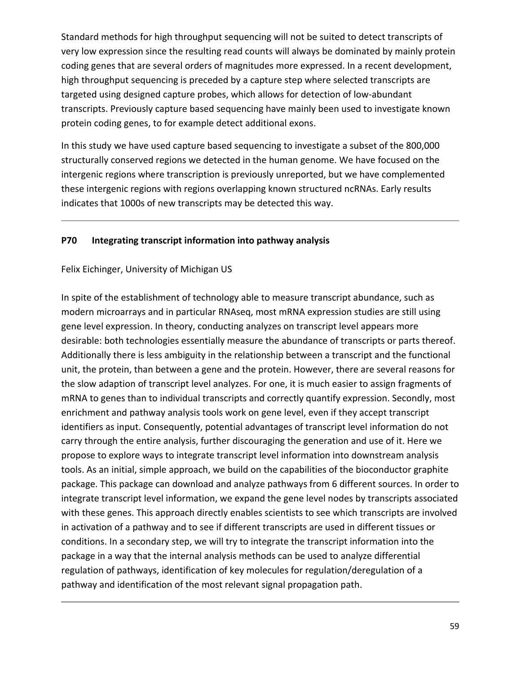Standard methods for high throughput sequencing will not be suited to detect transcripts of very low expression since the resulting read counts will always be dominated by mainly protein coding genes that are several orders of magnitudes more expressed. In a recent development, high throughput sequencing is preceded by a capture step where selected transcripts are targeted using designed capture probes, which allows for detection of low‐abundant transcripts. Previously capture based sequencing have mainly been used to investigate known protein coding genes, to for example detect additional exons.

In this study we have used capture based sequencing to investigate a subset of the 800,000 structurally conserved regions we detected in the human genome. We have focused on the intergenic regions where transcription is previously unreported, but we have complemented these intergenic regions with regions overlapping known structured ncRNAs. Early results indicates that 1000s of new transcripts may be detected this way.

#### **P70 Integrating transcript information into pathway analysis**

#### Felix Eichinger, University of Michigan US

In spite of the establishment of technology able to measure transcript abundance, such as modern microarrays and in particular RNAseq, most mRNA expression studies are still using gene level expression. In theory, conducting analyzes on transcript level appears more desirable: both technologies essentially measure the abundance of transcripts or parts thereof. Additionally there is less ambiguity in the relationship between a transcript and the functional unit, the protein, than between a gene and the protein. However, there are several reasons for the slow adaption of transcript level analyzes. For one, it is much easier to assign fragments of mRNA to genes than to individual transcripts and correctly quantify expression. Secondly, most enrichment and pathway analysis tools work on gene level, even if they accept transcript identifiers as input. Consequently, potential advantages of transcript level information do not carry through the entire analysis, further discouraging the generation and use of it. Here we propose to explore ways to integrate transcript level information into downstream analysis tools. As an initial, simple approach, we build on the capabilities of the bioconductor graphite package. This package can download and analyze pathways from 6 different sources. In order to integrate transcript level information, we expand the gene level nodes by transcripts associated with these genes. This approach directly enables scientists to see which transcripts are involved in activation of a pathway and to see if different transcripts are used in different tissues or conditions. In a secondary step, we will try to integrate the transcript information into the package in a way that the internal analysis methods can be used to analyze differential regulation of pathways, identification of key molecules for regulation/deregulation of a pathway and identification of the most relevant signal propagation path.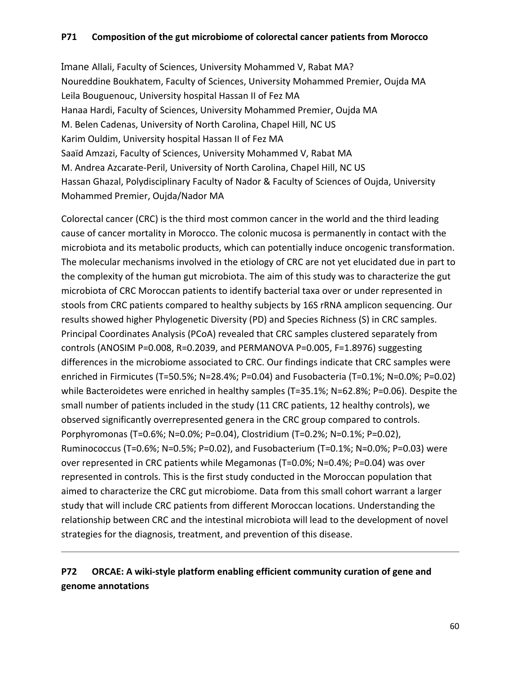### **P71 Composition of the gut microbiome of colorectal cancer patients from Morocco**

Imane Allali, Faculty of Sciences, University Mohammed V, Rabat MA? Noureddine Boukhatem, Faculty of Sciences, University Mohammed Premier, Oujda MA Leila Bouguenouc, University hospital Hassan II of Fez MA Hanaa Hardi, Faculty of Sciences, University Mohammed Premier, Oujda MA M. Belen Cadenas, University of North Carolina, Chapel Hill, NC US Karim Ouldim, University hospital Hassan II of Fez MA Saaïd Amzazi, Faculty of Sciences, University Mohammed V, Rabat MA M. Andrea Azcarate‐Peril, University of North Carolina, Chapel Hill, NC US Hassan Ghazal, Polydisciplinary Faculty of Nador & Faculty of Sciences of Oujda, University Mohammed Premier, Oujda/Nador MA

Colorectal cancer (CRC) is the third most common cancer in the world and the third leading cause of cancer mortality in Morocco. The colonic mucosa is permanently in contact with the microbiota and its metabolic products, which can potentially induce oncogenic transformation. The molecular mechanisms involved in the etiology of CRC are not yet elucidated due in part to the complexity of the human gut microbiota. The aim of this study was to characterize the gut microbiota of CRC Moroccan patients to identify bacterial taxa over or under represented in stools from CRC patients compared to healthy subjects by 16S rRNA amplicon sequencing. Our results showed higher Phylogenetic Diversity (PD) and Species Richness (S) in CRC samples. Principal Coordinates Analysis (PCoA) revealed that CRC samples clustered separately from controls (ANOSIM P=0.008, R=0.2039, and PERMANOVA P=0.005, F=1.8976) suggesting differences in the microbiome associated to CRC. Our findings indicate that CRC samples were enriched in Firmicutes (T=50.5%; N=28.4%; P=0.04) and Fusobacteria (T=0.1%; N=0.0%; P=0.02) while Bacteroidetes were enriched in healthy samples (T=35.1%; N=62.8%; P=0.06). Despite the small number of patients included in the study (11 CRC patients, 12 healthy controls), we observed significantly overrepresented genera in the CRC group compared to controls. Porphyromonas (T=0.6%; N=0.0%; P=0.04), Clostridium (T=0.2%; N=0.1%; P=0.02), Ruminococcus (T=0.6%; N=0.5%; P=0.02), and Fusobacterium (T=0.1%; N=0.0%; P=0.03) were over represented in CRC patients while Megamonas (T=0.0%; N=0.4%; P=0.04) was over represented in controls. This is the first study conducted in the Moroccan population that aimed to characterize the CRC gut microbiome. Data from this small cohort warrant a larger study that will include CRC patients from different Moroccan locations. Understanding the relationship between CRC and the intestinal microbiota will lead to the development of novel strategies for the diagnosis, treatment, and prevention of this disease.

## **P72 ORCAE: A wiki‐style platform enabling efficient community curation of gene and genome annotations**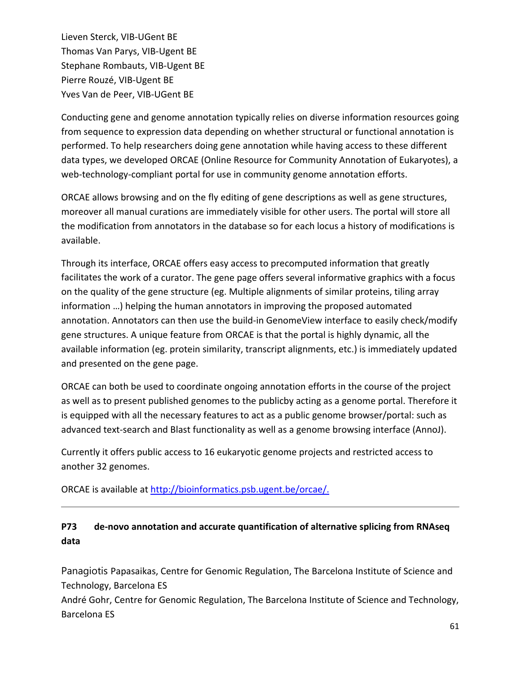Lieven Sterck, VIB‐UGent BE Thomas Van Parys, VIB‐Ugent BE Stephane Rombauts, VIB‐Ugent BE Pierre Rouzé, VIB‐Ugent BE Yves Van de Peer, VIB‐UGent BE

Conducting gene and genome annotation typically relies on diverse information resources going from sequence to expression data depending on whether structural or functional annotation is performed. To help researchers doing gene annotation while having access to these different data types, we developed ORCAE (Online Resource for Community Annotation of Eukaryotes), a web-technology-compliant portal for use in community genome annotation efforts.

ORCAE allows browsing and on the fly editing of gene descriptions as well as gene structures, moreover all manual curations are immediately visible for other users. The portal will store all the modification from annotators in the database so for each locus a history of modifications is available.

Through its interface, ORCAE offers easy access to precomputed information that greatly facilitates the work of a curator. The gene page offers several informative graphics with a focus on the quality of the gene structure (eg. Multiple alignments of similar proteins, tiling array information …) helping the human annotators in improving the proposed automated annotation. Annotators can then use the build-in GenomeView interface to easily check/modify gene structures. A unique feature from ORCAE is that the portal is highly dynamic, all the available information (eg. protein similarity, transcript alignments, etc.) is immediately updated and presented on the gene page.

ORCAE can both be used to coordinate ongoing annotation efforts in the course of the project as well as to present published genomes to the publicby acting as a genome portal. Therefore it is equipped with all the necessary features to act as a public genome browser/portal: such as advanced text-search and Blast functionality as well as a genome browsing interface (AnnoJ).

Currently it offers public access to 16 eukaryotic genome projects and restricted access to another 32 genomes.

ORCAE is available at http://bioinformatics.psb.ugent.be/orcae/.

# **P73 de‐novo annotation and accurate quantification of alternative splicing from RNAseq data**

Panagiotis Papasaikas, Centre for Genomic Regulation, The Barcelona Institute of Science and Technology, Barcelona ES

André Gohr, Centre for Genomic Regulation, The Barcelona Institute of Science and Technology, Barcelona ES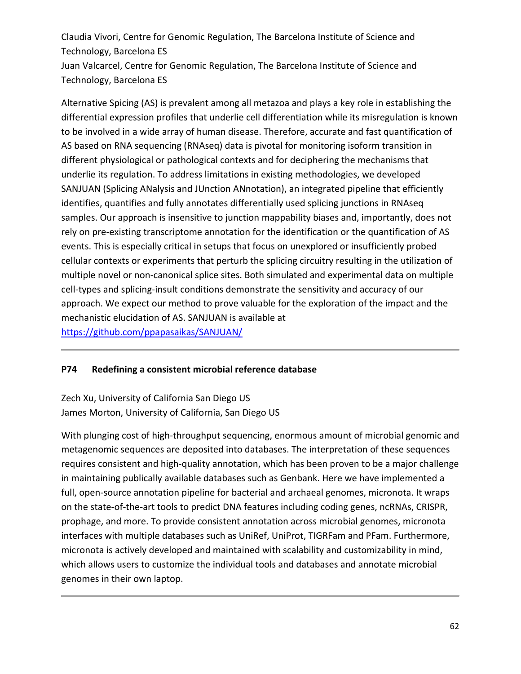Claudia Vivori, Centre for Genomic Regulation, The Barcelona Institute of Science and Technology, Barcelona ES Juan Valcarcel, Centre for Genomic Regulation, The Barcelona Institute of Science and Technology, Barcelona ES

Alternative Spicing (AS) is prevalent among all metazoa and plays a key role in establishing the differential expression profiles that underlie cell differentiation while its misregulation is known to be involved in a wide array of human disease. Therefore, accurate and fast quantification of AS based on RNA sequencing (RNAseq) data is pivotal for monitoring isoform transition in different physiological or pathological contexts and for deciphering the mechanisms that underlie its regulation. To address limitations in existing methodologies, we developed SANJUAN (Splicing ANalysis and JUnction ANnotation), an integrated pipeline that efficiently identifies, quantifies and fully annotates differentially used splicing junctions in RNAseq samples. Our approach is insensitive to junction mappability biases and, importantly, does not rely on pre-existing transcriptome annotation for the identification or the quantification of AS events. This is especially critical in setups that focus on unexplored or insufficiently probed cellular contexts or experiments that perturb the splicing circuitry resulting in the utilization of multiple novel or non‐canonical splice sites. Both simulated and experimental data on multiple cell-types and splicing-insult conditions demonstrate the sensitivity and accuracy of our approach. We expect our method to prove valuable for the exploration of the impact and the mechanistic elucidation of AS. SANJUAN is available at

https://github.com/ppapasaikas/SANJUAN/

### **P74 Redefining a consistent microbial reference database**

Zech Xu, University of California San Diego US James Morton, University of California, San Diego US

With plunging cost of high-throughput sequencing, enormous amount of microbial genomic and metagenomic sequences are deposited into databases. The interpretation of these sequences requires consistent and high‐quality annotation, which has been proven to be a major challenge in maintaining publically available databases such as Genbank. Here we have implemented a full, open-source annotation pipeline for bacterial and archaeal genomes, micronota. It wraps on the state‐of‐the‐art tools to predict DNA features including coding genes, ncRNAs, CRISPR, prophage, and more. To provide consistent annotation across microbial genomes, micronota interfaces with multiple databases such as UniRef, UniProt, TIGRFam and PFam. Furthermore, micronota is actively developed and maintained with scalability and customizability in mind, which allows users to customize the individual tools and databases and annotate microbial genomes in their own laptop.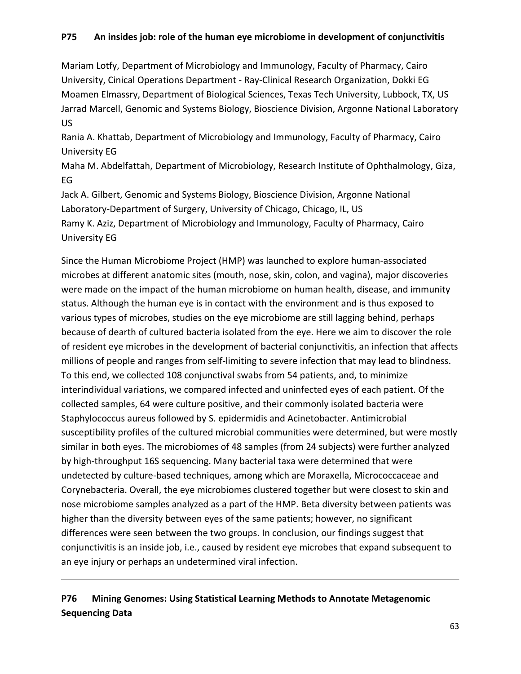### **P75 An insides job: role of the human eye microbiome in development of conjunctivitis**

Mariam Lotfy, Department of Microbiology and Immunology, Faculty of Pharmacy, Cairo University, Cinical Operations Department ‐ Ray‐Clinical Research Organization, Dokki EG Moamen Elmassry, Department of Biological Sciences, Texas Tech University, Lubbock, TX, US Jarrad Marcell, Genomic and Systems Biology, Bioscience Division, Argonne National Laboratory US

Rania A. Khattab, Department of Microbiology and Immunology, Faculty of Pharmacy, Cairo University EG

Maha M. Abdelfattah, Department of Microbiology, Research Institute of Ophthalmology, Giza, EG

Jack A. Gilbert, Genomic and Systems Biology, Bioscience Division, Argonne National Laboratory‐Department of Surgery, University of Chicago, Chicago, IL, US Ramy K. Aziz, Department of Microbiology and Immunology, Faculty of Pharmacy, Cairo University EG

Since the Human Microbiome Project (HMP) was launched to explore human‐associated microbes at different anatomic sites (mouth, nose, skin, colon, and vagina), major discoveries were made on the impact of the human microbiome on human health, disease, and immunity status. Although the human eye is in contact with the environment and is thus exposed to various types of microbes, studies on the eye microbiome are still lagging behind, perhaps because of dearth of cultured bacteria isolated from the eye. Here we aim to discover the role of resident eye microbes in the development of bacterial conjunctivitis, an infection that affects millions of people and ranges from self‐limiting to severe infection that may lead to blindness. To this end, we collected 108 conjunctival swabs from 54 patients, and, to minimize interindividual variations, we compared infected and uninfected eyes of each patient. Of the collected samples, 64 were culture positive, and their commonly isolated bacteria were Staphylococcus aureus followed by S. epidermidis and Acinetobacter. Antimicrobial susceptibility profiles of the cultured microbial communities were determined, but were mostly similar in both eyes. The microbiomes of 48 samples (from 24 subjects) were further analyzed by high‐throughput 16S sequencing. Many bacterial taxa were determined that were undetected by culture‐based techniques, among which are Moraxella, Micrococcaceae and Corynebacteria. Overall, the eye microbiomes clustered together but were closest to skin and nose microbiome samples analyzed as a part of the HMP. Beta diversity between patients was higher than the diversity between eyes of the same patients; however, no significant differences were seen between the two groups. In conclusion, our findings suggest that conjunctivitis is an inside job, i.e., caused by resident eye microbes that expand subsequent to an eye injury or perhaps an undetermined viral infection.

# **P76 Mining Genomes: Using Statistical Learning Methods to Annotate Metagenomic Sequencing Data**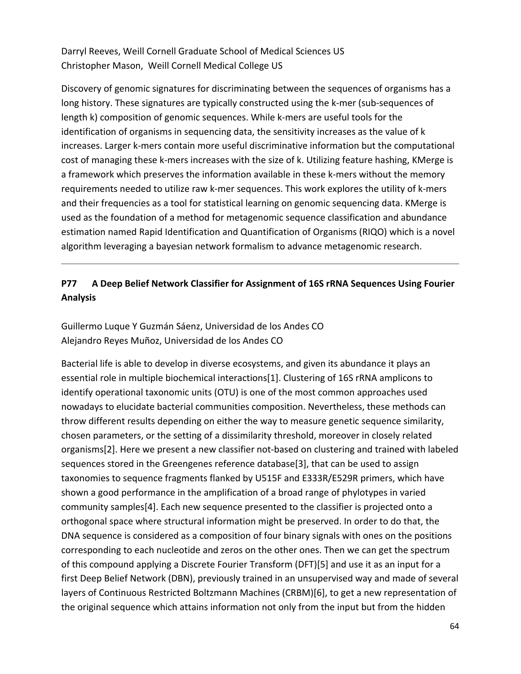Darryl Reeves, Weill Cornell Graduate School of Medical Sciences US Christopher Mason, Weill Cornell Medical College US

Discovery of genomic signatures for discriminating between the sequences of organisms has a long history. These signatures are typically constructed using the k-mer (sub-sequences of length k) composition of genomic sequences. While k-mers are useful tools for the identification of organisms in sequencing data, the sensitivity increases as the value of k increases. Larger k-mers contain more useful discriminative information but the computational cost of managing these k‐mers increases with the size of k. Utilizing feature hashing, KMerge is a framework which preserves the information available in these k-mers without the memory requirements needed to utilize raw k‐mer sequences. This work explores the utility of k‐mers and their frequencies as a tool for statistical learning on genomic sequencing data. KMerge is used as the foundation of a method for metagenomic sequence classification and abundance estimation named Rapid Identification and Quantification of Organisms (RIQO) which is a novel algorithm leveraging a bayesian network formalism to advance metagenomic research.

# **P77 A Deep Belief Network Classifier for Assignment of 16S rRNA Sequences Using Fourier Analysis**

Guillermo Luque Y Guzmán Sáenz, Universidad de los Andes CO Alejandro Reyes Muñoz, Universidad de los Andes CO

Bacterial life is able to develop in diverse ecosystems, and given its abundance it plays an essential role in multiple biochemical interactions[1]. Clustering of 16S rRNA amplicons to identify operational taxonomic units (OTU) is one of the most common approaches used nowadays to elucidate bacterial communities composition. Nevertheless, these methods can throw different results depending on either the way to measure genetic sequence similarity, chosen parameters, or the setting of a dissimilarity threshold, moreover in closely related organisms[2]. Here we present a new classifier not‐based on clustering and trained with labeled sequences stored in the Greengenes reference database[3], that can be used to assign taxonomies to sequence fragments flanked by U515F and E333R/E529R primers, which have shown a good performance in the amplification of a broad range of phylotypes in varied community samples[4]. Each new sequence presented to the classifier is projected onto a orthogonal space where structural information might be preserved. In order to do that, the DNA sequence is considered as a composition of four binary signals with ones on the positions corresponding to each nucleotide and zeros on the other ones. Then we can get the spectrum of this compound applying a Discrete Fourier Transform (DFT)[5] and use it as an input for a first Deep Belief Network (DBN), previously trained in an unsupervised way and made of several layers of Continuous Restricted Boltzmann Machines (CRBM)[6], to get a new representation of the original sequence which attains information not only from the input but from the hidden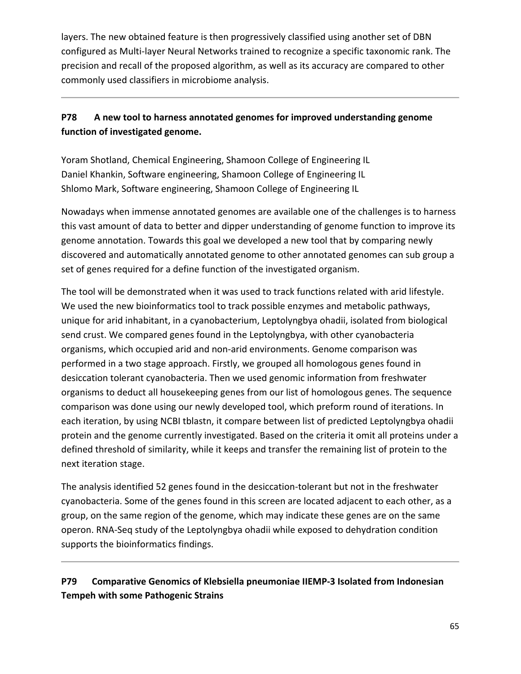layers. The new obtained feature is then progressively classified using another set of DBN configured as Multi‐layer Neural Networks trained to recognize a specific taxonomic rank. The precision and recall of the proposed algorithm, as well as its accuracy are compared to other commonly used classifiers in microbiome analysis.

# **P78 A new tool to harness annotated genomes for improved understanding genome function of investigated genome.**

Yoram Shotland, Chemical Engineering, Shamoon College of Engineering IL Daniel Khankin, Software engineering, Shamoon College of Engineering IL Shlomo Mark, Software engineering, Shamoon College of Engineering IL

Nowadays when immense annotated genomes are available one of the challenges is to harness this vast amount of data to better and dipper understanding of genome function to improve its genome annotation. Towards this goal we developed a new tool that by comparing newly discovered and automatically annotated genome to other annotated genomes can sub group a set of genes required for a define function of the investigated organism.

The tool will be demonstrated when it was used to track functions related with arid lifestyle. We used the new bioinformatics tool to track possible enzymes and metabolic pathways, unique for arid inhabitant, in a cyanobacterium, Leptolyngbya ohadii, isolated from biological send crust. We compared genes found in the Leptolyngbya, with other cyanobacteria organisms, which occupied arid and non‐arid environments. Genome comparison was performed in a two stage approach. Firstly, we grouped all homologous genes found in desiccation tolerant cyanobacteria. Then we used genomic information from freshwater organisms to deduct all housekeeping genes from our list of homologous genes. The sequence comparison was done using our newly developed tool, which preform round of iterations. In each iteration, by using NCBI tblastn, it compare between list of predicted Leptolyngbya ohadii protein and the genome currently investigated. Based on the criteria it omit all proteins under a defined threshold of similarity, while it keeps and transfer the remaining list of protein to the next iteration stage.

The analysis identified 52 genes found in the desiccation‐tolerant but not in the freshwater cyanobacteria. Some of the genes found in this screen are located adjacent to each other, as a group, on the same region of the genome, which may indicate these genes are on the same operon. RNA‐Seq study of the Leptolyngbya ohadii while exposed to dehydration condition supports the bioinformatics findings.

# **P79 Comparative Genomics of Klebsiella pneumoniae IIEMP‐3 Isolated from Indonesian Tempeh with some Pathogenic Strains**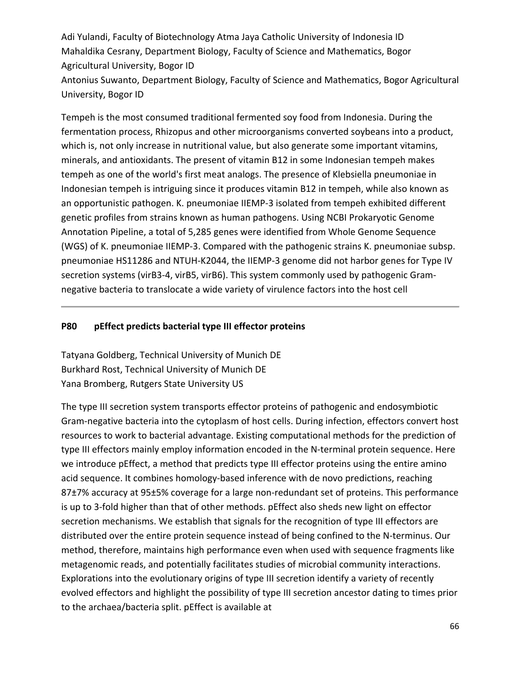Adi Yulandi, Faculty of Biotechnology Atma Jaya Catholic University of Indonesia ID Mahaldika Cesrany, Department Biology, Faculty of Science and Mathematics, Bogor Agricultural University, Bogor ID Antonius Suwanto, Department Biology, Faculty of Science and Mathematics, Bogor Agricultural

Tempeh is the most consumed traditional fermented soy food from Indonesia. During the fermentation process, Rhizopus and other microorganisms converted soybeans into a product, which is, not only increase in nutritional value, but also generate some important vitamins, minerals, and antioxidants. The present of vitamin B12 in some Indonesian tempeh makes tempeh as one of the world's first meat analogs. The presence of Klebsiella pneumoniae in Indonesian tempeh is intriguing since it produces vitamin B12 in tempeh, while also known as an opportunistic pathogen. K. pneumoniae IIEMP‐3 isolated from tempeh exhibited different genetic profiles from strains known as human pathogens. Using NCBI Prokaryotic Genome

Annotation Pipeline, a total of 5,285 genes were identified from Whole Genome Sequence (WGS) of K. pneumoniae IIEMP‐3. Compared with the pathogenic strains K. pneumoniae subsp. pneumoniae HS11286 and NTUH‐K2044, the IIEMP‐3 genome did not harbor genes for Type IV secretion systems (virB3-4, virB5, virB6). This system commonly used by pathogenic Gramnegative bacteria to translocate a wide variety of virulence factors into the host cell

#### **P80 pEffect predicts bacterial type III effector proteins**

Tatyana Goldberg, Technical University of Munich DE Burkhard Rost, Technical University of Munich DE Yana Bromberg, Rutgers State University US

University, Bogor ID

The type III secretion system transports effector proteins of pathogenic and endosymbiotic Gram‐negative bacteria into the cytoplasm of host cells. During infection, effectors convert host resources to work to bacterial advantage. Existing computational methods for the prediction of type III effectors mainly employ information encoded in the N-terminal protein sequence. Here we introduce pEffect, a method that predicts type III effector proteins using the entire amino acid sequence. It combines homology‐based inference with de novo predictions, reaching 87±7% accuracy at 95±5% coverage for a large non-redundant set of proteins. This performance is up to 3‐fold higher than that of other methods. pEffect also sheds new light on effector secretion mechanisms. We establish that signals for the recognition of type III effectors are distributed over the entire protein sequence instead of being confined to the N‐terminus. Our method, therefore, maintains high performance even when used with sequence fragments like metagenomic reads, and potentially facilitates studies of microbial community interactions. Explorations into the evolutionary origins of type III secretion identify a variety of recently evolved effectors and highlight the possibility of type III secretion ancestor dating to times prior to the archaea/bacteria split. pEffect is available at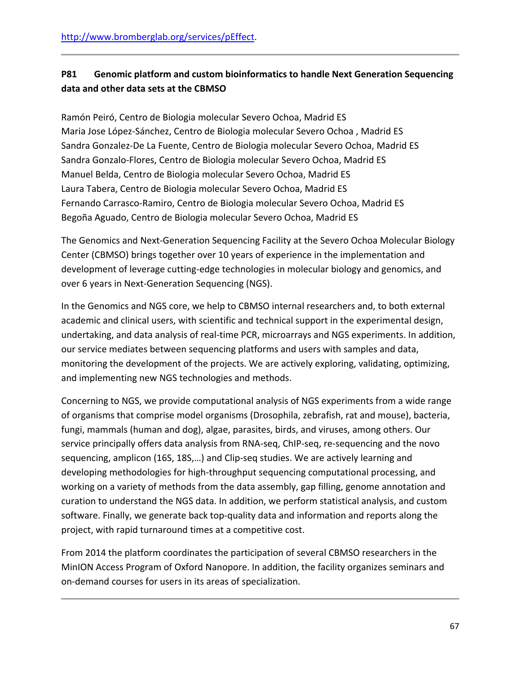# **P81 Genomic platform and custom bioinformatics to handle Next Generation Sequencing data and other data sets at the CBMSO**

Ramón Peiró, Centro de Biologia molecular Severo Ochoa, Madrid ES Maria Jose López‐Sánchez, Centro de Biologia molecular Severo Ochoa , Madrid ES Sandra Gonzalez‐De La Fuente, Centro de Biologia molecular Severo Ochoa, Madrid ES Sandra Gonzalo‐Flores, Centro de Biologia molecular Severo Ochoa, Madrid ES Manuel Belda, Centro de Biologia molecular Severo Ochoa, Madrid ES Laura Tabera, Centro de Biologia molecular Severo Ochoa, Madrid ES Fernando Carrasco‐Ramiro, Centro de Biologia molecular Severo Ochoa, Madrid ES Begoña Aguado, Centro de Biologia molecular Severo Ochoa, Madrid ES

The Genomics and Next‐Generation Sequencing Facility at the Severo Ochoa Molecular Biology Center (CBMSO) brings together over 10 years of experience in the implementation and development of leverage cutting‐edge technologies in molecular biology and genomics, and over 6 years in Next‐Generation Sequencing (NGS).

In the Genomics and NGS core, we help to CBMSO internal researchers and, to both external academic and clinical users, with scientific and technical support in the experimental design, undertaking, and data analysis of real‐time PCR, microarrays and NGS experiments. In addition, our service mediates between sequencing platforms and users with samples and data, monitoring the development of the projects. We are actively exploring, validating, optimizing, and implementing new NGS technologies and methods.

Concerning to NGS, we provide computational analysis of NGS experiments from a wide range of organisms that comprise model organisms (Drosophila, zebrafish, rat and mouse), bacteria, fungi, mammals (human and dog), algae, parasites, birds, and viruses, among others. Our service principally offers data analysis from RNA-seq, ChIP-seq, re-sequencing and the novo sequencing, amplicon (16S, 18S,...) and Clip-seq studies. We are actively learning and developing methodologies for high‐throughput sequencing computational processing, and working on a variety of methods from the data assembly, gap filling, genome annotation and curation to understand the NGS data. In addition, we perform statistical analysis, and custom software. Finally, we generate back top‐quality data and information and reports along the project, with rapid turnaround times at a competitive cost.

From 2014 the platform coordinates the participation of several CBMSO researchers in the MinION Access Program of Oxford Nanopore. In addition, the facility organizes seminars and on‐demand courses for users in its areas of specialization.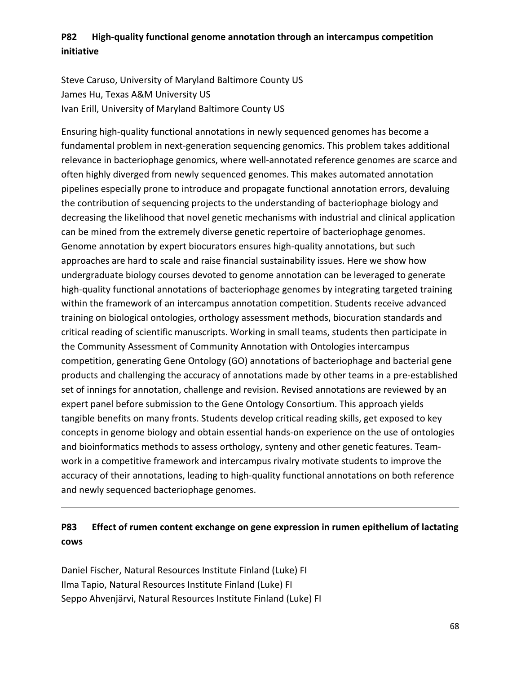## **P82 High‐quality functional genome annotation through an intercampus competition initiative**

Steve Caruso, University of Maryland Baltimore County US James Hu, Texas A&M University US Ivan Erill, University of Maryland Baltimore County US

Ensuring high‐quality functional annotations in newly sequenced genomes has become a fundamental problem in next‐generation sequencing genomics. This problem takes additional relevance in bacteriophage genomics, where well‐annotated reference genomes are scarce and often highly diverged from newly sequenced genomes. This makes automated annotation pipelines especially prone to introduce and propagate functional annotation errors, devaluing the contribution of sequencing projects to the understanding of bacteriophage biology and decreasing the likelihood that novel genetic mechanisms with industrial and clinical application can be mined from the extremely diverse genetic repertoire of bacteriophage genomes. Genome annotation by expert biocurators ensures high‐quality annotations, but such approaches are hard to scale and raise financial sustainability issues. Here we show how undergraduate biology courses devoted to genome annotation can be leveraged to generate high-quality functional annotations of bacteriophage genomes by integrating targeted training within the framework of an intercampus annotation competition. Students receive advanced training on biological ontologies, orthology assessment methods, biocuration standards and critical reading of scientific manuscripts. Working in small teams, students then participate in the Community Assessment of Community Annotation with Ontologies intercampus competition, generating Gene Ontology (GO) annotations of bacteriophage and bacterial gene products and challenging the accuracy of annotations made by other teams in a pre‐established set of innings for annotation, challenge and revision. Revised annotations are reviewed by an expert panel before submission to the Gene Ontology Consortium. This approach yields tangible benefits on many fronts. Students develop critical reading skills, get exposed to key concepts in genome biology and obtain essential hands‐on experience on the use of ontologies and bioinformatics methods to assess orthology, synteny and other genetic features. Team‐ work in a competitive framework and intercampus rivalry motivate students to improve the accuracy of their annotations, leading to high‐quality functional annotations on both reference and newly sequenced bacteriophage genomes.

## **P83 Effect of rumen content exchange on gene expression in rumen epithelium of lactating cows**

Daniel Fischer, Natural Resources Institute Finland (Luke) FI Ilma Tapio, Natural Resources Institute Finland (Luke) FI Seppo Ahvenjärvi, Natural Resources Institute Finland (Luke) FI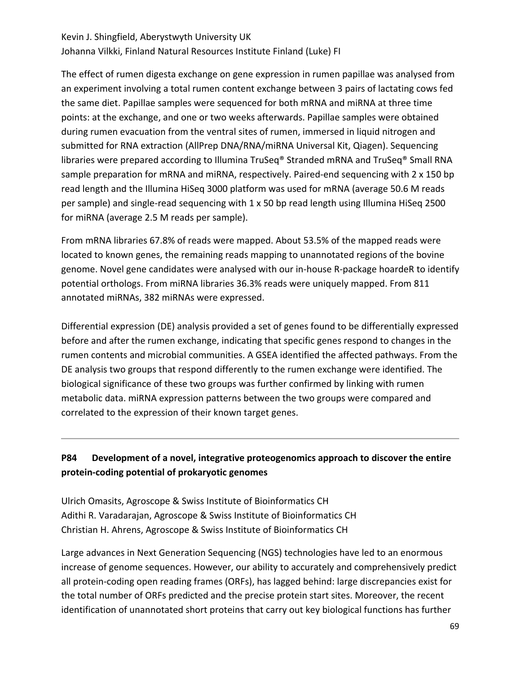# Kevin J. Shingfield, Aberystwyth University UK Johanna Vilkki, Finland Natural Resources Institute Finland (Luke) FI

The effect of rumen digesta exchange on gene expression in rumen papillae was analysed from an experiment involving a total rumen content exchange between 3 pairs of lactating cows fed the same diet. Papillae samples were sequenced for both mRNA and miRNA at three time points: at the exchange, and one or two weeks afterwards. Papillae samples were obtained during rumen evacuation from the ventral sites of rumen, immersed in liquid nitrogen and submitted for RNA extraction (AllPrep DNA/RNA/miRNA Universal Kit, Qiagen). Sequencing libraries were prepared according to Illumina TruSeq® Stranded mRNA and TruSeq® Small RNA sample preparation for mRNA and miRNA, respectively. Paired-end sequencing with 2 x 150 bp read length and the Illumina HiSeq 3000 platform was used for mRNA (average 50.6 M reads per sample) and single‐read sequencing with 1 x 50 bp read length using Illumina HiSeq 2500 for miRNA (average 2.5 M reads per sample).

From mRNA libraries 67.8% of reads were mapped. About 53.5% of the mapped reads were located to known genes, the remaining reads mapping to unannotated regions of the bovine genome. Novel gene candidates were analysed with our in‐house R‐package hoardeR to identify potential orthologs. From miRNA libraries 36.3% reads were uniquely mapped. From 811 annotated miRNAs, 382 miRNAs were expressed.

Differential expression (DE) analysis provided a set of genes found to be differentially expressed before and after the rumen exchange, indicating that specific genes respond to changes in the rumen contents and microbial communities. A GSEA identified the affected pathways. From the DE analysis two groups that respond differently to the rumen exchange were identified. The biological significance of these two groups was further confirmed by linking with rumen metabolic data. miRNA expression patterns between the two groups were compared and correlated to the expression of their known target genes.

## **P84 Development of a novel, integrative proteogenomics approach to discover the entire protein‐coding potential of prokaryotic genomes**

Ulrich Omasits, Agroscope & Swiss Institute of Bioinformatics CH Adithi R. Varadarajan, Agroscope & Swiss Institute of Bioinformatics CH Christian H. Ahrens, Agroscope & Swiss Institute of Bioinformatics CH

Large advances in Next Generation Sequencing (NGS) technologies have led to an enormous increase of genome sequences. However, our ability to accurately and comprehensively predict all protein‐coding open reading frames (ORFs), has lagged behind: large discrepancies exist for the total number of ORFs predicted and the precise protein start sites. Moreover, the recent identification of unannotated short proteins that carry out key biological functions has further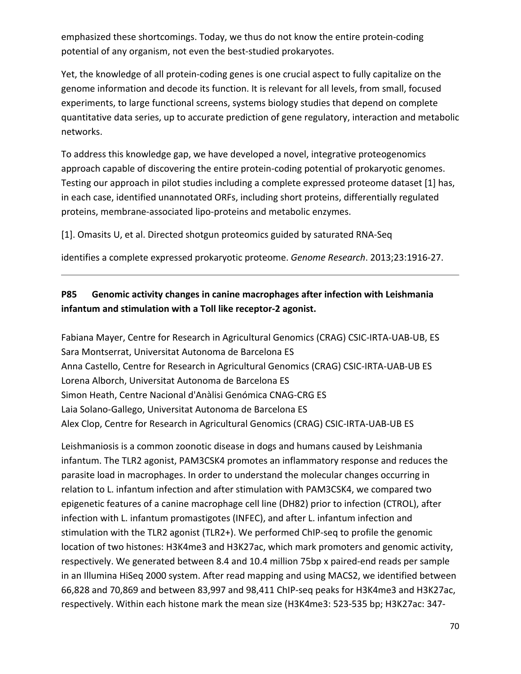emphasized these shortcomings. Today, we thus do not know the entire protein‐coding potential of any organism, not even the best-studied prokaryotes.

Yet, the knowledge of all protein‐coding genes is one crucial aspect to fully capitalize on the genome information and decode its function. It is relevant for all levels, from small, focused experiments, to large functional screens, systems biology studies that depend on complete quantitative data series, up to accurate prediction of gene regulatory, interaction and metabolic networks.

To address this knowledge gap, we have developed a novel, integrative proteogenomics approach capable of discovering the entire protein‐coding potential of prokaryotic genomes. Testing our approach in pilot studies including a complete expressed proteome dataset [1] has, in each case, identified unannotated ORFs, including short proteins, differentially regulated proteins, membrane‐associated lipo‐proteins and metabolic enzymes.

[1]. Omasits U, et al. Directed shotgun proteomics guided by saturated RNA‐Seq

identifies a complete expressed prokaryotic proteome. *Genome Research*. 2013;23:1916‐27.

## **P85 Genomic activity changes in canine macrophages after infection with Leishmania infantum and stimulation with a Toll like receptor‐2 agonist.**

Fabiana Mayer, Centre for Research in Agricultural Genomics (CRAG) CSIC‐IRTA‐UAB‐UB, ES Sara Montserrat, Universitat Autonoma de Barcelona ES Anna Castello, Centre for Research in Agricultural Genomics (CRAG) CSIC‐IRTA‐UAB‐UB ES Lorena Alborch, Universitat Autonoma de Barcelona ES Simon Heath, Centre Nacional d'Anàlisi Genómica CNAG‐CRG ES Laia Solano‐Gallego, Universitat Autonoma de Barcelona ES Alex Clop, Centre for Research in Agricultural Genomics (CRAG) CSIC‐IRTA‐UAB‐UB ES

Leishmaniosis is a common zoonotic disease in dogs and humans caused by Leishmania infantum. The TLR2 agonist, PAM3CSK4 promotes an inflammatory response and reduces the parasite load in macrophages. In order to understand the molecular changes occurring in relation to L. infantum infection and after stimulation with PAM3CSK4, we compared two epigenetic features of a canine macrophage cell line (DH82) prior to infection (CTROL), after infection with L. infantum promastigotes (INFEC), and after L. infantum infection and stimulation with the TLR2 agonist (TLR2+). We performed ChIP‐seq to profile the genomic location of two histones: H3K4me3 and H3K27ac, which mark promoters and genomic activity, respectively. We generated between 8.4 and 10.4 million 75bp x paired‐end reads per sample in an Illumina HiSeq 2000 system. After read mapping and using MACS2, we identified between 66,828 and 70,869 and between 83,997 and 98,411 ChIP‐seq peaks for H3K4me3 and H3K27ac, respectively. Within each histone mark the mean size (H3K4me3: 523‐535 bp; H3K27ac: 347‐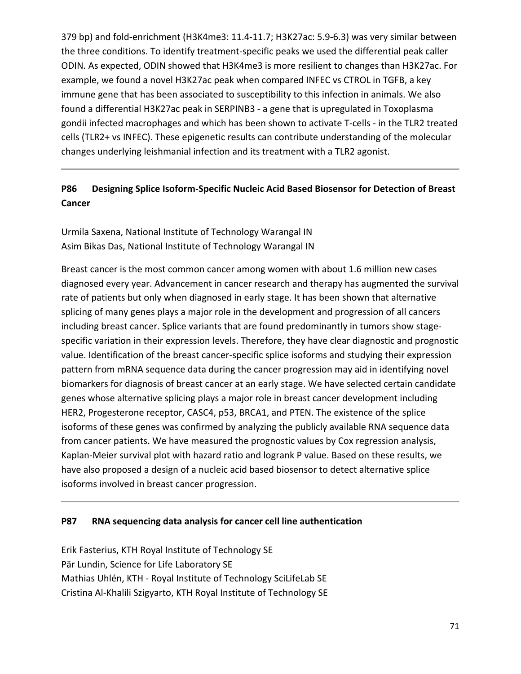379 bp) and fold‐enrichment (H3K4me3: 11.4‐11.7; H3K27ac: 5.9‐6.3) was very similar between the three conditions. To identify treatment‐specific peaks we used the differential peak caller ODIN. As expected, ODIN showed that H3K4me3 is more resilient to changes than H3K27ac. For example, we found a novel H3K27ac peak when compared INFEC vs CTROL in TGFB, a key immune gene that has been associated to susceptibility to this infection in animals. We also found a differential H3K27ac peak in SERPINB3 ‐ a gene that is upregulated in Toxoplasma gondii infected macrophages and which has been shown to activate T‐cells ‐ in the TLR2 treated cells (TLR2+ vs INFEC). These epigenetic results can contribute understanding of the molecular changes underlying leishmanial infection and its treatment with a TLR2 agonist.

## **P86 Designing Splice Isoform‐Specific Nucleic Acid Based Biosensor for Detection of Breast Cancer**

Urmila Saxena, National Institute of Technology Warangal IN Asim Bikas Das, National Institute of Technology Warangal IN

Breast cancer is the most common cancer among women with about 1.6 million new cases diagnosed every year. Advancement in cancer research and therapy has augmented the survival rate of patients but only when diagnosed in early stage. It has been shown that alternative splicing of many genes plays a major role in the development and progression of all cancers including breast cancer. Splice variants that are found predominantly in tumors show stage‐ specific variation in their expression levels. Therefore, they have clear diagnostic and prognostic value. Identification of the breast cancer‐specific splice isoforms and studying their expression pattern from mRNA sequence data during the cancer progression may aid in identifying novel biomarkers for diagnosis of breast cancer at an early stage. We have selected certain candidate genes whose alternative splicing plays a major role in breast cancer development including HER2, Progesterone receptor, CASC4, p53, BRCA1, and PTEN. The existence of the splice isoforms of these genes was confirmed by analyzing the publicly available RNA sequence data from cancer patients. We have measured the prognostic values by Cox regression analysis, Kaplan‐Meier survival plot with hazard ratio and logrank P value. Based on these results, we have also proposed a design of a nucleic acid based biosensor to detect alternative splice isoforms involved in breast cancer progression.

### **P87 RNA sequencing data analysis for cancer cell line authentication**

Erik Fasterius, KTH Royal Institute of Technology SE Pär Lundin, Science for Life Laboratory SE Mathias Uhlén, KTH ‐ Royal Institute of Technology SciLifeLab SE Cristina Al‐Khalili Szigyarto, KTH Royal Institute of Technology SE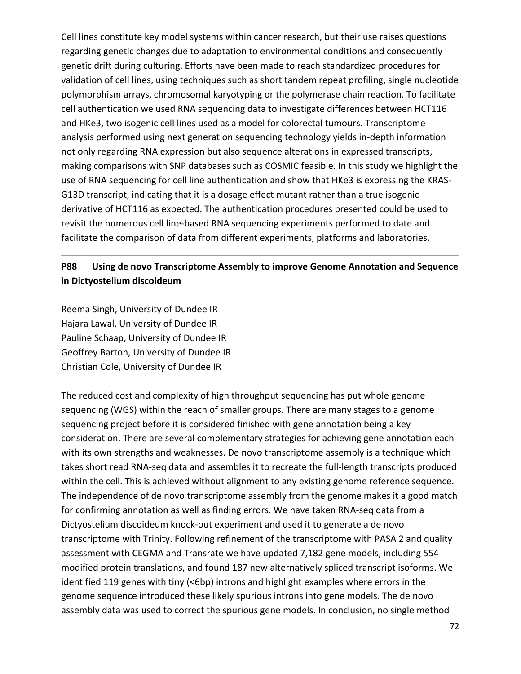Cell lines constitute key model systems within cancer research, but their use raises questions regarding genetic changes due to adaptation to environmental conditions and consequently genetic drift during culturing. Efforts have been made to reach standardized procedures for validation of cell lines, using techniques such as short tandem repeat profiling, single nucleotide polymorphism arrays, chromosomal karyotyping or the polymerase chain reaction. To facilitate cell authentication we used RNA sequencing data to investigate differences between HCT116 and HKe3, two isogenic cell lines used as a model for colorectal tumours. Transcriptome analysis performed using next generation sequencing technology yields in‐depth information not only regarding RNA expression but also sequence alterations in expressed transcripts, making comparisons with SNP databases such as COSMIC feasible. In this study we highlight the use of RNA sequencing for cell line authentication and show that HKe3 is expressing the KRAS‐ G13D transcript, indicating that it is a dosage effect mutant rather than a true isogenic derivative of HCT116 as expected. The authentication procedures presented could be used to revisit the numerous cell line‐based RNA sequencing experiments performed to date and facilitate the comparison of data from different experiments, platforms and laboratories.

## **P88 Using de novo Transcriptome Assembly to improve Genome Annotation and Sequence in Dictyostelium discoideum**

Reema Singh, University of Dundee IR Hajara Lawal, University of Dundee IR Pauline Schaap, University of Dundee IR Geoffrey Barton, University of Dundee IR Christian Cole, University of Dundee IR

The reduced cost and complexity of high throughput sequencing has put whole genome sequencing (WGS) within the reach of smaller groups. There are many stages to a genome sequencing project before it is considered finished with gene annotation being a key consideration. There are several complementary strategies for achieving gene annotation each with its own strengths and weaknesses. De novo transcriptome assembly is a technique which takes short read RNA-seq data and assembles it to recreate the full-length transcripts produced within the cell. This is achieved without alignment to any existing genome reference sequence. The independence of de novo transcriptome assembly from the genome makes it a good match for confirming annotation as well as finding errors. We have taken RNA‐seq data from a Dictyostelium discoideum knock‐out experiment and used it to generate a de novo transcriptome with Trinity. Following refinement of the transcriptome with PASA 2 and quality assessment with CEGMA and Transrate we have updated 7,182 gene models, including 554 modified protein translations, and found 187 new alternatively spliced transcript isoforms. We identified 119 genes with tiny (<6bp) introns and highlight examples where errors in the genome sequence introduced these likely spurious introns into gene models. The de novo assembly data was used to correct the spurious gene models. In conclusion, no single method